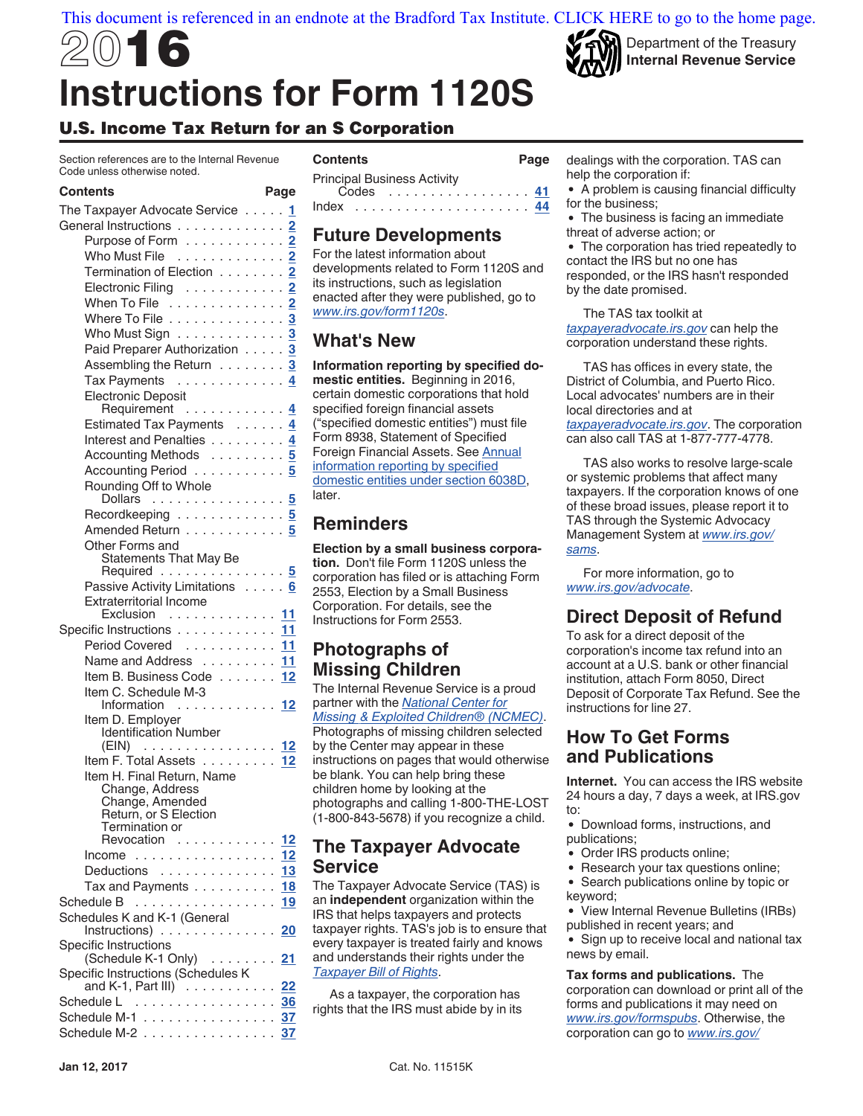## <span id="page-0-0"></span>[This document is referenced in an endnote at the Bradford Tax Institute. CLICK HERE to go to the home page.](www.bradfordtaxinstitute.com)



U.S. Income Tax Return for an S Corporation

Section references are to the Internal Revenue Code unless otherwise noted.

#### **Contents Page**

| The Taxpayer Advocate Service 1               |                         |
|-----------------------------------------------|-------------------------|
| General Instructions 2                        |                         |
| Purpose of Form                               | $\overline{\mathbf{2}}$ |
| Who Must File                                 | $\overline{\mathbf{2}}$ |
| Termination of Election                       | $\overline{\mathbf{2}}$ |
| Electronic Filing<br>$\mathbf{L}$             | L,                      |
| When To File                                  | $\frac{2}{2}$<br>L,     |
| Where To File                                 | $\overline{\mathbf{3}}$ |
| Who Must Sign 3                               |                         |
| Paid Preparer Authorization 3                 |                         |
|                                               |                         |
| Assembling the Return 3                       |                         |
| Tax Payments 4                                |                         |
| <b>Electronic Deposit</b>                     |                         |
| Requirement 4                                 |                         |
| Estimated Tax Payments 4                      |                         |
| Interest and Penalties 4                      |                         |
| Accounting Methods 5                          |                         |
| Accounting Period 5                           |                         |
| Rounding Off to Whole                         |                         |
| Dollars 5                                     |                         |
| Recordkeeping 5                               |                         |
| Amended Return 5                              |                         |
| Other Forms and                               |                         |
| <b>Statements That May Be</b>                 |                         |
| Required 5                                    |                         |
| Passive Activity Limitations 6                |                         |
| <b>Extraterritorial Income</b>                |                         |
| Exclusion 11                                  |                         |
| Specific Instructions 11                      |                         |
| Period Covered                                | <u>11</u>               |
| Name and Address 11                           |                         |
|                                               |                         |
| Item B. Business Code 12                      |                         |
| Item C. Schedule M-3                          |                         |
| Information 12                                |                         |
| Item D. Employer                              |                         |
| <b>Identification Number</b><br>(EIN) 12      |                         |
| Item F. Total Assets 12                       |                         |
|                                               |                         |
| Item H. Final Return, Name<br>Change, Address |                         |
| Change, Amended                               |                         |
| Return, or S Election                         |                         |
| Termination or                                |                         |
| Revocation                                    | 12                      |
| $Income \dots \dots \dots \dots$              | 12                      |
| Deductions                                    | 13                      |
| Tax and Payments                              | 18                      |
| Schedule B<br>.                               | 19                      |
| Schedules K and K-1 (General                  |                         |
| Instructions)                                 | 20                      |
| <b>Specific Instructions</b>                  |                         |
| (Schedule K-1 Only)<br>.                      | 21                      |
| Specific Instructions (Schedules K            |                         |
| and K-1, Part III) $\ldots \ldots \ldots$     | 22                      |
|                                               |                         |
| Schedule L                                    | 36                      |
| Schedule M-1                                  | 37                      |
| Schedule M-2 37                               |                         |

#### **Contents Page**

Principal Business Activity Codes ................. **[41](#page-40-0)** Index ..................... **[44](#page-43-0)**

## **Future Developments**

For the latest information about developments related to Form 1120S and its instructions, such as legislation enacted after they were published, go to *[www.irs.gov/form1120s](https://www.irs.gov/form1120s)*.

## **What's New**

**Information reporting by specified domestic entities.** Beginning in 2016, certain domestic corporations that hold specified foreign financial assets ("specified domestic entities") must file Form 8938, Statement of Specified Foreign Financial Assets. See [Annual](#page-5-0) [information reporting by specified](#page-5-0)  [domestic entities under section 6038D](#page-5-0), later.

## **Reminders**

**Election by a small business corporation.** Don't file Form 1120S unless the corporation has filed or is attaching Form 2553, Election by a Small Business Corporation. For details, see the Instructions for Form 2553.

## **Photographs of Missing Children**

The Internal Revenue Service is a proud partner with the *[National Center for](http://www.missingkids.com)  [Missing & Exploited Children® \(NCMEC\)](http://www.missingkids.com)*. Photographs of missing children selected by the Center may appear in these instructions on pages that would otherwise be blank. You can help bring these children home by looking at the photographs and calling 1-800-THE-LOST (1-800-843-5678) if you recognize a child.

## **The Taxpayer Advocate Service**

The Taxpayer Advocate Service (TAS) is an **independent** organization within the IRS that helps taxpayers and protects taxpayer rights. TAS's job is to ensure that every taxpayer is treated fairly and knows and understands their rights under the *[Taxpayer Bill of Rights](https://taxpayeradvocate.irs.gov/About-TAS/Taxpayer-Rights)*.

As a taxpayer, the corporation has rights that the IRS must abide by in its

- dealings with the corporation. TAS can help the corporation if:
- A problem is causing financial difficulty for the business;

Department of the Treasury **Internal Revenue Service**

The business is facing an immediate threat of adverse action; or

The corporation has tried repeatedly to contact the IRS but no one has responded, or the IRS hasn't responded by the date promised.

The TAS tax toolkit at *[taxpayeradvocate.irs.gov](https://taxpayeradvocate.irs.gov)* can help the corporation understand these rights.

TAS has offices in every state, the District of Columbia, and Puerto Rico. Local advocates' numbers are in their local directories and at *[taxpayeradvocate.irs.gov](https://taxpayeradvocate.irs.gov)*. The corporation can also call TAS at 1-877-777-4778.

TAS also works to resolve large-scale or systemic problems that affect many taxpayers. If the corporation knows of one of these broad issues, please report it to TAS through the Systemic Advocacy Management System at *[www.irs.gov/](https://www.irs.gov/Advocate/Systemic-Advocacy-Management-System-SAMS) [sams](https://www.irs.gov/Advocate/Systemic-Advocacy-Management-System-SAMS)*.

For more information, go to *[www.irs.gov/advocate](https://www.irs.gov/advocate)*.

## **Direct Deposit of Refund**

To ask for a direct deposit of the corporation's income tax refund into an account at a U.S. bank or other financial institution, attach Form 8050, Direct Deposit of Corporate Tax Refund. See the instructions for line 27.

## **How To Get Forms and Publications**

**Internet.** You can access the IRS website 24 hours a day, 7 days a week, at IRS.gov to:

- Download forms, instructions, and publications;
- Order IRS products online;  $\bullet$
- Research your tax questions online;
- Search publications online by topic or keyword;
- View Internal Revenue Bulletins (IRBs) published in recent years; and
- 

• Sign up to receive local and national tax news by email.

**Tax forms and publications.** The corporation can download or print all of the forms and publications it may need on *[www.irs.gov/formspubs](https://www.irs.gov/formspubs)*. Otherwise, the corporation can go to *[www.irs.gov/](https://www.irs.gov/Forms-&-Pubs/Order-Products)*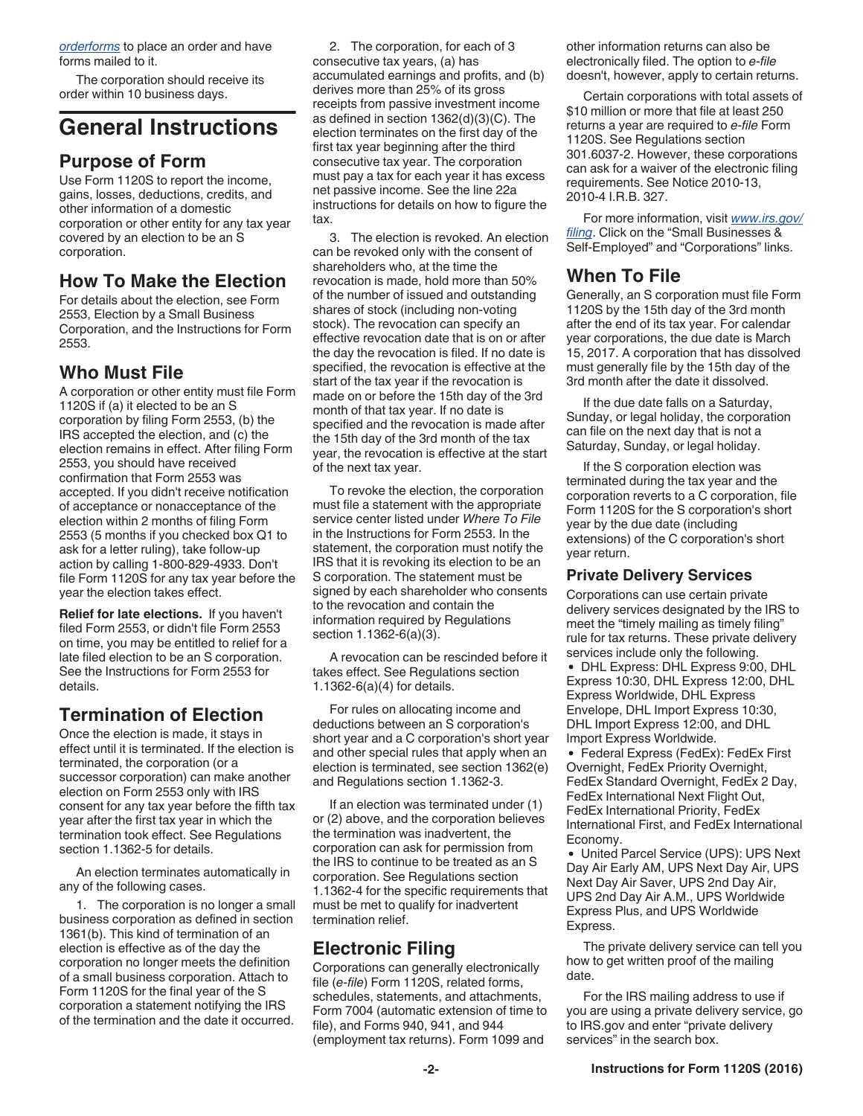<span id="page-1-0"></span>*[orderforms](https://www.irs.gov/Forms-&-Pubs/Order-Products)* to place an order and have forms mailed to it.

The corporation should receive its order within 10 business days.

# **General Instructions**

## **Purpose of Form**

Use Form 1120S to report the income, gains, losses, deductions, credits, and other information of a domestic corporation or other entity for any tax year covered by an election to be an S corporation.

## **How To Make the Election**

For details about the election, see Form 2553, Election by a Small Business Corporation, and the Instructions for Form 2553.

## **Who Must File**

A corporation or other entity must file Form 1120S if (a) it elected to be an S corporation by filing Form 2553, (b) the IRS accepted the election, and (c) the election remains in effect. After filing Form 2553, you should have received confirmation that Form 2553 was accepted. If you didn't receive notification of acceptance or nonacceptance of the election within 2 months of filing Form 2553 (5 months if you checked box Q1 to ask for a letter ruling), take follow-up action by calling 1-800-829-4933. Don't file Form 1120S for any tax year before the year the election takes effect.

**Relief for late elections.** If you haven't filed Form 2553, or didn't file Form 2553 on time, you may be entitled to relief for a late filed election to be an S corporation. See the Instructions for Form 2553 for details.

## **Termination of Election**

Once the election is made, it stays in effect until it is terminated. If the election is terminated, the corporation (or a successor corporation) can make another election on Form 2553 only with IRS consent for any tax year before the fifth tax year after the first tax year in which the termination took effect. See Regulations section 1.1362-5 for details.

An election terminates automatically in any of the following cases.

1. The corporation is no longer a small business corporation as defined in section 1361(b). This kind of termination of an election is effective as of the day the corporation no longer meets the definition of a small business corporation. Attach to Form 1120S for the final year of the S corporation a statement notifying the IRS of the termination and the date it occurred.

2. The corporation, for each of 3 consecutive tax years, (a) has accumulated earnings and profits, and (b) derives more than 25% of its gross receipts from passive investment income as defined in section 1362(d)(3)(C). The election terminates on the first day of the first tax year beginning after the third consecutive tax year. The corporation must pay a tax for each year it has excess net passive income. See the line 22a instructions for details on how to figure the tax.

3. The election is revoked. An election can be revoked only with the consent of shareholders who, at the time the revocation is made, hold more than 50% of the number of issued and outstanding shares of stock (including non-voting stock). The revocation can specify an effective revocation date that is on or after the day the revocation is filed. If no date is specified, the revocation is effective at the start of the tax year if the revocation is made on or before the 15th day of the 3rd month of that tax year. If no date is specified and the revocation is made after the 15th day of the 3rd month of the tax year, the revocation is effective at the start of the next tax year.

To revoke the election, the corporation must file a statement with the appropriate service center listed under *Where To File*  in the Instructions for Form 2553. In the statement, the corporation must notify the IRS that it is revoking its election to be an S corporation. The statement must be signed by each shareholder who consents to the revocation and contain the information required by Regulations section 1.1362-6(a)(3).

A revocation can be rescinded before it takes effect. See Regulations section 1.1362-6(a)(4) for details.

For rules on allocating income and deductions between an S corporation's short year and a C corporation's short year and other special rules that apply when an election is terminated, see section 1362(e) and Regulations section 1.1362-3.

If an election was terminated under (1) or (2) above, and the corporation believes the termination was inadvertent, the corporation can ask for permission from the IRS to continue to be treated as an S corporation. See Regulations section 1.1362-4 for the specific requirements that must be met to qualify for inadvertent termination relief.

## **Electronic Filing**

Corporations can generally electronically file (*e-file*) Form 1120S, related forms, schedules, statements, and attachments, Form 7004 (automatic extension of time to file), and Forms 940, 941, and 944 (employment tax returns). Form 1099 and

other information returns can also be electronically filed. The option to *e-file*  doesn't, however, apply to certain returns.

Certain corporations with total assets of \$10 million or more that file at least 250 returns a year are required to *e-file* Form 1120S. See Regulations section 301.6037-2. However, these corporations can ask for a waiver of the electronic filing requirements. See Notice 2010-13, 2010-4 I.R.B. 327.

For more information, visit *[www.irs.gov/](https://www.irs.gov/filing) [filing](https://www.irs.gov/filing)*. Click on the "Small Businesses & Self-Employed" and "Corporations" links.

## **When To File**

Generally, an S corporation must file Form 1120S by the 15th day of the 3rd month after the end of its tax year. For calendar year corporations, the due date is March 15, 2017. A corporation that has dissolved must generally file by the 15th day of the 3rd month after the date it dissolved.

If the due date falls on a Saturday, Sunday, or legal holiday, the corporation can file on the next day that is not a Saturday, Sunday, or legal holiday.

If the S corporation election was terminated during the tax year and the corporation reverts to a C corporation, file Form 1120S for the S corporation's short year by the due date (including extensions) of the C corporation's short year return.

### **Private Delivery Services**

Corporations can use certain private delivery services designated by the IRS to meet the "timely mailing as timely filing" rule for tax returns. These private delivery services include only the following.

DHL Express: DHL Express 9:00, DHL Express 10:30, DHL Express 12:00, DHL Express Worldwide, DHL Express Envelope, DHL Import Express 10:30, DHL Import Express 12:00, and DHL Import Express Worldwide.

Federal Express (FedEx): FedEx First Overnight, FedEx Priority Overnight, FedEx Standard Overnight, FedEx 2 Day, FedEx International Next Flight Out, FedEx International Priority, FedEx International First, and FedEx International Economy.

United Parcel Service (UPS): UPS Next Day Air Early AM, UPS Next Day Air, UPS Next Day Air Saver, UPS 2nd Day Air, UPS 2nd Day Air A.M., UPS Worldwide Express Plus, and UPS Worldwide Express.

The private delivery service can tell you how to get written proof of the mailing date.

For the IRS mailing address to use if you are using a private delivery service, go to IRS.gov and enter "private delivery services" in the search box.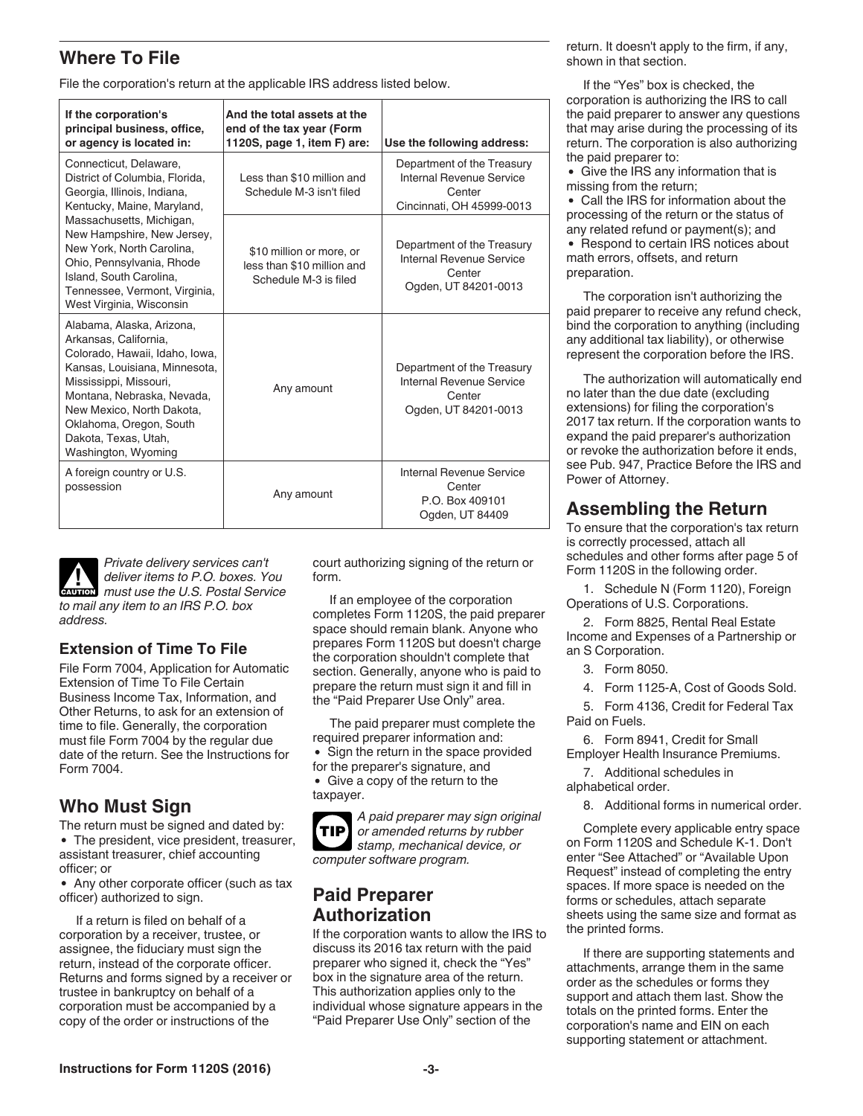## <span id="page-2-0"></span>**Where To File**

File the corporation's return at the applicable IRS address listed below.

| If the corporation's<br>principal business, office,<br>or agency is located in:                                                                                                                                                                                                      | And the total assets at the<br>end of the tax year (Form<br>1120S, page 1, item F) are: | Use the following address:                                                                    |
|--------------------------------------------------------------------------------------------------------------------------------------------------------------------------------------------------------------------------------------------------------------------------------------|-----------------------------------------------------------------------------------------|-----------------------------------------------------------------------------------------------|
| Connecticut, Delaware,<br>District of Columbia, Florida,<br>Georgia, Illinois, Indiana,<br>Kentucky, Maine, Maryland,                                                                                                                                                                | Less than \$10 million and<br>Schedule M-3 isn't filed                                  | Department of the Treasury<br>Internal Revenue Service<br>Center<br>Cincinnati, OH 45999-0013 |
| Massachusetts, Michigan,<br>New Hampshire, New Jersey,<br>New York, North Carolina,<br>Ohio, Pennsylvania, Rhode<br>Island, South Carolina,<br>Tennessee, Vermont, Virginia,<br>West Virginia, Wisconsin                                                                             | \$10 million or more, or<br>less than \$10 million and<br>Schedule M-3 is filed         | Department of the Treasury<br>Internal Revenue Service<br>Center<br>Ogden, UT 84201-0013      |
| Alabama, Alaska, Arizona,<br>Arkansas, California,<br>Colorado, Hawaii, Idaho, Iowa,<br>Kansas, Louisiana, Minnesota,<br>Mississippi, Missouri,<br>Montana, Nebraska, Nevada,<br>New Mexico, North Dakota,<br>Oklahoma, Oregon, South<br>Dakota, Texas, Utah,<br>Washington, Wyoming | Any amount                                                                              | Department of the Treasury<br>Internal Revenue Service<br>Center<br>Ogden, UT 84201-0013      |
| A foreign country or U.S.<br>possession                                                                                                                                                                                                                                              | Any amount                                                                              | Internal Revenue Service<br>Center<br>P.O. Box 409101<br>Ogden, UT 84409                      |



*Private delivery services can't deliver items to P.O. boxes. You must use the U.S. Postal Service to mail any item to an IRS P.O. box* 

## **Extension of Time To File**

File Form 7004, Application for Automatic Extension of Time To File Certain Business Income Tax, Information, and Other Returns, to ask for an extension of time to file. Generally, the corporation must file Form 7004 by the regular due date of the return. See the Instructions for Form 7004.

## **Who Must Sign**

The return must be signed and dated by: The president, vice president, treasurer, assistant treasurer, chief accounting officer; or

Any other corporate officer (such as tax officer) authorized to sign.

If a return is filed on behalf of a corporation by a receiver, trustee, or assignee, the fiduciary must sign the return, instead of the corporate officer. Returns and forms signed by a receiver or trustee in bankruptcy on behalf of a corporation must be accompanied by a copy of the order or instructions of the

court authorizing signing of the return or form.

If an employee of the corporation completes Form 1120S, the paid preparer space should remain blank. Anyone who prepares Form 1120S but doesn't charge the corporation shouldn't complete that section. Generally, anyone who is paid to prepare the return must sign it and fill in the "Paid Preparer Use Only" area.

The paid preparer must complete the required preparer information and:

• Sign the return in the space provided for the preparer's signature, and

Give a copy of the return to the taxpayer.



*A paid preparer may sign original or amended returns by rubber stamp, mechanical device, or computer software program.*

## **Paid Preparer Authorization**

If the corporation wants to allow the IRS to discuss its 2016 tax return with the paid preparer who signed it, check the "Yes" box in the signature area of the return. This authorization applies only to the individual whose signature appears in the "Paid Preparer Use Only" section of the

return. It doesn't apply to the firm, if any, shown in that section.

If the "Yes" box is checked, the corporation is authorizing the IRS to call the paid preparer to answer any questions that may arise during the processing of its return. The corporation is also authorizing the paid preparer to:

Give the IRS any information that is missing from the return;

Call the IRS for information about the processing of the return or the status of any related refund or payment(s); and

• Respond to certain IRS notices about math errors, offsets, and return preparation.

The corporation isn't authorizing the paid preparer to receive any refund check, bind the corporation to anything (including any additional tax liability), or otherwise represent the corporation before the IRS.

The authorization will automatically end no later than the due date (excluding extensions) for filing the corporation's 2017 tax return. If the corporation wants to expand the paid preparer's authorization or revoke the authorization before it ends, see Pub. 947, Practice Before the IRS and Power of Attorney.

## **Assembling the Return**

To ensure that the corporation's tax return is correctly processed, attach all schedules and other forms after page 5 of Form 1120S in the following order.

1. Schedule N (Form 1120), Foreign Operations of U.S. Corporations.

2. Form 8825, Rental Real Estate Income and Expenses of a Partnership or an S Corporation.

3. Form 8050.

4. Form 1125-A, Cost of Goods Sold.

5. Form 4136, Credit for Federal Tax Paid on Fuels.

6. Form 8941, Credit for Small Employer Health Insurance Premiums.

7. Additional schedules in alphabetical order.

8. Additional forms in numerical order.

Complete every applicable entry space on Form 1120S and Schedule K-1. Don't enter "See Attached" or "Available Upon Request" instead of completing the entry spaces. If more space is needed on the forms or schedules, attach separate sheets using the same size and format as the printed forms.

If there are supporting statements and attachments, arrange them in the same order as the schedules or forms they support and attach them last. Show the totals on the printed forms. Enter the corporation's name and EIN on each supporting statement or attachment.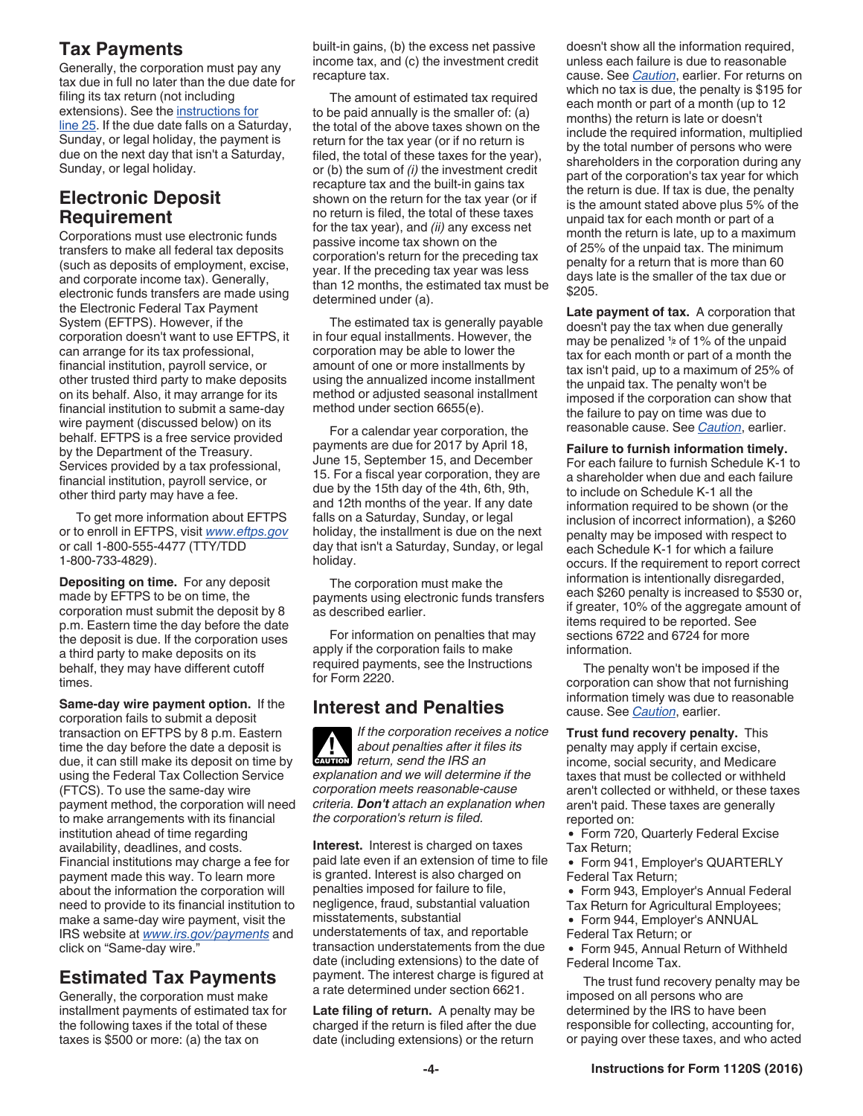## <span id="page-3-0"></span>**Tax Payments**

Generally, the corporation must pay any tax due in full no later than the due date for filing its tax return (not including extensions). See the [instructions for](#page-18-0) [line 25](#page-18-0). If the due date falls on a Saturday, Sunday, or legal holiday, the payment is due on the next day that isn't a Saturday, Sunday, or legal holiday.

## **Electronic Deposit Requirement**

Corporations must use electronic funds transfers to make all federal tax deposits (such as deposits of employment, excise, and corporate income tax). Generally, electronic funds transfers are made using the Electronic Federal Tax Payment System (EFTPS). However, if the corporation doesn't want to use EFTPS, it can arrange for its tax professional, financial institution, payroll service, or other trusted third party to make deposits on its behalf. Also, it may arrange for its financial institution to submit a same-day wire payment (discussed below) on its behalf. EFTPS is a free service provided by the Department of the Treasury. Services provided by a tax professional, financial institution, payroll service, or other third party may have a fee.

To get more information about EFTPS or to enroll in EFTPS, visit *[www.eftps.gov](https://www.eftps.gov)*  or call 1-800-555-4477 (TTY/TDD 1-800-733-4829).

**Depositing on time.** For any deposit made by EFTPS to be on time, the corporation must submit the deposit by 8 p.m. Eastern time the day before the date the deposit is due. If the corporation uses a third party to make deposits on its behalf, they may have different cutoff times.

**Same-day wire payment option.** If the corporation fails to submit a deposit transaction on EFTPS by 8 p.m. Eastern time the day before the date a deposit is due, it can still make its deposit on time by using the Federal Tax Collection Service (FTCS). To use the same-day wire payment method, the corporation will need to make arrangements with its financial institution ahead of time regarding availability, deadlines, and costs. Financial institutions may charge a fee for payment made this way. To learn more about the information the corporation will need to provide to its financial institution to make a same-day wire payment, visit the IRS website at *[www.irs.gov/payments](https://www.irs.gov/payments)* and click on "Same-day wire."

## **Estimated Tax Payments**

Generally, the corporation must make installment payments of estimated tax for the following taxes if the total of these taxes is \$500 or more: (a) the tax on

built-in gains, (b) the excess net passive income tax, and (c) the investment credit recapture tax.

The amount of estimated tax required to be paid annually is the smaller of: (a) the total of the above taxes shown on the return for the tax year (or if no return is filed, the total of these taxes for the year), or (b) the sum of *(i)* the investment credit recapture tax and the built-in gains tax shown on the return for the tax year (or if no return is filed, the total of these taxes for the tax year), and *(ii)* any excess net passive income tax shown on the corporation's return for the preceding tax year. If the preceding tax year was less than 12 months, the estimated tax must be determined under (a).

The estimated tax is generally payable in four equal installments. However, the corporation may be able to lower the amount of one or more installments by using the annualized income installment method or adjusted seasonal installment method under section 6655(e).

For a calendar year corporation, the payments are due for 2017 by April 18, June 15, September 15, and December 15. For a fiscal year corporation, they are due by the 15th day of the 4th, 6th, 9th, and 12th months of the year. If any date falls on a Saturday, Sunday, or legal holiday, the installment is due on the next day that isn't a Saturday, Sunday, or legal holiday.

The corporation must make the payments using electronic funds transfers as described earlier.

For information on penalties that may apply if the corporation fails to make required payments, see the Instructions for Form 2220.

## **Interest and Penalties**

*If the corporation receives a notice about penalties after it files its*  **z**<br>*c***<sup>uTION</sup></del>** *return, send the IRS an explanation and we will determine if the corporation meets reasonable-cause criteria. Don't attach an explanation when the corporation's return is filed.*

**Interest.** Interest is charged on taxes paid late even if an extension of time to file is granted. Interest is also charged on penalties imposed for failure to file, negligence, fraud, substantial valuation misstatements, substantial understatements of tax, and reportable transaction understatements from the due date (including extensions) to the date of payment. The interest charge is figured at a rate determined under section 6621.

**Late filing of return.** A penalty may be charged if the return is filed after the due date (including extensions) or the return

doesn't show all the information required, unless each failure is due to reasonable cause. See *Caution*, earlier. For returns on which no tax is due, the penalty is \$195 for each month or part of a month (up to 12 months) the return is late or doesn't include the required information, multiplied by the total number of persons who were shareholders in the corporation during any part of the corporation's tax year for which the return is due. If tax is due, the penalty is the amount stated above plus 5% of the unpaid tax for each month or part of a month the return is late, up to a maximum of 25% of the unpaid tax. The minimum penalty for a return that is more than 60 days late is the smaller of the tax due or \$205.

**Late payment of tax.** A corporation that doesn't pay the tax when due generally may be penalized **<sup>1</sup> <sup>2</sup>** of 1% of the unpaid tax for each month or part of a month the tax isn't paid, up to a maximum of 25% of the unpaid tax. The penalty won't be imposed if the corporation can show that the failure to pay on time was due to reasonable cause. See *Caution*, earlier.

**Failure to furnish information timely.**  For each failure to furnish Schedule K-1 to a shareholder when due and each failure to include on Schedule K-1 all the information required to be shown (or the inclusion of incorrect information), a \$260 penalty may be imposed with respect to each Schedule K-1 for which a failure occurs. If the requirement to report correct information is intentionally disregarded, each \$260 penalty is increased to \$530 or, if greater, 10% of the aggregate amount of items required to be reported. See sections 6722 and 6724 for more information.

The penalty won't be imposed if the corporation can show that not furnishing information timely was due to reasonable cause. See *Caution*, earlier.

**Trust fund recovery penalty.** This penalty may apply if certain excise, income, social security, and Medicare taxes that must be collected or withheld aren't collected or withheld, or these taxes aren't paid. These taxes are generally reported on:

- Form 720, Quarterly Federal Excise Tax Return;
- Form 941, Employer's QUARTERLY Federal Tax Return;
- Form 943, Employer's Annual Federal
- Tax Return for Agricultural Employees;
- Form 944, Employer's ANNUAL
- Federal Tax Return; or
- Form 945, Annual Return of Withheld Federal Income Tax.

The trust fund recovery penalty may be imposed on all persons who are determined by the IRS to have been responsible for collecting, accounting for, or paying over these taxes, and who acted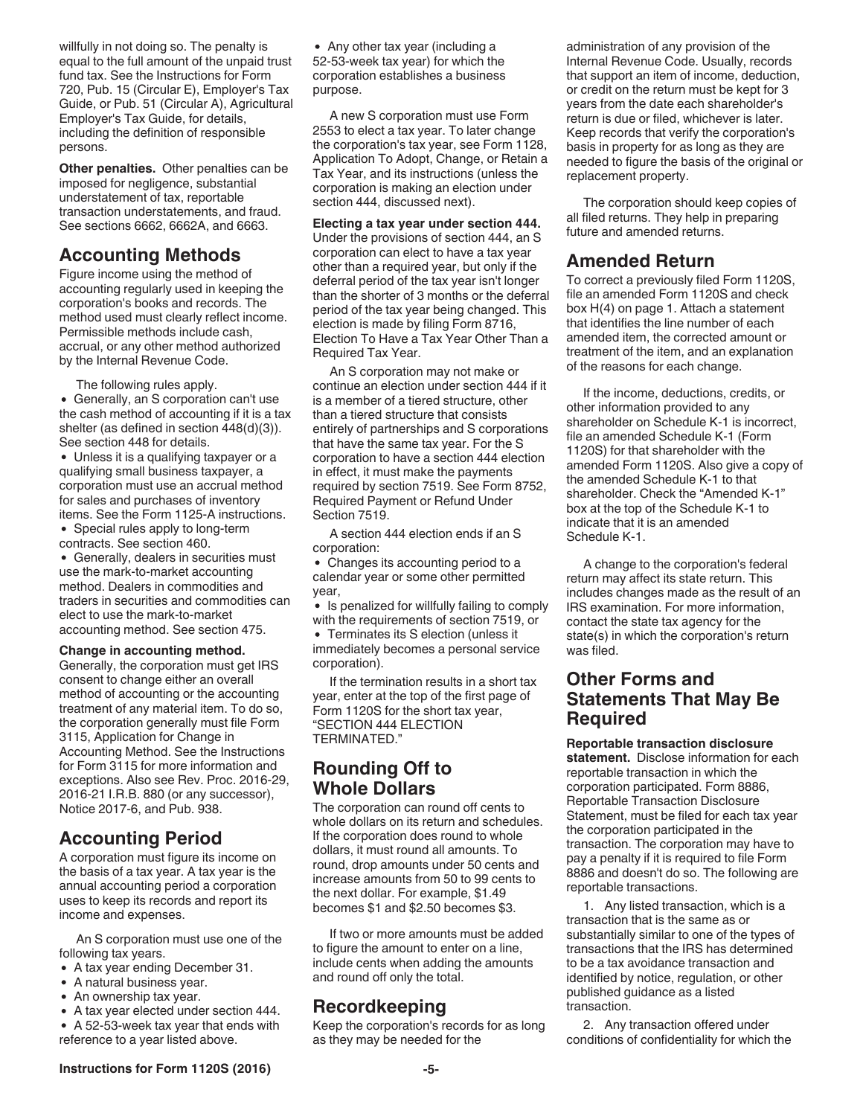<span id="page-4-0"></span>willfully in not doing so. The penalty is equal to the full amount of the unpaid trust fund tax. See the Instructions for Form 720, Pub. 15 (Circular E), Employer's Tax Guide, or Pub. 51 (Circular A), Agricultural Employer's Tax Guide, for details, including the definition of responsible persons.

**Other penalties.** Other penalties can be imposed for negligence, substantial understatement of tax, reportable transaction understatements, and fraud. See sections 6662, 6662A, and 6663.

## **Accounting Methods**

Figure income using the method of accounting regularly used in keeping the corporation's books and records. The method used must clearly reflect income. Permissible methods include cash, accrual, or any other method authorized by the Internal Revenue Code.

The following rules apply.

Generally, an S corporation can't use the cash method of accounting if it is a tax shelter (as defined in section 448(d)(3)). See section 448 for details.

Unless it is a qualifying taxpayer or a qualifying small business taxpayer, a corporation must use an accrual method for sales and purchases of inventory items. See the Form 1125-A instructions.

• Special rules apply to long-term contracts. See section 460.

Generally, dealers in securities must use the mark-to-market accounting method. Dealers in commodities and traders in securities and commodities can elect to use the mark-to-market accounting method. See section 475.

#### **Change in accounting method.**

Generally, the corporation must get IRS consent to change either an overall method of accounting or the accounting treatment of any material item. To do so, the corporation generally must file Form 3115, Application for Change in Accounting Method. See the Instructions for Form 3115 for more information and exceptions. Also see Rev. Proc. 2016-29, 2016-21 I.R.B. 880 (or any successor), Notice 2017-6, and Pub. 938.

## **Accounting Period**

A corporation must figure its income on the basis of a tax year. A tax year is the annual accounting period a corporation uses to keep its records and report its income and expenses.

An S corporation must use one of the following tax years.

- A tax year ending December 31.
- A natural business year.
- An ownership tax year.
- A tax year elected under section 444.
- A 52-53-week tax year that ends with reference to a year listed above.

• Any other tax year (including a 52-53-week tax year) for which the corporation establishes a business purpose.

A new S corporation must use Form 2553 to elect a tax year. To later change the corporation's tax year, see Form 1128, Application To Adopt, Change, or Retain a Tax Year, and its instructions (unless the corporation is making an election under section 444, discussed next).

**Electing a tax year under section 444.**  Under the provisions of section 444, an S corporation can elect to have a tax year other than a required year, but only if the deferral period of the tax year isn't longer than the shorter of 3 months or the deferral period of the tax year being changed. This election is made by filing Form 8716, Election To Have a Tax Year Other Than a Required Tax Year.

An S corporation may not make or continue an election under section 444 if it is a member of a tiered structure, other than a tiered structure that consists entirely of partnerships and S corporations that have the same tax year. For the S corporation to have a section 444 election in effect, it must make the payments required by section 7519. See Form 8752, Required Payment or Refund Under Section 7519.

A section 444 election ends if an S corporation:

Changes its accounting period to a calendar year or some other permitted year,

• Is penalized for willfully failing to comply with the requirements of section 7519, or

Terminates its S election (unless it immediately becomes a personal service corporation).

If the termination results in a short tax year, enter at the top of the first page of Form 1120S for the short tax year, "SECTION 444 ELECTION TERMINATED."

## **Rounding Off to Whole Dollars**

The corporation can round off cents to whole dollars on its return and schedules. If the corporation does round to whole dollars, it must round all amounts. To round, drop amounts under 50 cents and increase amounts from 50 to 99 cents to the next dollar. For example, \$1.49 becomes \$1 and \$2.50 becomes \$3.

If two or more amounts must be added to figure the amount to enter on a line, include cents when adding the amounts and round off only the total.

## **Recordkeeping**

Keep the corporation's records for as long as they may be needed for the

administration of any provision of the Internal Revenue Code. Usually, records that support an item of income, deduction, or credit on the return must be kept for 3 years from the date each shareholder's return is due or filed, whichever is later. Keep records that verify the corporation's basis in property for as long as they are needed to figure the basis of the original or replacement property.

The corporation should keep copies of all filed returns. They help in preparing future and amended returns.

## **Amended Return**

To correct a previously filed Form 1120S, file an amended Form 1120S and check box H(4) on page 1. Attach a statement that identifies the line number of each amended item, the corrected amount or treatment of the item, and an explanation of the reasons for each change.

If the income, deductions, credits, or other information provided to any shareholder on Schedule K-1 is incorrect, file an amended Schedule K-1 (Form 1120S) for that shareholder with the amended Form 1120S. Also give a copy of the amended Schedule K-1 to that shareholder. Check the "Amended K-1" box at the top of the Schedule K-1 to indicate that it is an amended Schedule K-1.

A change to the corporation's federal return may affect its state return. This includes changes made as the result of an IRS examination. For more information, contact the state tax agency for the state(s) in which the corporation's return was filed.

## **Other Forms and Statements That May Be Required**

**Reportable transaction disclosure statement.** Disclose information for each reportable transaction in which the corporation participated. Form 8886, Reportable Transaction Disclosure Statement, must be filed for each tax year the corporation participated in the transaction. The corporation may have to pay a penalty if it is required to file Form 8886 and doesn't do so. The following are reportable transactions.

1. Any listed transaction, which is a transaction that is the same as or substantially similar to one of the types of transactions that the IRS has determined to be a tax avoidance transaction and identified by notice, regulation, or other published guidance as a listed transaction.

2. Any transaction offered under conditions of confidentiality for which the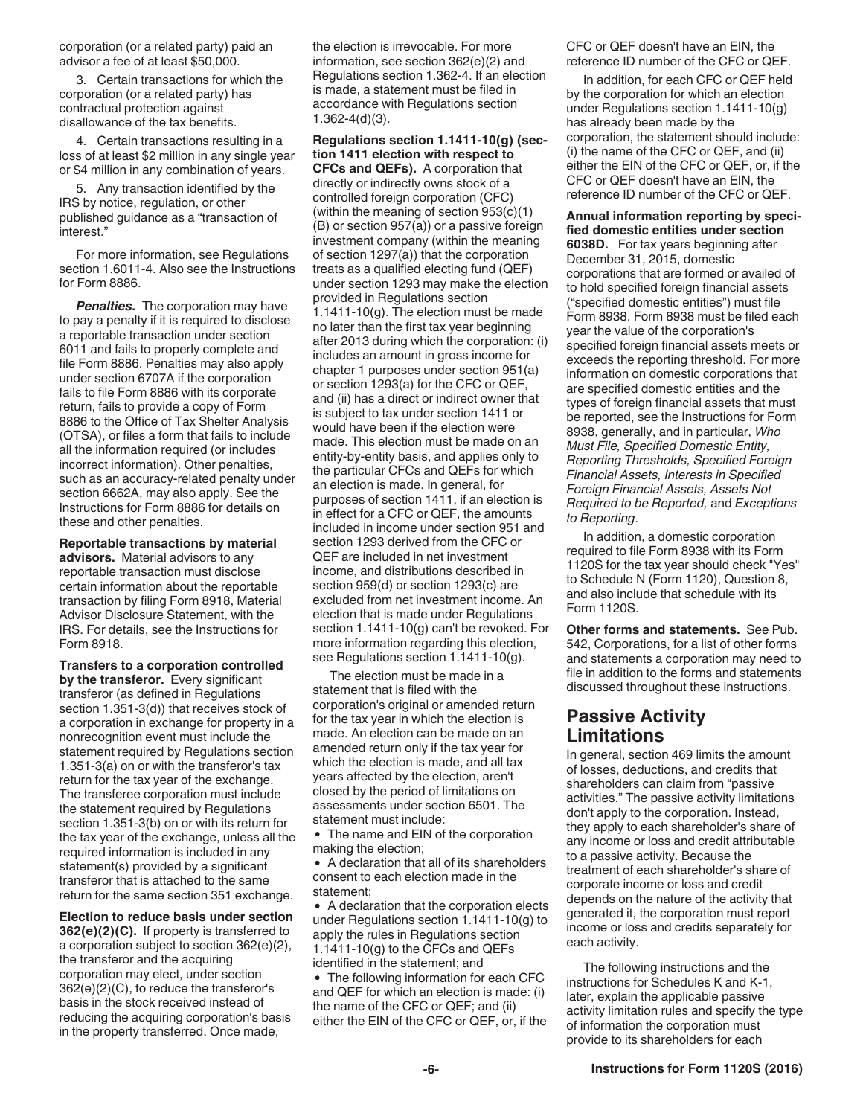<span id="page-5-0"></span>corporation (or a related party) paid an advisor a fee of at least \$50,000.

3. Certain transactions for which the corporation (or a related party) has contractual protection against disallowance of the tax benefits.

4. Certain transactions resulting in a loss of at least \$2 million in any single year or \$4 million in any combination of years.

5. Any transaction identified by the IRS by notice, regulation, or other published guidance as a "transaction of interest."

For more information, see Regulations section 1.6011-4. Also see the Instructions for Form 8886.

**Penalties.** The corporation may have to pay a penalty if it is required to disclose a reportable transaction under section 6011 and fails to properly complete and file Form 8886. Penalties may also apply under section 6707A if the corporation fails to file Form 8886 with its corporate return, fails to provide a copy of Form 8886 to the Office of Tax Shelter Analysis (OTSA), or files a form that fails to include all the information required (or includes incorrect information). Other penalties, such as an accuracy-related penalty under section 6662A, may also apply. See the Instructions for Form 8886 for details on these and other penalties.

**Reportable transactions by material advisors.** Material advisors to any reportable transaction must disclose certain information about the reportable transaction by filing Form 8918, Material Advisor Disclosure Statement, with the IRS. For details, see the Instructions for Form 8918.

**Transfers to a corporation controlled by the transferor.** Every significant transferor (as defined in Regulations section 1.351-3(d)) that receives stock of a corporation in exchange for property in a nonrecognition event must include the statement required by Regulations section 1.351-3(a) on or with the transferor's tax return for the tax year of the exchange. The transferee corporation must include the statement required by Regulations section 1.351-3(b) on or with its return for the tax year of the exchange, unless all the required information is included in any statement(s) provided by a significant transferor that is attached to the same return for the same section 351 exchange.

**Election to reduce basis under section 362(e)(2)(C).** If property is transferred to a corporation subject to section 362(e)(2), the transferor and the acquiring corporation may elect, under section 362(e)(2)(C), to reduce the transferor's basis in the stock received instead of reducing the acquiring corporation's basis in the property transferred. Once made,

the election is irrevocable. For more information, see section 362(e)(2) and Regulations section 1.362-4. If an election is made, a statement must be filed in accordance with Regulations section 1.362-4(d)(3).

Regulations section 1.1411-10(g) (sec**tion 1411 election with respect to CFCs and QEFs).** A corporation that directly or indirectly owns stock of a controlled foreign corporation (CFC) (within the meaning of section 953(c)(1) (B) or section 957(a)) or a passive foreign investment company (within the meaning of section 1297(a)) that the corporation treats as a qualified electing fund (QEF) under section 1293 may make the election provided in Regulations section 1.1411-10(g). The election must be made no later than the first tax year beginning after 2013 during which the corporation: (i) includes an amount in gross income for chapter 1 purposes under section 951(a) or section 1293(a) for the CFC or QEF, and (ii) has a direct or indirect owner that is subject to tax under section 1411 or would have been if the election were made. This election must be made on an entity-by-entity basis, and applies only to the particular CFCs and QEFs for which an election is made. In general, for purposes of section 1411, if an election is in effect for a CFC or QEF, the amounts included in income under section 951 and section 1293 derived from the CFC or QEF are included in net investment income, and distributions described in section 959(d) or section 1293(c) are excluded from net investment income. An election that is made under Regulations section 1.1411-10(g) can't be revoked. For more information regarding this election, see Regulations section 1.1411-10(g).

The election must be made in a statement that is filed with the corporation's original or amended return for the tax year in which the election is made. An election can be made on an amended return only if the tax year for which the election is made, and all tax years affected by the election, aren't closed by the period of limitations on assessments under section 6501. The statement must include:

• The name and EIN of the corporation making the election;

A declaration that all of its shareholders consent to each election made in the statement;

A declaration that the corporation elects under Regulations section 1.1411-10(g) to apply the rules in Regulations section 1.1411-10 $(g)$  to the CFCs and QEFs identified in the statement; and

The following information for each CFC and QEF for which an election is made: (i) the name of the CFC or QEF; and (ii) either the EIN of the CFC or QEF, or, if the CFC or QEF doesn't have an EIN, the reference ID number of the CFC or QEF.

In addition, for each CFC or QEF held by the corporation for which an election under Regulations section 1.1411-10(g) has already been made by the corporation, the statement should include: (i) the name of the CFC or QEF, and (ii) either the EIN of the CFC or QEF, or, if the CFC or QEF doesn't have an EIN, the reference ID number of the CFC or QEF.

**Annual information reporting by specified domestic entities under section 6038D.** For tax years beginning after December 31, 2015, domestic corporations that are formed or availed of to hold specified foreign financial assets ("specified domestic entities") must file Form 8938. Form 8938 must be filed each year the value of the corporation's specified foreign financial assets meets or exceeds the reporting threshold. For more information on domestic corporations that are specified domestic entities and the types of foreign financial assets that must be reported, see the Instructions for Form 8938, generally, and in particular, *Who Must File, Specified Domestic Entity, Reporting Thresholds, Specified Foreign Financial Assets, Interests in Specified Foreign Financial Assets, Assets Not Required to be Reported,* and *Exceptions to Reporting*.

In addition, a domestic corporation required to file Form 8938 with its Form 1120S for the tax year should check "Yes" to Schedule N (Form 1120), Question 8, and also include that schedule with its Form 1120S.

**Other forms and statements.** See Pub. 542, Corporations, for a list of other forms and statements a corporation may need to file in addition to the forms and statements discussed throughout these instructions.

## **Passive Activity Limitations**

In general, section 469 limits the amount of losses, deductions, and credits that shareholders can claim from "passive activities." The passive activity limitations don't apply to the corporation. Instead, they apply to each shareholder's share of any income or loss and credit attributable to a passive activity. Because the treatment of each shareholder's share of corporate income or loss and credit depends on the nature of the activity that generated it, the corporation must report income or loss and credits separately for each activity.

The following instructions and the instructions for Schedules K and K-1, later, explain the applicable passive activity limitation rules and specify the type of information the corporation must provide to its shareholders for each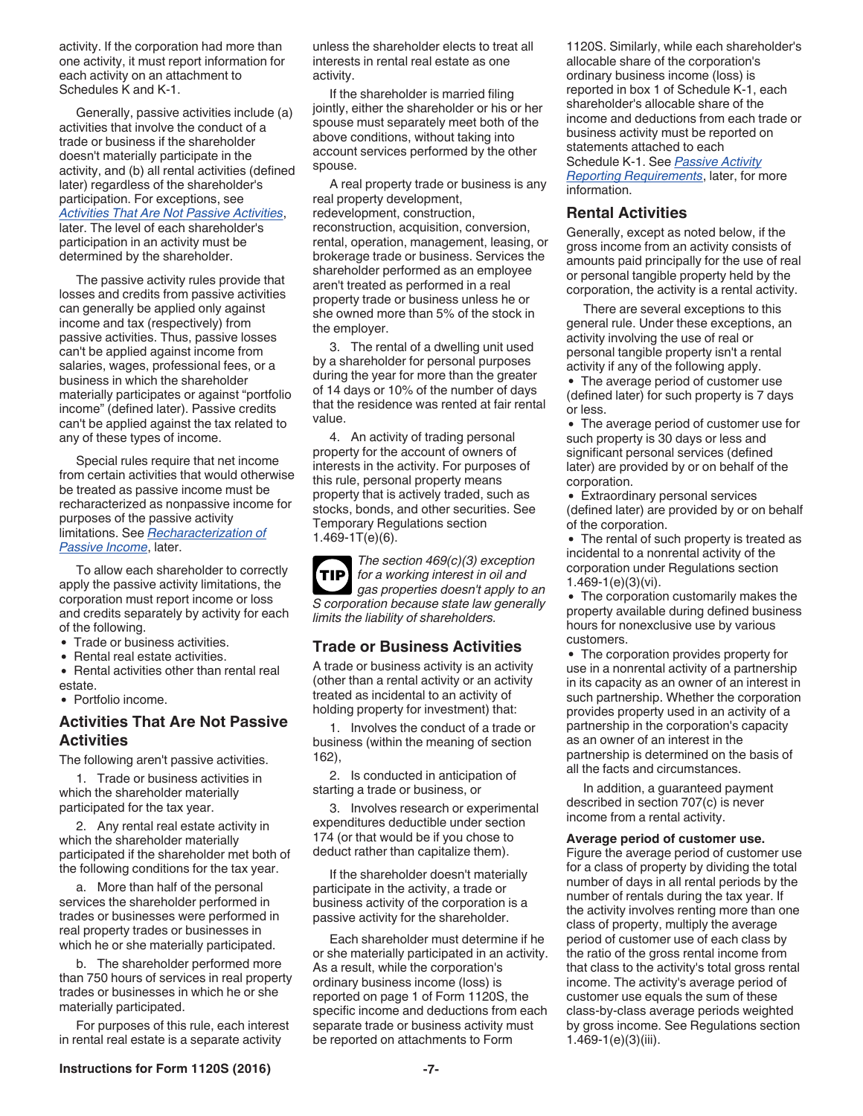<span id="page-6-0"></span>activity. If the corporation had more than one activity, it must report information for each activity on an attachment to Schedules K and K-1.

Generally, passive activities include (a) activities that involve the conduct of a trade or business if the shareholder doesn't materially participate in the activity, and (b) all rental activities (defined later) regardless of the shareholder's participation. For exceptions, see *Activities That Are Not Passive Activities*, later. The level of each shareholder's participation in an activity must be determined by the shareholder.

The passive activity rules provide that losses and credits from passive activities can generally be applied only against income and tax (respectively) from passive activities. Thus, passive losses can't be applied against income from salaries, wages, professional fees, or a business in which the shareholder materially participates or against "portfolio income" (defined later). Passive credits can't be applied against the tax related to any of these types of income.

Special rules require that net income from certain activities that would otherwise be treated as passive income must be recharacterized as nonpassive income for purposes of the passive activity limitations. See *[Recharacterization of](#page-8-0) [Passive Income](#page-8-0)*, later.

To allow each shareholder to correctly apply the passive activity limitations, the corporation must report income or loss and credits separately by activity for each of the following.

- Trade or business activities.
- $\bullet$ Rental real estate activities.

• Rental activities other than rental real estate.

• Portfolio income.

## **Activities That Are Not Passive Activities**

The following aren't passive activities.

1. Trade or business activities in which the shareholder materially participated for the tax year.

2. Any rental real estate activity in which the shareholder materially participated if the shareholder met both of the following conditions for the tax year.

a. More than half of the personal services the shareholder performed in trades or businesses were performed in real property trades or businesses in which he or she materially participated.

b. The shareholder performed more than 750 hours of services in real property trades or businesses in which he or she materially participated.

For purposes of this rule, each interest in rental real estate is a separate activity

unless the shareholder elects to treat all interests in rental real estate as one activity.

If the shareholder is married filing jointly, either the shareholder or his or her spouse must separately meet both of the above conditions, without taking into account services performed by the other spouse.

A real property trade or business is any real property development, redevelopment, construction, reconstruction, acquisition, conversion, rental, operation, management, leasing, or brokerage trade or business. Services the shareholder performed as an employee aren't treated as performed in a real property trade or business unless he or she owned more than 5% of the stock in the employer.

3. The rental of a dwelling unit used by a shareholder for personal purposes during the year for more than the greater of 14 days or 10% of the number of days that the residence was rented at fair rental value.

4. An activity of trading personal property for the account of owners of interests in the activity. For purposes of this rule, personal property means property that is actively traded, such as stocks, bonds, and other securities. See Temporary Regulations section 1.469-1T(e)(6).

**TIP**

*The section 469(c)(3) exception for a working interest in oil and gas properties doesn't apply to an* 

*S corporation because state law generally limits the liability of shareholders.*

#### **Trade or Business Activities**

A trade or business activity is an activity (other than a rental activity or an activity treated as incidental to an activity of holding property for investment) that:

1. Involves the conduct of a trade or business (within the meaning of section 162),

2. Is conducted in anticipation of starting a trade or business, or

3. Involves research or experimental expenditures deductible under section 174 (or that would be if you chose to deduct rather than capitalize them).

If the shareholder doesn't materially participate in the activity, a trade or business activity of the corporation is a passive activity for the shareholder.

Each shareholder must determine if he or she materially participated in an activity. As a result, while the corporation's ordinary business income (loss) is reported on page 1 of Form 1120S, the specific income and deductions from each separate trade or business activity must be reported on attachments to Form

1120S. Similarly, while each shareholder's allocable share of the corporation's ordinary business income (loss) is reported in box 1 of Schedule K-1, each shareholder's allocable share of the income and deductions from each trade or business activity must be reported on statements attached to each Schedule K-1. See *[Passive Activity](#page-9-0)* 

*[Reporting Requirements](#page-9-0)*, later, for more information.

#### **Rental Activities**

Generally, except as noted below, if the gross income from an activity consists of amounts paid principally for the use of real or personal tangible property held by the corporation, the activity is a rental activity.

There are several exceptions to this general rule. Under these exceptions, an activity involving the use of real or personal tangible property isn't a rental activity if any of the following apply.

The average period of customer use (defined later) for such property is 7 days or less.

The average period of customer use for such property is 30 days or less and significant personal services (defined later) are provided by or on behalf of the corporation.

Extraordinary personal services (defined later) are provided by or on behalf of the corporation.

• The rental of such property is treated as incidental to a nonrental activity of the corporation under Regulations section 1.469-1(e)(3)(vi).

The corporation customarily makes the property available during defined business hours for nonexclusive use by various customers.

The corporation provides property for use in a nonrental activity of a partnership in its capacity as an owner of an interest in such partnership. Whether the corporation provides property used in an activity of a partnership in the corporation's capacity as an owner of an interest in the partnership is determined on the basis of all the facts and circumstances.

In addition, a guaranteed payment described in section 707(c) is never income from a rental activity.

#### **Average period of customer use.**

Figure the average period of customer use for a class of property by dividing the total number of days in all rental periods by the number of rentals during the tax year. If the activity involves renting more than one class of property, multiply the average period of customer use of each class by the ratio of the gross rental income from that class to the activity's total gross rental income. The activity's average period of customer use equals the sum of these class-by-class average periods weighted by gross income. See Regulations section 1.469-1(e)(3)(iii).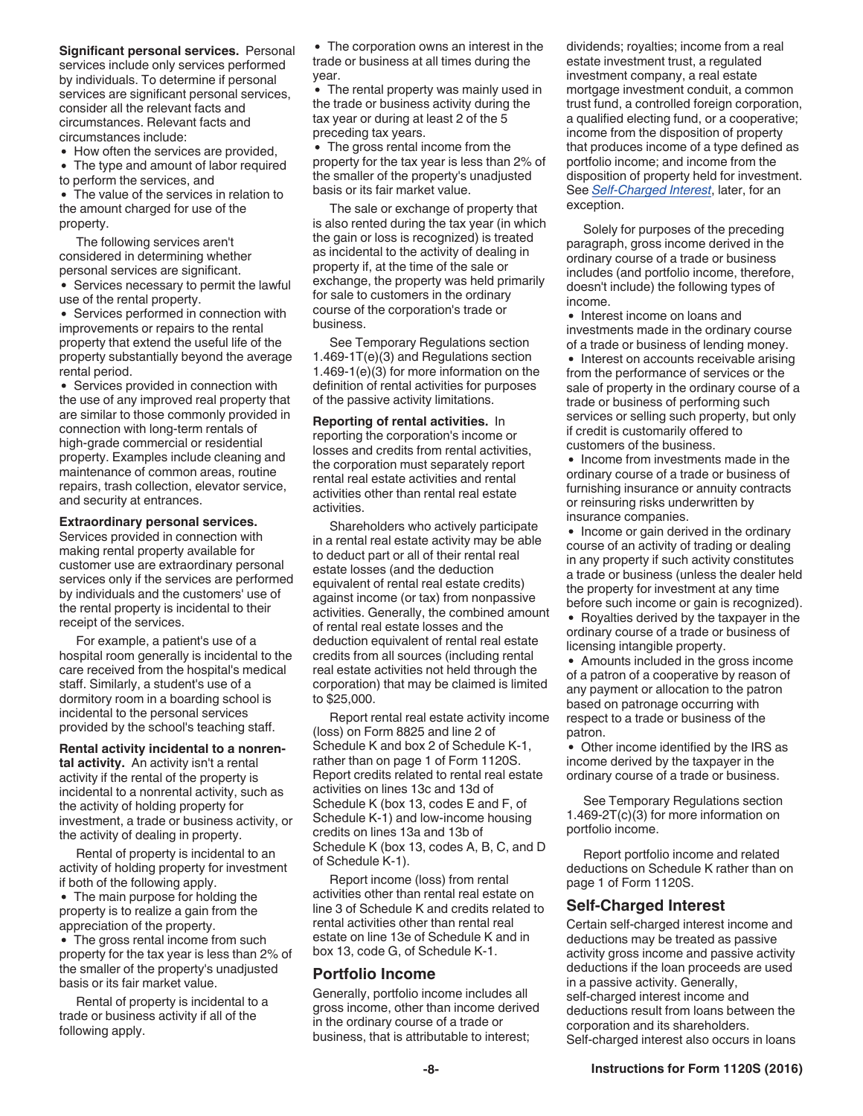<span id="page-7-0"></span>**Significant personal services.** Personal services include only services performed by individuals. To determine if personal services are significant personal services, consider all the relevant facts and circumstances. Relevant facts and circumstances include:

• How often the services are provided,

The type and amount of labor required to perform the services, and

The value of the services in relation to the amount charged for use of the property.

The following services aren't considered in determining whether personal services are significant.

Services necessary to permit the lawful use of the rental property.

Services performed in connection with improvements or repairs to the rental property that extend the useful life of the property substantially beyond the average rental period.

Services provided in connection with the use of any improved real property that are similar to those commonly provided in connection with long-term rentals of high-grade commercial or residential property. Examples include cleaning and maintenance of common areas, routine repairs, trash collection, elevator service, and security at entrances.

#### **Extraordinary personal services.**

Services provided in connection with making rental property available for customer use are extraordinary personal services only if the services are performed by individuals and the customers' use of the rental property is incidental to their receipt of the services.

For example, a patient's use of a hospital room generally is incidental to the care received from the hospital's medical staff. Similarly, a student's use of a dormitory room in a boarding school is incidental to the personal services provided by the school's teaching staff.

**Rental activity incidental to a nonrental activity.** An activity isn't a rental activity if the rental of the property is incidental to a nonrental activity, such as the activity of holding property for investment, a trade or business activity, or the activity of dealing in property.

Rental of property is incidental to an activity of holding property for investment if both of the following apply.

• The main purpose for holding the property is to realize a gain from the appreciation of the property.

• The gross rental income from such property for the tax year is less than 2% of the smaller of the property's unadjusted basis or its fair market value.

Rental of property is incidental to a trade or business activity if all of the following apply.

The corporation owns an interest in the trade or business at all times during the year.

The rental property was mainly used in the trade or business activity during the tax year or during at least 2 of the 5 preceding tax years.

The gross rental income from the property for the tax year is less than 2% of the smaller of the property's unadjusted basis or its fair market value.

The sale or exchange of property that is also rented during the tax year (in which the gain or loss is recognized) is treated as incidental to the activity of dealing in property if, at the time of the sale or exchange, the property was held primarily for sale to customers in the ordinary course of the corporation's trade or business.

See Temporary Regulations section 1.469-1T(e)(3) and Regulations section 1.469-1(e)(3) for more information on the definition of rental activities for purposes of the passive activity limitations.

**Reporting of rental activities.** In reporting the corporation's income or losses and credits from rental activities, the corporation must separately report rental real estate activities and rental activities other than rental real estate activities.

Shareholders who actively participate in a rental real estate activity may be able to deduct part or all of their rental real estate losses (and the deduction equivalent of rental real estate credits) against income (or tax) from nonpassive activities. Generally, the combined amount of rental real estate losses and the deduction equivalent of rental real estate credits from all sources (including rental real estate activities not held through the corporation) that may be claimed is limited to \$25,000.

Report rental real estate activity income (loss) on Form 8825 and line 2 of Schedule K and box 2 of Schedule K-1, rather than on page 1 of Form 1120S. Report credits related to rental real estate activities on lines 13c and 13d of Schedule K (box 13, codes E and F, of Schedule K-1) and low-income housing credits on lines 13a and 13b of Schedule K (box 13, codes A, B, C, and D of Schedule K-1).

Report income (loss) from rental activities other than rental real estate on line 3 of Schedule K and credits related to rental activities other than rental real estate on line 13e of Schedule K and in box 13, code G, of Schedule K-1.

#### **Portfolio Income**

Generally, portfolio income includes all gross income, other than income derived in the ordinary course of a trade or business, that is attributable to interest;

dividends; royalties; income from a real estate investment trust, a regulated investment company, a real estate mortgage investment conduit, a common trust fund, a controlled foreign corporation, a qualified electing fund, or a cooperative; income from the disposition of property that produces income of a type defined as portfolio income; and income from the disposition of property held for investment. See *Self-Charged Interest*, later, for an exception.

Solely for purposes of the preceding paragraph, gross income derived in the ordinary course of a trade or business includes (and portfolio income, therefore, doesn't include) the following types of income.

• Interest income on loans and investments made in the ordinary course of a trade or business of lending money.

• Interest on accounts receivable arising from the performance of services or the sale of property in the ordinary course of a trade or business of performing such services or selling such property, but only if credit is customarily offered to customers of the business.

• Income from investments made in the ordinary course of a trade or business of furnishing insurance or annuity contracts or reinsuring risks underwritten by insurance companies.

• Income or gain derived in the ordinary course of an activity of trading or dealing in any property if such activity constitutes a trade or business (unless the dealer held the property for investment at any time before such income or gain is recognized).

• Royalties derived by the taxpayer in the ordinary course of a trade or business of licensing intangible property.

Amounts included in the gross income of a patron of a cooperative by reason of any payment or allocation to the patron based on patronage occurring with respect to a trade or business of the patron.

Other income identified by the IRS as income derived by the taxpayer in the ordinary course of a trade or business.

See Temporary Regulations section 1.469-2T(c)(3) for more information on portfolio income.

Report portfolio income and related deductions on Schedule K rather than on page 1 of Form 1120S.

#### **Self-Charged Interest**

Certain self-charged interest income and deductions may be treated as passive activity gross income and passive activity deductions if the loan proceeds are used in a passive activity. Generally, self-charged interest income and deductions result from loans between the corporation and its shareholders. Self-charged interest also occurs in loans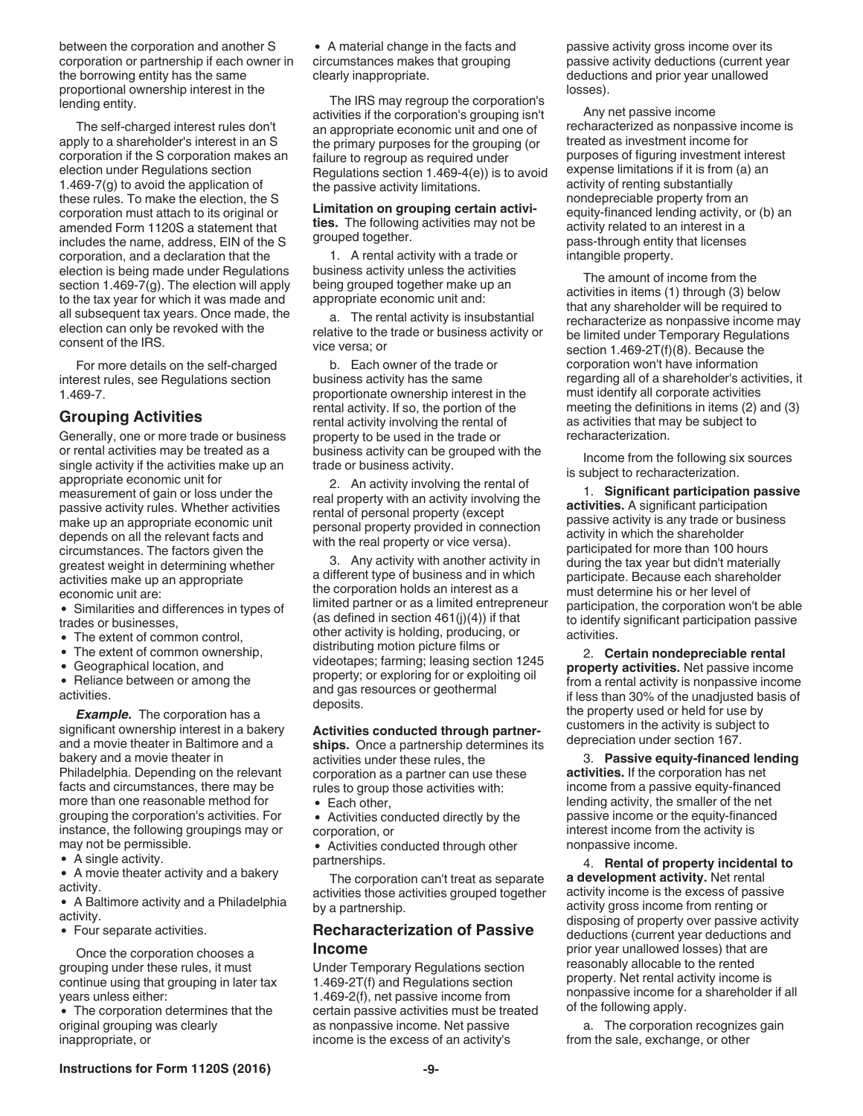<span id="page-8-0"></span>between the corporation and another S corporation or partnership if each owner in the borrowing entity has the same proportional ownership interest in the lending entity.

The self-charged interest rules don't apply to a shareholder's interest in an S corporation if the S corporation makes an election under Regulations section 1.469-7(g) to avoid the application of these rules. To make the election, the S corporation must attach to its original or amended Form 1120S a statement that includes the name, address, EIN of the S corporation, and a declaration that the election is being made under Regulations section 1.469-7(g). The election will apply to the tax year for which it was made and all subsequent tax years. Once made, the election can only be revoked with the consent of the IRS.

For more details on the self-charged interest rules, see Regulations section 1.469-7.

#### **Grouping Activities**

Generally, one or more trade or business or rental activities may be treated as a single activity if the activities make up an appropriate economic unit for measurement of gain or loss under the passive activity rules. Whether activities make up an appropriate economic unit depends on all the relevant facts and circumstances. The factors given the greatest weight in determining whether activities make up an appropriate economic unit are:

Similarities and differences in types of trades or businesses,

- The extent of common control,
- The extent of common ownership,
- Geographical location, and
- Reliance between or among the activities.

*Example.* The corporation has a significant ownership interest in a bakery and a movie theater in Baltimore and a bakery and a movie theater in Philadelphia. Depending on the relevant facts and circumstances, there may be more than one reasonable method for grouping the corporation's activities. For instance, the following groupings may or may not be permissible.

• A single activity.

• A movie theater activity and a bakery activity.

A Baltimore activity and a Philadelphia activity.

Four separate activities.

Once the corporation chooses a grouping under these rules, it must continue using that grouping in later tax years unless either:

The corporation determines that the original grouping was clearly inappropriate, or

A material change in the facts and circumstances makes that grouping clearly inappropriate.

The IRS may regroup the corporation's activities if the corporation's grouping isn't an appropriate economic unit and one of the primary purposes for the grouping (or failure to regroup as required under Regulations section 1.469-4(e)) is to avoid the passive activity limitations.

**Limitation on grouping certain activities.** The following activities may not be grouped together.

1. A rental activity with a trade or business activity unless the activities being grouped together make up an appropriate economic unit and:

a. The rental activity is insubstantial relative to the trade or business activity or vice versa; or

b. Each owner of the trade or business activity has the same proportionate ownership interest in the rental activity. If so, the portion of the rental activity involving the rental of property to be used in the trade or business activity can be grouped with the trade or business activity.

2. An activity involving the rental of real property with an activity involving the rental of personal property (except personal property provided in connection with the real property or vice versa).

3. Any activity with another activity in a different type of business and in which the corporation holds an interest as a limited partner or as a limited entrepreneur (as defined in section  $461(j)(4)$ ) if that other activity is holding, producing, or distributing motion picture films or videotapes; farming; leasing section 1245 property; or exploring for or exploiting oil and gas resources or geothermal deposits.

**Activities conducted through partnerships.** Once a partnership determines its activities under these rules, the corporation as a partner can use these rules to group those activities with: • Each other,

- 
- Activities conducted directly by the corporation, or

Activities conducted through other partnerships.

The corporation can't treat as separate activities those activities grouped together by a partnership.

### **Recharacterization of Passive Income**

Under Temporary Regulations section 1.469-2T(f) and Regulations section 1.469-2(f), net passive income from certain passive activities must be treated as nonpassive income. Net passive income is the excess of an activity's

passive activity gross income over its passive activity deductions (current year deductions and prior year unallowed losses).

Any net passive income recharacterized as nonpassive income is treated as investment income for purposes of figuring investment interest expense limitations if it is from (a) an activity of renting substantially nondepreciable property from an equity-financed lending activity, or (b) an activity related to an interest in a pass-through entity that licenses intangible property.

The amount of income from the activities in items (1) through (3) below that any shareholder will be required to recharacterize as nonpassive income may be limited under Temporary Regulations section 1.469-2T(f)(8). Because the corporation won't have information regarding all of a shareholder's activities, it must identify all corporate activities meeting the definitions in items (2) and (3) as activities that may be subject to recharacterization.

Income from the following six sources is subject to recharacterization.

1. **Significant participation passive activities.** A significant participation passive activity is any trade or business activity in which the shareholder participated for more than 100 hours during the tax year but didn't materially participate. Because each shareholder must determine his or her level of participation, the corporation won't be able to identify significant participation passive activities.

2. **Certain nondepreciable rental property activities.** Net passive income from a rental activity is nonpassive income if less than 30% of the unadjusted basis of the property used or held for use by customers in the activity is subject to depreciation under section 167.

**3. Passive equity-financed lending activities.** If the corporation has net income from a passive equity-financed lending activity, the smaller of the net passive income or the equity-financed interest income from the activity is nonpassive income.

4. **Rental of property incidental to a development activity.** Net rental activity income is the excess of passive activity gross income from renting or disposing of property over passive activity deductions (current year deductions and prior year unallowed losses) that are reasonably allocable to the rented property. Net rental activity income is nonpassive income for a shareholder if all of the following apply.

a. The corporation recognizes gain from the sale, exchange, or other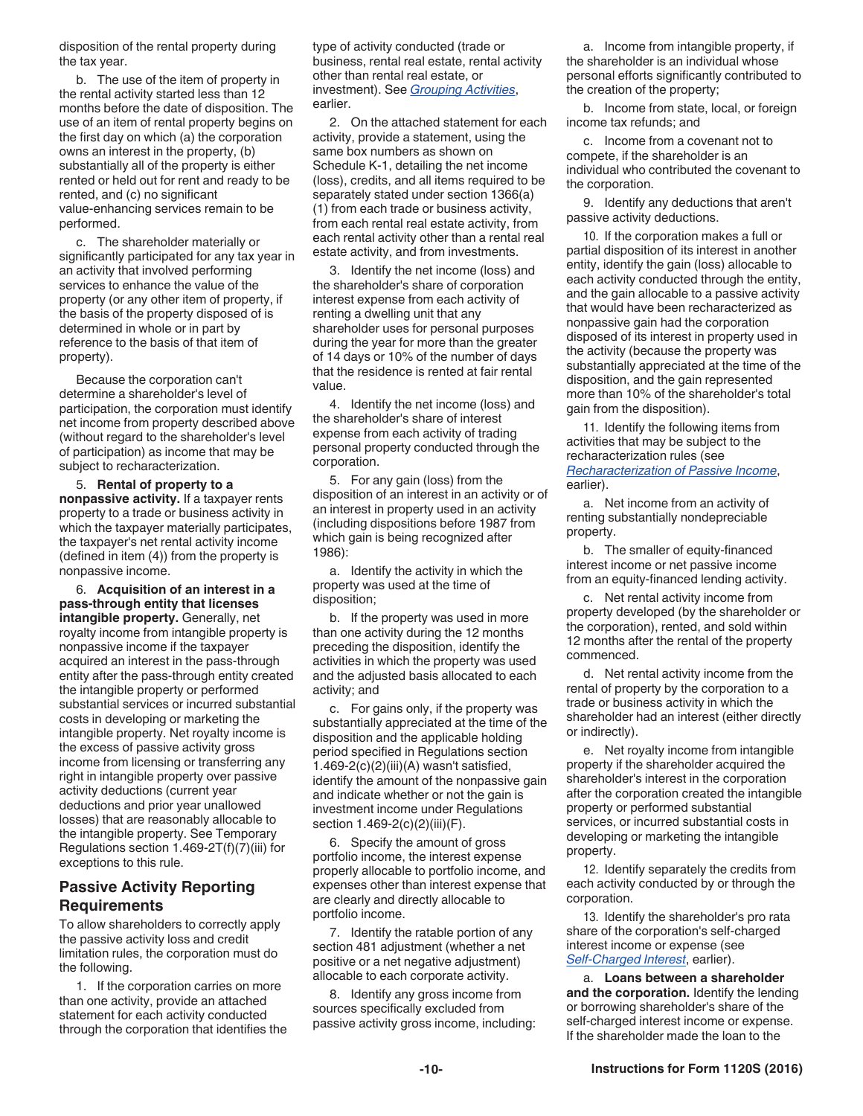<span id="page-9-0"></span>disposition of the rental property during the tax year.

b. The use of the item of property in the rental activity started less than 12 months before the date of disposition. The use of an item of rental property begins on the first day on which (a) the corporation owns an interest in the property, (b) substantially all of the property is either rented or held out for rent and ready to be rented, and (c) no significant value-enhancing services remain to be performed.

c. The shareholder materially or significantly participated for any tax year in an activity that involved performing services to enhance the value of the property (or any other item of property, if the basis of the property disposed of is determined in whole or in part by reference to the basis of that item of property).

Because the corporation can't determine a shareholder's level of participation, the corporation must identify net income from property described above (without regard to the shareholder's level of participation) as income that may be subject to recharacterization.

5. **Rental of property to a nonpassive activity.** If a taxpayer rents property to a trade or business activity in which the taxpayer materially participates, the taxpayer's net rental activity income (defined in item (4)) from the property is nonpassive income.

6. **Acquisition of an interest in a passthrough entity that licenses intangible property.** Generally, net royalty income from intangible property is nonpassive income if the taxpayer acquired an interest in the pass-through entity after the pass-through entity created the intangible property or performed substantial services or incurred substantial costs in developing or marketing the intangible property. Net royalty income is the excess of passive activity gross income from licensing or transferring any right in intangible property over passive activity deductions (current year deductions and prior year unallowed losses) that are reasonably allocable to the intangible property. See Temporary Regulations section 1.469-2T(f)(7)(iii) for exceptions to this rule.

## **Passive Activity Reporting Requirements**

To allow shareholders to correctly apply the passive activity loss and credit limitation rules, the corporation must do the following.

1. If the corporation carries on more than one activity, provide an attached statement for each activity conducted through the corporation that identifies the type of activity conducted (trade or business, rental real estate, rental activity other than rental real estate, or investment). See *[Grouping Activities](#page-8-0)*, earlier.

2. On the attached statement for each activity, provide a statement, using the same box numbers as shown on Schedule K-1, detailing the net income (loss), credits, and all items required to be separately stated under section 1366(a) (1) from each trade or business activity, from each rental real estate activity, from each rental activity other than a rental real estate activity, and from investments.

3. Identify the net income (loss) and the shareholder's share of corporation interest expense from each activity of renting a dwelling unit that any shareholder uses for personal purposes during the year for more than the greater of 14 days or 10% of the number of days that the residence is rented at fair rental value.

4. Identify the net income (loss) and the shareholder's share of interest expense from each activity of trading personal property conducted through the corporation.

5. For any gain (loss) from the disposition of an interest in an activity or of an interest in property used in an activity (including dispositions before 1987 from which gain is being recognized after 1986):

a. Identify the activity in which the property was used at the time of disposition;

b. If the property was used in more than one activity during the 12 months preceding the disposition, identify the activities in which the property was used and the adjusted basis allocated to each activity; and

c. For gains only, if the property was substantially appreciated at the time of the disposition and the applicable holding period specified in Regulations section 1.469-2(c)(2)(iii)(A) wasn't satisfied, identify the amount of the nonpassive gain and indicate whether or not the gain is investment income under Regulations section 1.469-2(c)(2)(iii)(F).

6. Specify the amount of gross portfolio income, the interest expense properly allocable to portfolio income, and expenses other than interest expense that are clearly and directly allocable to portfolio income.

7. Identify the ratable portion of any section 481 adjustment (whether a net positive or a net negative adjustment) allocable to each corporate activity.

8. Identify any gross income from sources specifically excluded from passive activity gross income, including:

a. Income from intangible property, if the shareholder is an individual whose personal efforts significantly contributed to the creation of the property;

b. Income from state, local, or foreign income tax refunds; and

c. Income from a covenant not to compete, if the shareholder is an individual who contributed the covenant to the corporation.

9. Identify any deductions that aren't passive activity deductions.

10. If the corporation makes a full or partial disposition of its interest in another entity, identify the gain (loss) allocable to each activity conducted through the entity, and the gain allocable to a passive activity that would have been recharacterized as nonpassive gain had the corporation disposed of its interest in property used in the activity (because the property was substantially appreciated at the time of the disposition, and the gain represented more than 10% of the shareholder's total gain from the disposition).

11. Identify the following items from activities that may be subject to the recharacterization rules (see *[Recharacterization of Passive Income](#page-8-0)*, earlier).

a. Net income from an activity of renting substantially nondepreciable property.

b. The smaller of equity-financed interest income or net passive income from an equity-financed lending activity.

c. Net rental activity income from property developed (by the shareholder or the corporation), rented, and sold within 12 months after the rental of the property commenced.

d. Net rental activity income from the rental of property by the corporation to a trade or business activity in which the shareholder had an interest (either directly or indirectly).

e. Net royalty income from intangible property if the shareholder acquired the shareholder's interest in the corporation after the corporation created the intangible property or performed substantial services, or incurred substantial costs in developing or marketing the intangible property.

12. Identify separately the credits from each activity conducted by or through the corporation.

13. Identify the shareholder's pro rata share of the corporation's self-charged interest income or expense (see *[Self-Charged Interest](#page-7-0)*, earlier).

a. **Loans between a shareholder and the corporation.** Identify the lending or borrowing shareholder's share of the self-charged interest income or expense. If the shareholder made the loan to the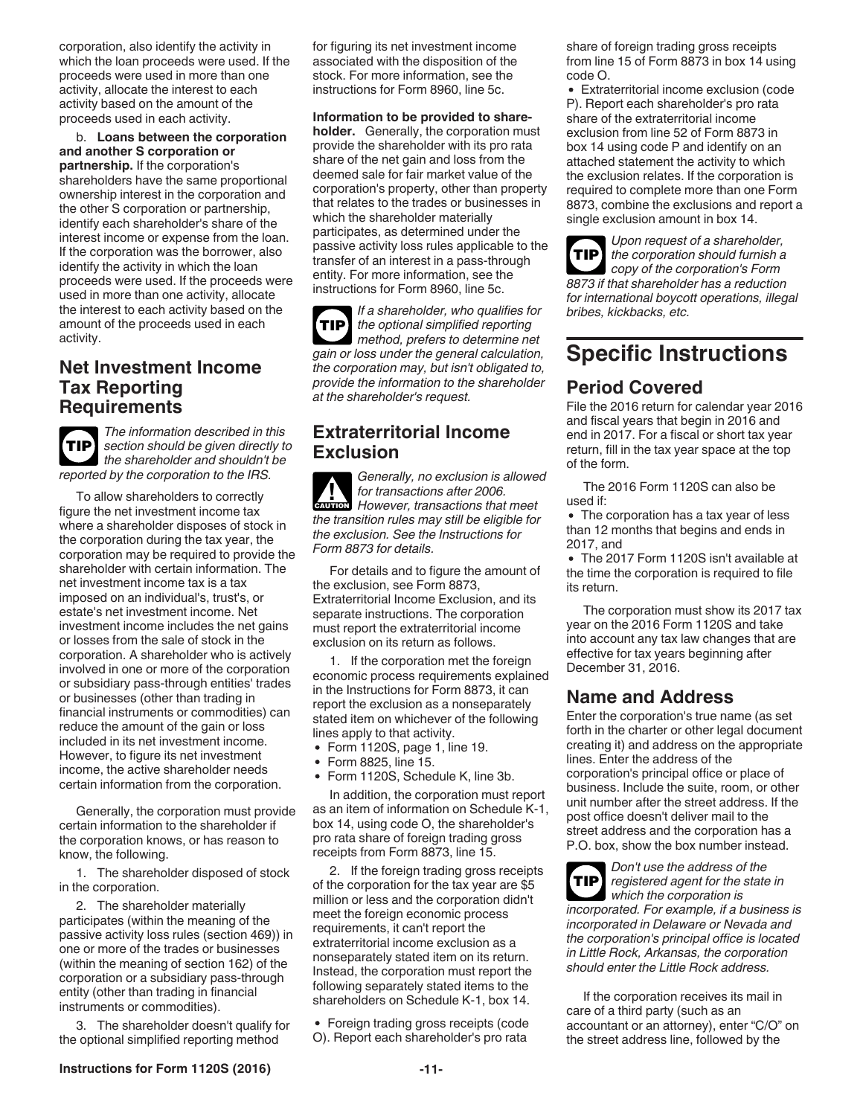<span id="page-10-0"></span>corporation, also identify the activity in which the loan proceeds were used. If the proceeds were used in more than one activity, allocate the interest to each activity based on the amount of the proceeds used in each activity.

b. **Loans between the corporation and another S corporation or partnership.** If the corporation's shareholders have the same proportional ownership interest in the corporation and the other S corporation or partnership, identify each shareholder's share of the interest income or expense from the loan. If the corporation was the borrower, also identify the activity in which the loan proceeds were used. If the proceeds were used in more than one activity, allocate the interest to each activity based on the amount of the proceeds used in each activity.

## **Net Investment Income Tax Reporting Requirements**

*The information described in this section should be given directly to the shareholder and shouldn't be reported by the corporation to the IRS.* **TIP**

To allow shareholders to correctly figure the net investment income tax where a shareholder disposes of stock in the corporation during the tax year, the corporation may be required to provide the shareholder with certain information. The net investment income tax is a tax imposed on an individual's, trust's, or estate's net investment income. Net investment income includes the net gains or losses from the sale of stock in the corporation. A shareholder who is actively involved in one or more of the corporation or subsidiary pass-through entities' trades or businesses (other than trading in financial instruments or commodities) can reduce the amount of the gain or loss included in its net investment income. However, to figure its net investment income, the active shareholder needs certain information from the corporation.

Generally, the corporation must provide certain information to the shareholder if the corporation knows, or has reason to know, the following.

1. The shareholder disposed of stock in the corporation.

2. The shareholder materially participates (within the meaning of the passive activity loss rules (section 469)) in one or more of the trades or businesses (within the meaning of section 162) of the corporation or a subsidiary pass-through entity (other than trading in financial instruments or commodities).

3. The shareholder doesn't qualify for the optional simplified reporting method

for figuring its net investment income associated with the disposition of the stock. For more information, see the instructions for Form 8960, line 5c.

#### **Information to be provided to share-**

**holder.** Generally, the corporation must provide the shareholder with its pro rata share of the net gain and loss from the deemed sale for fair market value of the corporation's property, other than property that relates to the trades or businesses in which the shareholder materially participates, as determined under the passive activity loss rules applicable to the transfer of an interest in a pass-through entity. For more information, see the instructions for Form 8960, line 5c.

*If a shareholder, who qualifies for the optional simplified reporting*  **TIP** *method, prefers to determine net gain or loss under the general calculation, the corporation may, but isn't obligated to, provide the information to the shareholder at the shareholder's request.*

## **Extraterritorial Income Exclusion**

*Generally, no exclusion is allowed for transactions after 2006. However, transactions after 2006.***<br>
<b>EXECUTE:** However, transactions that meet *the transition rules may still be eligible for the exclusion. See the Instructions for Form 8873 for details.*

For details and to figure the amount of the exclusion, see Form 8873, Extraterritorial Income Exclusion, and its separate instructions. The corporation must report the extraterritorial income exclusion on its return as follows.

1. If the corporation met the foreign economic process requirements explained in the Instructions for Form 8873, it can report the exclusion as a nonseparately stated item on whichever of the following lines apply to that activity.

- Form 1120S, page 1, line 19.
- Form 8825, line 15.

Form 1120S, Schedule K, line 3b.

In addition, the corporation must report as an item of information on Schedule K-1, box 14, using code O, the shareholder's pro rata share of foreign trading gross receipts from Form 8873, line 15.

2. If the foreign trading gross receipts of the corporation for the tax year are \$5 million or less and the corporation didn't meet the foreign economic process requirements, it can't report the extraterritorial income exclusion as a nonseparately stated item on its return. Instead, the corporation must report the following separately stated items to the shareholders on Schedule K-1, box 14.

Foreign trading gross receipts (code O). Report each shareholder's pro rata

share of foreign trading gross receipts from line 15 of Form 8873 in box 14 using code O.

Extraterritorial income exclusion (code P). Report each shareholder's pro rata share of the extraterritorial income exclusion from line 52 of Form 8873 in box 14 using code P and identify on an attached statement the activity to which the exclusion relates. If the corporation is required to complete more than one Form 8873, combine the exclusions and report a single exclusion amount in box 14.

*Upon request of a shareholder, the corporation should furnish a copy of the corporation's Form 8873 if that shareholder has a reduction for international boycott operations, illegal bribes, kickbacks, etc.* **TIP**

# **Specific Instructions**

## **Period Covered**

File the 2016 return for calendar year 2016 and fiscal years that begin in 2016 and end in 2017. For a fiscal or short tax year return, fill in the tax year space at the top of the form.

The 2016 Form 1120S can also be used if:

The corporation has a tax year of less than 12 months that begins and ends in 2017, and

The 2017 Form 1120S isn't available at the time the corporation is required to file its return.

The corporation must show its 2017 tax year on the 2016 Form 1120S and take into account any tax law changes that are effective for tax years beginning after December 31, 2016.

## **Name and Address**

Enter the corporation's true name (as set forth in the charter or other legal document creating it) and address on the appropriate lines. Enter the address of the corporation's principal office or place of business. Include the suite, room, or other unit number after the street address. If the post office doesn't deliver mail to the street address and the corporation has a P.O. box, show the box number instead.

*Don't use the address of the registered agent for the state in which the corporation is incorporated. For example, if a business is incorporated in Delaware or Nevada and the corporation's principal office is located in Little Rock, Arkansas, the corporation should enter the Little Rock address.* **TIP**

If the corporation receives its mail in care of a third party (such as an accountant or an attorney), enter "C/O" on the street address line, followed by the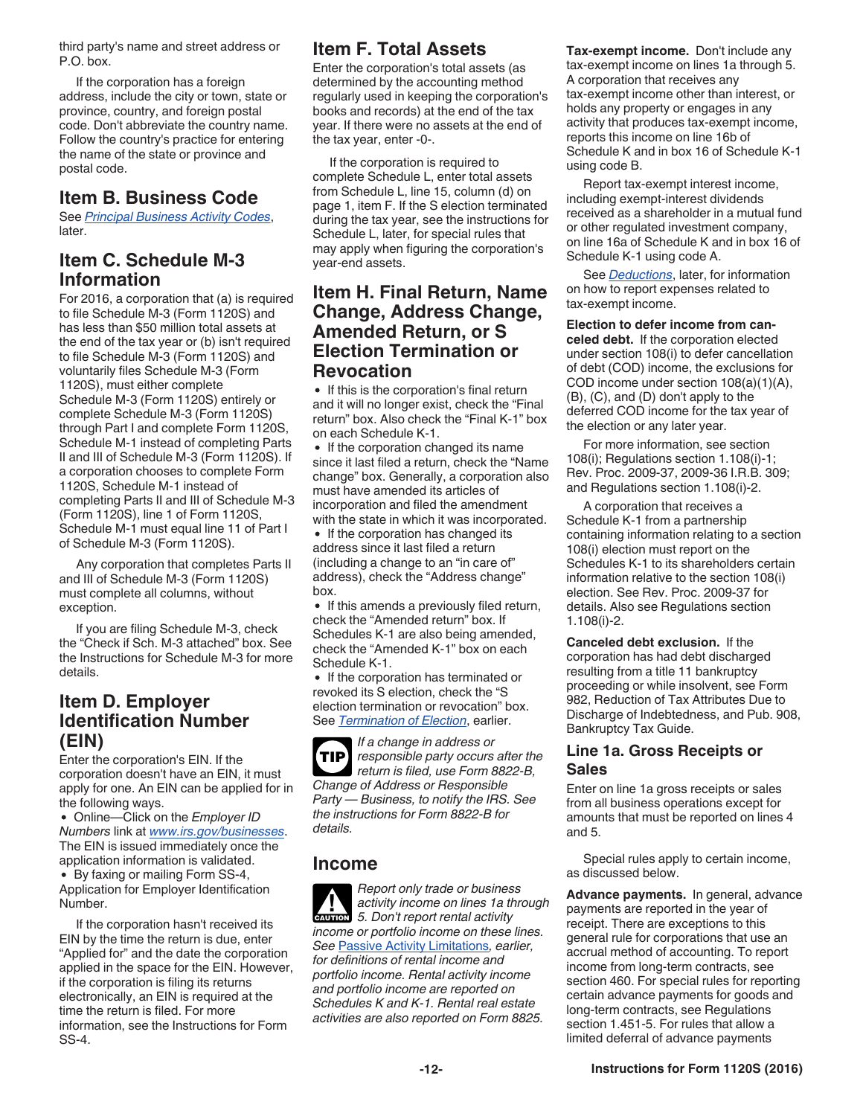<span id="page-11-0"></span>third party's name and street address or P.O. box.

If the corporation has a foreign address, include the city or town, state or province, country, and foreign postal code. Don't abbreviate the country name. Follow the country's practice for entering the name of the state or province and postal code.

## **Item B. Business Code**

See *[Principal Business Activity Codes](#page-40-0)*, later.

## **Item C. Schedule M-3 Information**

For 2016, a corporation that (a) is required to file Schedule M-3 (Form 1120S) and has less than \$50 million total assets at the end of the tax year or (b) isn't required to file Schedule M-3 (Form 1120S) and voluntarily files Schedule M-3 (Form 1120S), must either complete Schedule M-3 (Form 1120S) entirely or complete Schedule M-3 (Form 1120S) through Part I and complete Form 1120S, Schedule M-1 instead of completing Parts II and III of Schedule M-3 (Form 1120S). If a corporation chooses to complete Form 1120S, Schedule M-1 instead of completing Parts II and III of Schedule M-3 (Form 1120S), line 1 of Form 1120S, Schedule M-1 must equal line 11 of Part I of Schedule M-3 (Form 1120S).

Any corporation that completes Parts II and III of Schedule M-3 (Form 1120S) must complete all columns, without exception.

If you are filing Schedule M-3, check the "Check if Sch. M-3 attached" box. See the Instructions for Schedule M-3 for more details.

## **Item D. Employer Identification Number (EIN)**

Enter the corporation's EIN. If the corporation doesn't have an EIN, it must apply for one. An EIN can be applied for in the following ways.

Online—Click on the *Employer ID Numbers* link at *[www.irs.gov/businesses](https://www.irs.gov/businesses)*. The EIN is issued immediately once the application information is validated. By faxing or mailing Form SS-4,

Application for Employer Identification Number.

If the corporation hasn't received its EIN by the time the return is due, enter "Applied for" and the date the corporation applied in the space for the EIN. However, if the corporation is filing its returns electronically, an EIN is required at the time the return is filed. For more information, see the Instructions for Form SS-4.

## **Item F. Total Assets**

Enter the corporation's total assets (as determined by the accounting method regularly used in keeping the corporation's books and records) at the end of the tax year. If there were no assets at the end of the tax year, enter -0-.

If the corporation is required to complete Schedule L, enter total assets from Schedule L, line 15, column (d) on page 1, item F. If the S election terminated during the tax year, see the instructions for Schedule L, later, for special rules that may apply when figuring the corporation's year-end assets.

## **Item H. Final Return, Name Change, Address Change, Amended Return, or S Election Termination or Revocation**

• If this is the corporation's final return and it will no longer exist, check the "Final return" box. Also check the "Final K-1" box on each Schedule K-1.

• If the corporation changed its name since it last filed a return, check the "Name change" box. Generally, a corporation also must have amended its articles of incorporation and filed the amendment with the state in which it was incorporated. • If the corporation has changed its address since it last filed a return (including a change to an "in care of" address), check the "Address change" box.

• If this amends a previously filed return, check the "Amended return" box. If Schedules K-1 are also being amended, check the "Amended K-1" box on each Schedule K-1.

• If the corporation has terminated or revoked its S election, check the "S election termination or revocation" box. See *[Termination of Election](#page-1-0)*, earlier.

*If a change in address or responsible party occurs after the return is filed, use Form 8822-B, Change of Address or Responsible Party — Business, to notify the IRS. See the instructions for Form 8822-B for details.* **TIP**

## **Income**

*Report only trade or business activity income on lines 1a through*  **CAUTION** activity income on lines 1a the **CAUTION** *income or portfolio income on these lines. See* [Passive Activity Limitations](#page-5-0)*, earlier, for definitions of rental income and portfolio income. Rental activity income and portfolio income are reported on Schedules K and K-1. Rental real estate activities are also reported on Form 8825.*

**Tax-exempt income.** Don't include any tax-exempt income on lines 1a through 5. A corporation that receives any tax-exempt income other than interest, or holds any property or engages in any activity that produces tax-exempt income, reports this income on line 16b of Schedule K and in box 16 of Schedule K-1 using code B.

Report tax-exempt interest income, including exempt-interest dividends received as a shareholder in a mutual fund or other regulated investment company, on line 16a of Schedule K and in box 16 of Schedule K-1 using code A.

See *[Deductions](#page-12-0)*, later, for information on how to report expenses related to tax-exempt income.

**Election to defer income from canceled debt.** If the corporation elected under section 108(i) to defer cancellation of debt (COD) income, the exclusions for COD income under section 108(a)(1)(A), (B), (C), and (D) don't apply to the deferred COD income for the tax year of the election or any later year.

For more information, see section 108(i); Regulations section 1.108(i)-1; Rev. Proc. 2009-37, 2009-36 I.R.B. 309; and Regulations section 1.108(i)-2.

A corporation that receives a Schedule K-1 from a partnership containing information relating to a section 108(i) election must report on the Schedules K-1 to its shareholders certain information relative to the section 108(i) election. See Rev. Proc. 2009-37 for details. Also see Regulations section 1.108(i)-2.

**Canceled debt exclusion.** If the corporation has had debt discharged resulting from a title 11 bankruptcy proceeding or while insolvent, see Form 982, Reduction of Tax Attributes Due to Discharge of Indebtedness, and Pub. 908, Bankruptcy Tax Guide.

### **Line 1a. Gross Receipts or Sales**

Enter on line 1a gross receipts or sales from all business operations except for amounts that must be reported on lines 4 and 5.

Special rules apply to certain income, as discussed below.

**Advance payments.** In general, advance payments are reported in the year of receipt. There are exceptions to this general rule for corporations that use an accrual method of accounting. To report income from long-term contracts, see section 460. For special rules for reporting certain advance payments for goods and long-term contracts, see Regulations section 1.451-5. For rules that allow a limited deferral of advance payments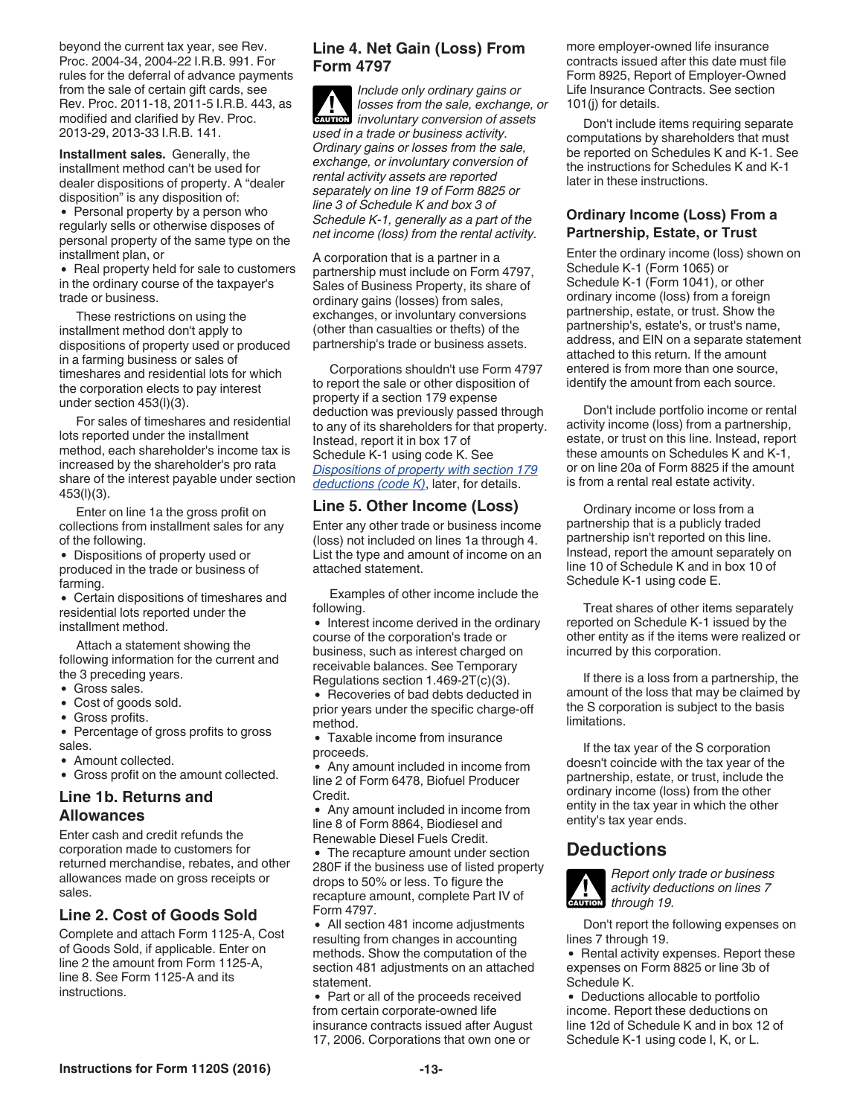<span id="page-12-0"></span>beyond the current tax year, see Rev. Proc. 2004-34, 2004-22 I.R.B. 991. For rules for the deferral of advance payments from the sale of certain gift cards, see Rev. Proc. 2011-18, 2011-5 I.R.B. 443, as modified and clarified by Rev. Proc. 2013-29, 2013-33 I.R.B. 141.

**Installment sales.** Generally, the installment method can't be used for dealer dispositions of property. A "dealer disposition" is any disposition of:

• Personal property by a person who regularly sells or otherwise disposes of personal property of the same type on the installment plan, or

• Real property held for sale to customers in the ordinary course of the taxpayer's trade or business.

These restrictions on using the installment method don't apply to dispositions of property used or produced in a farming business or sales of timeshares and residential lots for which the corporation elects to pay interest under section 453(l)(3).

For sales of timeshares and residential lots reported under the installment method, each shareholder's income tax is increased by the shareholder's pro rata share of the interest payable under section 453(l)(3).

Enter on line 1a the gross profit on collections from installment sales for any of the following.

Dispositions of property used or produced in the trade or business of farming.

Certain dispositions of timeshares and residential lots reported under the installment method.

Attach a statement showing the following information for the current and the 3 preceding years.

- Gross sales.
- Cost of goods sold.
- Gross profits.

• Percentage of gross profits to gross

sales.

- Amount collected.
- Gross profit on the amount collected.

### **Line 1b. Returns and Allowances**

Enter cash and credit refunds the corporation made to customers for returned merchandise, rebates, and other allowances made on gross receipts or sales.

### **Line 2. Cost of Goods Sold**

Complete and attach Form 1125-A, Cost of Goods Sold, if applicable. Enter on line 2 the amount from Form 1125-A, line 8. See Form 1125-A and its instructions.

## **Line 4. Net Gain (Loss) From Form 4797**

*Include only ordinary gains or losses from the sale, exchange, or involuntary conversion of assets used in a trade or business activity. Ordinary gains or losses from the sale, exchange, or involuntary conversion of rental activity assets are reported separately on line 19 of Form 8825 or line 3 of Schedule K and box 3 of Schedule K-1, generally as a part of the net income (loss) from the rental activity.*

A corporation that is a partner in a partnership must include on Form 4797, Sales of Business Property, its share of ordinary gains (losses) from sales, exchanges, or involuntary conversions (other than casualties or thefts) of the partnership's trade or business assets.

Corporations shouldn't use Form 4797 to report the sale or other disposition of property if a section 179 expense deduction was previously passed through to any of its shareholders for that property. Instead, report it in box 17 of Schedule K-1 using code K. See *[Dispositions of property with section 179](#page-33-0)  [deductions \(code K\)](#page-33-0)*, later, for details.

### **Line 5. Other Income (Loss)**

Enter any other trade or business income (loss) not included on lines 1a through 4. List the type and amount of income on an attached statement.

Examples of other income include the following.

• Interest income derived in the ordinary course of the corporation's trade or business, such as interest charged on receivable balances. See Temporary Regulations section 1.469-2T(c)(3).

• Recoveries of bad debts deducted in prior years under the specific charge-off method.

Taxable income from insurance proceeds.

Any amount included in income from line 2 of Form 6478, Biofuel Producer Credit.

Any amount included in income from line 8 of Form 8864, Biodiesel and Renewable Diesel Fuels Credit.

• The recapture amount under section 280F if the business use of listed property drops to 50% or less. To figure the recapture amount, complete Part IV of Form 4797.

All section 481 income adjustments resulting from changes in accounting methods. Show the computation of the section 481 adjustments on an attached statement.

• Part or all of the proceeds received from certain corporate-owned life insurance contracts issued after August 17, 2006. Corporations that own one or

more employer-owned life insurance contracts issued after this date must file Form 8925, Report of Employer-Owned Life Insurance Contracts. See section 101(j) for details.

Don't include items requiring separate computations by shareholders that must be reported on Schedules K and K-1. See the instructions for Schedules K and K-1 later in these instructions.

### **Ordinary Income (Loss) From a Partnership, Estate, or Trust**

Enter the ordinary income (loss) shown on Schedule K-1 (Form 1065) or Schedule K-1 (Form 1041), or other ordinary income (loss) from a foreign partnership, estate, or trust. Show the partnership's, estate's, or trust's name, address, and EIN on a separate statement attached to this return. If the amount entered is from more than one source, identify the amount from each source.

Don't include portfolio income or rental activity income (loss) from a partnership, estate, or trust on this line. Instead, report these amounts on Schedules K and K-1, or on line 20a of Form 8825 if the amount is from a rental real estate activity.

Ordinary income or loss from a partnership that is a publicly traded partnership isn't reported on this line. Instead, report the amount separately on line 10 of Schedule K and in box 10 of Schedule K-1 using code E.

Treat shares of other items separately reported on Schedule K-1 issued by the other entity as if the items were realized or incurred by this corporation.

If there is a loss from a partnership, the amount of the loss that may be claimed by the S corporation is subject to the basis limitations.

If the tax year of the S corporation doesn't coincide with the tax year of the partnership, estate, or trust, include the ordinary income (loss) from the other entity in the tax year in which the other entity's tax year ends.

## **Deductions**



*Report only trade or business activity deductions on lines 7*  **de** *aution* through 19.

Don't report the following expenses on lines 7 through 19.

• Rental activity expenses. Report these expenses on Form 8825 or line 3b of Schedule K.

Deductions allocable to portfolio income. Report these deductions on line 12d of Schedule K and in box 12 of Schedule K-1 using code I, K, or L.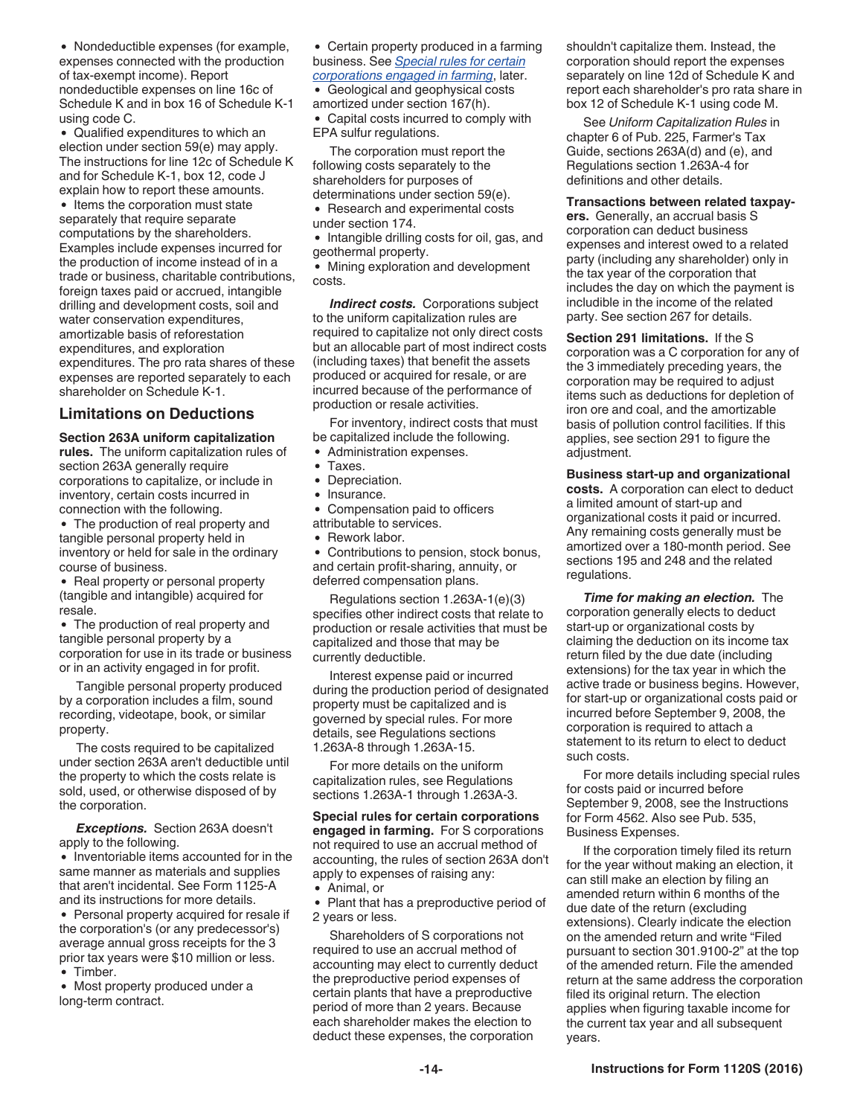<span id="page-13-0"></span>Nondeductible expenses (for example, expenses connected with the production of tax-exempt income). Report nondeductible expenses on line 16c of Schedule K and in box 16 of Schedule K-1 using code C.

Qualified expenditures to which an election under section 59(e) may apply. The instructions for line 12c of Schedule K and for Schedule K-1, box 12, code J explain how to report these amounts.

• Items the corporation must state separately that require separate computations by the shareholders. Examples include expenses incurred for the production of income instead of in a trade or business, charitable contributions, foreign taxes paid or accrued, intangible drilling and development costs, soil and water conservation expenditures, amortizable basis of reforestation expenditures, and exploration expenditures. The pro rata shares of these expenses are reported separately to each shareholder on Schedule K-1.

#### **Limitations on Deductions**

**Section 263A uniform capitalization rules.** The uniform capitalization rules of section 263A generally require corporations to capitalize, or include in inventory, certain costs incurred in connection with the following.

• The production of real property and tangible personal property held in inventory or held for sale in the ordinary course of business.

• Real property or personal property (tangible and intangible) acquired for resale.

The production of real property and tangible personal property by a corporation for use in its trade or business or in an activity engaged in for profit.

Tangible personal property produced by a corporation includes a film, sound recording, videotape, book, or similar property.

The costs required to be capitalized under section 263A aren't deductible until the property to which the costs relate is sold, used, or otherwise disposed of by the corporation.

*Exceptions.* Section 263A doesn't apply to the following.

• Inventoriable items accounted for in the same manner as materials and supplies that aren't incidental. See Form 1125-A and its instructions for more details.

Personal property acquired for resale if the corporation's (or any predecessor's) average annual gross receipts for the 3 prior tax years were \$10 million or less. • Timber.

Most property produced under a long-term contract.

• Certain property produced in a farming business. See *Special rules for certain corporations engaged in farming*, later.

Geological and geophysical costs amortized under section 167(h).

Capital costs incurred to comply with EPA sulfur regulations.

The corporation must report the following costs separately to the shareholders for purposes of determinations under section 59(e).

• Research and experimental costs under section 174.

• Intangible drilling costs for oil, gas, and geothermal property.

Mining exploration and development costs.

*Indirect costs.* Corporations subject to the uniform capitalization rules are required to capitalize not only direct costs but an allocable part of most indirect costs (including taxes) that benefit the assets produced or acquired for resale, or are incurred because of the performance of production or resale activities.

For inventory, indirect costs that must be capitalized include the following.

- Administration expenses.
- Taxes.
- Depreciation.
- Insurance.

Compensation paid to officers

attributable to services.

• Rework labor.

Contributions to pension, stock bonus, and certain profit-sharing, annuity, or deferred compensation plans.

Regulations section 1.263A-1(e)(3) specifies other indirect costs that relate to production or resale activities that must be capitalized and those that may be currently deductible.

Interest expense paid or incurred during the production period of designated property must be capitalized and is governed by special rules. For more details, see Regulations sections 1.263A-8 through 1.263A-15.

For more details on the uniform capitalization rules, see Regulations sections 1.263A-1 through 1.263A-3.

**Special rules for certain corporations engaged in farming.** For S corporations not required to use an accrual method of accounting, the rules of section 263A don't apply to expenses of raising any:

Animal, or

Plant that has a preproductive period of 2 years or less.

Shareholders of S corporations not required to use an accrual method of accounting may elect to currently deduct the preproductive period expenses of certain plants that have a preproductive period of more than 2 years. Because each shareholder makes the election to deduct these expenses, the corporation

shouldn't capitalize them. Instead, the corporation should report the expenses separately on line 12d of Schedule K and report each shareholder's pro rata share in box 12 of Schedule K-1 using code M.

See *Uniform Capitalization Rules* in chapter 6 of Pub. 225, Farmer's Tax Guide, sections 263A(d) and (e), and Regulations section 1.263A-4 for definitions and other details.

#### **Transactions between related taxpay-**

**ers.** Generally, an accrual basis S corporation can deduct business expenses and interest owed to a related party (including any shareholder) only in the tax year of the corporation that includes the day on which the payment is includible in the income of the related party. See section 267 for details.

**Section 291 limitations.** If the S corporation was a C corporation for any of the 3 immediately preceding years, the corporation may be required to adjust items such as deductions for depletion of iron ore and coal, and the amortizable basis of pollution control facilities. If this applies, see section 291 to figure the adjustment.

#### **Business start-up and organizational**

**costs.** A corporation can elect to deduct a limited amount of start-up and organizational costs it paid or incurred. Any remaining costs generally must be amortized over a 180-month period. See sections 195 and 248 and the related regulations.

*Time for making an election.* The corporation generally elects to deduct start-up or organizational costs by claiming the deduction on its income tax return filed by the due date (including extensions) for the tax year in which the active trade or business begins. However, for start-up or organizational costs paid or incurred before September 9, 2008, the corporation is required to attach a statement to its return to elect to deduct such costs.

For more details including special rules for costs paid or incurred before September 9, 2008, see the Instructions for Form 4562. Also see Pub. 535, Business Expenses.

If the corporation timely filed its return for the year without making an election, it can still make an election by filing an amended return within 6 months of the due date of the return (excluding extensions). Clearly indicate the election on the amended return and write "Filed pursuant to section 301.9100-2" at the top of the amended return. File the amended return at the same address the corporation filed its original return. The election applies when figuring taxable income for the current tax year and all subsequent years.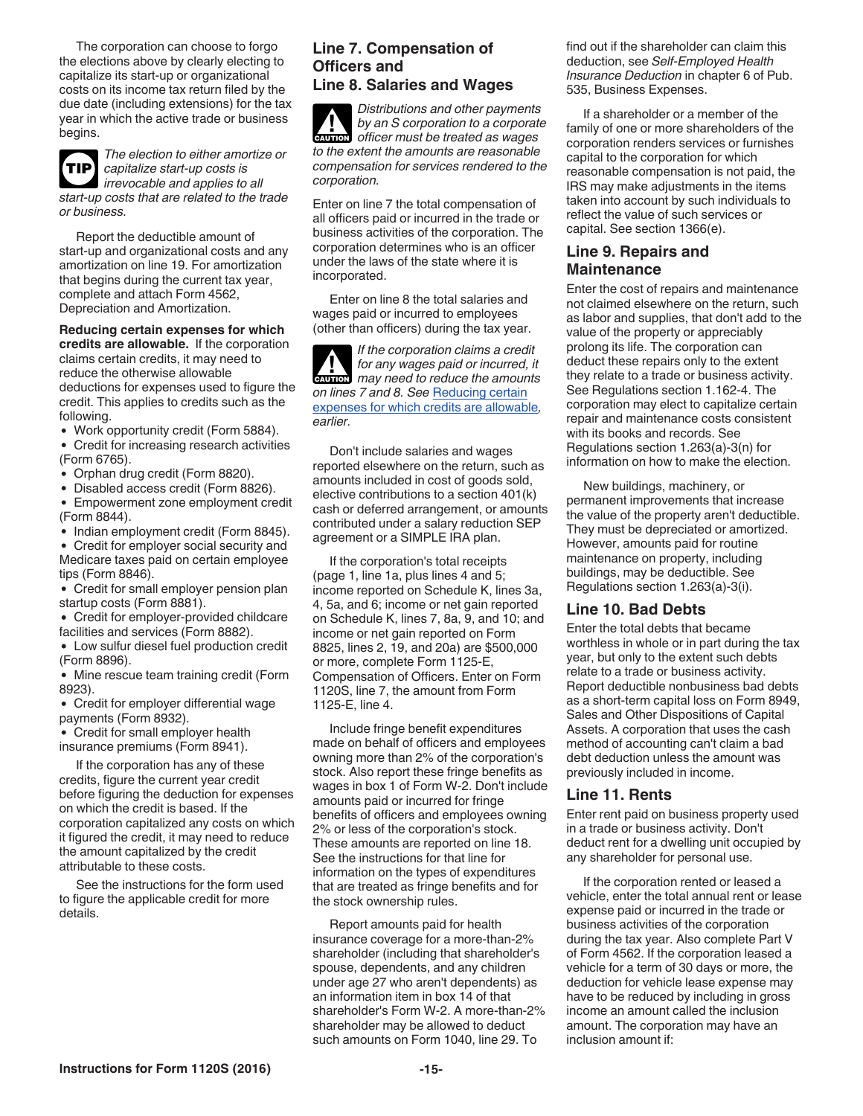<span id="page-14-0"></span>The corporation can choose to forgo the elections above by clearly electing to capitalize its start-up or organizational costs on its income tax return filed by the due date (including extensions) for the tax year in which the active trade or business begins.



*The election to either amortize or capitalize start-up costs is irrevocable and applies to all* 

*start-up costs that are related to the trade or business.*

Report the deductible amount of start-up and organizational costs and any amortization on line 19. For amortization that begins during the current tax year, complete and attach Form 4562, Depreciation and Amortization.

**Reducing certain expenses for which credits are allowable.** If the corporation claims certain credits, it may need to reduce the otherwise allowable deductions for expenses used to figure the credit. This applies to credits such as the following.

- Work opportunity credit (Form 5884).
- Credit for increasing research activities (Form 6765).
- Orphan drug credit (Form 8820).
- Disabled access credit (Form 8826).

Empowerment zone employment credit (Form 8844).

• Indian employment credit (Form 8845). Credit for employer social security and

Medicare taxes paid on certain employee tips (Form 8846).

Credit for small employer pension plan startup costs (Form 8881).

Credit for employer-provided childcare facilities and services (Form 8882).

Low sulfur diesel fuel production credit (Form 8896).

• Mine rescue team training credit (Form 8923).

Credit for employer differential wage payments (Form 8932).

Credit for small employer health insurance premiums (Form 8941).

If the corporation has any of these credits, figure the current year credit before figuring the deduction for expenses on which the credit is based. If the corporation capitalized any costs on which it figured the credit, it may need to reduce the amount capitalized by the credit attributable to these costs.

See the instructions for the form used to figure the applicable credit for more details.

## **Line 7. Compensation of Officers and**

## **Line 8. Salaries and Wages**

*Distributions and other payments by an S corporation to a corporate officer must be treated as wages to the extent the amounts are reasonable compensation for services rendered to the corporation.* **CAUTION !**

Enter on line 7 the total compensation of all officers paid or incurred in the trade or business activities of the corporation. The corporation determines who is an officer under the laws of the state where it is incorporated.

Enter on line 8 the total salaries and wages paid or incurred to employees (other than officers) during the tax year.

*If the corporation claims a credit for any wages paid or incurred, it may need to reduce the amounts*  **CAUTION** *on lines 7 and 8. See* Reducing certain expenses for which credits are allowable*, earlier.* **!**

Don't include salaries and wages reported elsewhere on the return, such as amounts included in cost of goods sold, elective contributions to a section 401(k) cash or deferred arrangement, or amounts contributed under a salary reduction SEP agreement or a SIMPLE IRA plan.

If the corporation's total receipts (page 1, line 1a, plus lines 4 and 5; income reported on Schedule K, lines 3a, 4, 5a, and 6; income or net gain reported on Schedule K, lines 7, 8a, 9, and 10; and income or net gain reported on Form 8825, lines 2, 19, and 20a) are \$500,000 or more, complete Form 1125-E, Compensation of Officers. Enter on Form 1120S, line 7, the amount from Form 1125-E, line 4.

Include fringe benefit expenditures made on behalf of officers and employees owning more than 2% of the corporation's stock. Also report these fringe benefits as wages in box 1 of Form W-2. Don't include amounts paid or incurred for fringe benefits of officers and employees owning 2% or less of the corporation's stock. These amounts are reported on line 18. See the instructions for that line for information on the types of expenditures that are treated as fringe benefits and for the stock ownership rules.

Report amounts paid for health insurance coverage for a more-than-2% shareholder (including that shareholder's spouse, dependents, and any children under age 27 who aren't dependents) as an information item in box 14 of that shareholder's Form W-2. A more-than-2% shareholder may be allowed to deduct such amounts on Form 1040, line 29. To

find out if the shareholder can claim this deduction, see *Self-Employed Health Insurance Deduction* in chapter 6 of Pub. 535, Business Expenses.

If a shareholder or a member of the family of one or more shareholders of the corporation renders services or furnishes capital to the corporation for which reasonable compensation is not paid, the IRS may make adjustments in the items taken into account by such individuals to reflect the value of such services or capital. See section 1366(e).

## **Line 9. Repairs and Maintenance**

Enter the cost of repairs and maintenance not claimed elsewhere on the return, such as labor and supplies, that don't add to the value of the property or appreciably prolong its life. The corporation can deduct these repairs only to the extent they relate to a trade or business activity. See Regulations section 1.162-4. The corporation may elect to capitalize certain repair and maintenance costs consistent with its books and records. See Regulations section 1.263(a)-3(n) for information on how to make the election.

New buildings, machinery, or permanent improvements that increase the value of the property aren't deductible. They must be depreciated or amortized. However, amounts paid for routine maintenance on property, including buildings, may be deductible. See Regulations section 1.263(a)-3(i).

### **Line 10. Bad Debts**

Enter the total debts that became worthless in whole or in part during the tax year, but only to the extent such debts relate to a trade or business activity. Report deductible nonbusiness bad debts as a short-term capital loss on Form 8949, Sales and Other Dispositions of Capital Assets. A corporation that uses the cash method of accounting can't claim a bad debt deduction unless the amount was previously included in income.

### **Line 11. Rents**

Enter rent paid on business property used in a trade or business activity. Don't deduct rent for a dwelling unit occupied by any shareholder for personal use.

If the corporation rented or leased a vehicle, enter the total annual rent or lease expense paid or incurred in the trade or business activities of the corporation during the tax year. Also complete Part V of Form 4562. If the corporation leased a vehicle for a term of 30 days or more, the deduction for vehicle lease expense may have to be reduced by including in gross income an amount called the inclusion amount. The corporation may have an inclusion amount if: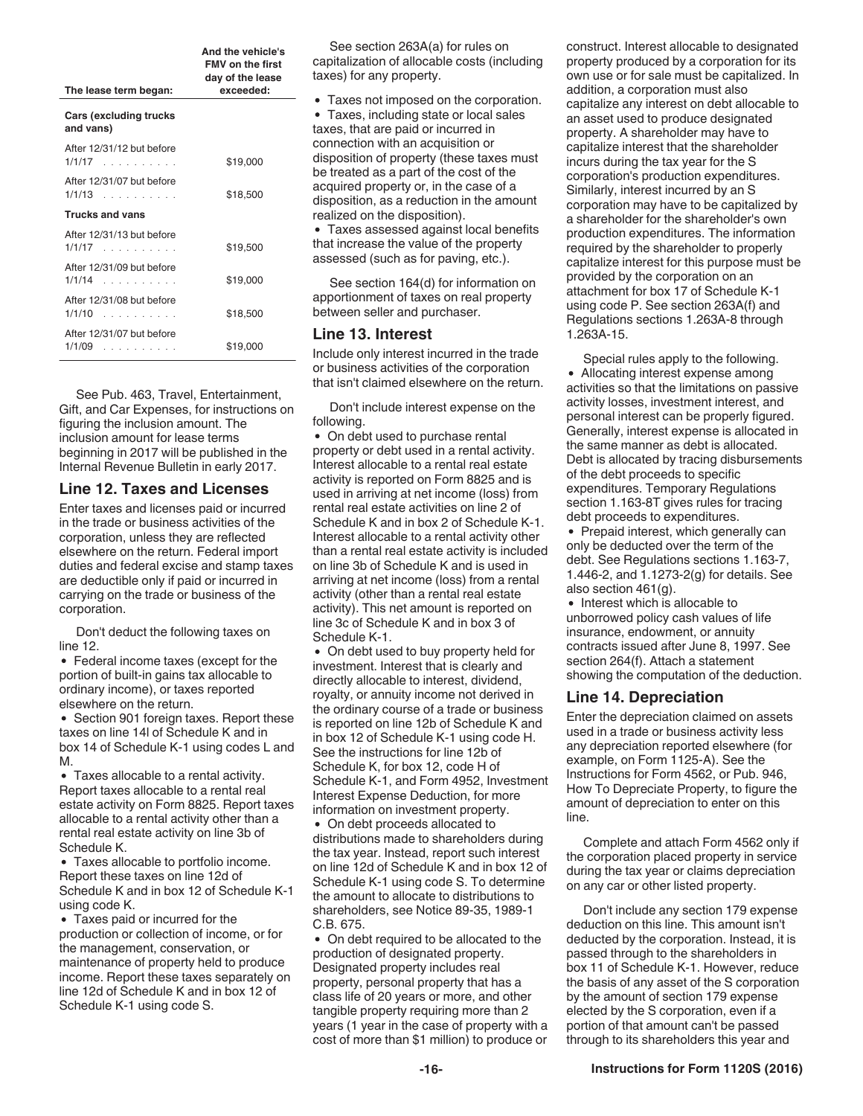<span id="page-15-0"></span>

|                                             | And the vehicle's<br><b>FMV</b> on the first<br>day of the lease |
|---------------------------------------------|------------------------------------------------------------------|
| The lease term began:                       | exceeded:                                                        |
| <b>Cars (excluding trucks)</b><br>and vans) |                                                                  |
| After 12/31/12 but before<br>$1/1/17$       | \$19,000                                                         |
| After 12/31/07 but before<br>$1/1/13$       | \$18,500                                                         |
| <b>Trucks and vans</b>                      |                                                                  |
| After 12/31/13 but before<br>$1/1/17$       | \$19,500                                                         |
| After 12/31/09 but before<br>$1/1/14$       | \$19,000                                                         |
| After 12/31/08 but before<br>$1/1/10$       | \$18,500                                                         |
| After 12/31/07 but before<br>$1/1/09$       | \$19,000                                                         |
|                                             |                                                                  |

See Pub. 463, Travel, Entertainment, Gift, and Car Expenses, for instructions on figuring the inclusion amount. The inclusion amount for lease terms beginning in 2017 will be published in the Internal Revenue Bulletin in early 2017.

#### **Line 12. Taxes and Licenses**

Enter taxes and licenses paid or incurred in the trade or business activities of the corporation, unless they are reflected elsewhere on the return. Federal import duties and federal excise and stamp taxes are deductible only if paid or incurred in carrying on the trade or business of the corporation.

Don't deduct the following taxes on line 12.

Federal income taxes (except for the portion of built-in gains tax allocable to ordinary income), or taxes reported elsewhere on the return.

• Section 901 foreign taxes. Report these taxes on line 14l of Schedule K and in box 14 of Schedule K-1 using codes L and M.

Taxes allocable to a rental activity. Report taxes allocable to a rental real estate activity on Form 8825. Report taxes allocable to a rental activity other than a rental real estate activity on line 3b of Schedule K.

Taxes allocable to portfolio income. Report these taxes on line 12d of Schedule K and in box 12 of Schedule K-1 using code K.

Taxes paid or incurred for the production or collection of income, or for the management, conservation, or maintenance of property held to produce income. Report these taxes separately on line 12d of Schedule K and in box 12 of Schedule K-1 using code S.

See section 263A(a) for rules on capitalization of allocable costs (including taxes) for any property.

Taxes not imposed on the corporation. Taxes, including state or local sales taxes, that are paid or incurred in connection with an acquisition or disposition of property (these taxes must be treated as a part of the cost of the acquired property or, in the case of a disposition, as a reduction in the amount realized on the disposition).

Taxes assessed against local benefits that increase the value of the property assessed (such as for paving, etc.).

See section 164(d) for information on apportionment of taxes on real property between seller and purchaser.

#### **Line 13. Interest**

Include only interest incurred in the trade or business activities of the corporation that isn't claimed elsewhere on the return.

Don't include interest expense on the following.

On debt used to purchase rental property or debt used in a rental activity. Interest allocable to a rental real estate activity is reported on Form 8825 and is used in arriving at net income (loss) from rental real estate activities on line 2 of Schedule K and in box 2 of Schedule K-1. Interest allocable to a rental activity other than a rental real estate activity is included on line 3b of Schedule K and is used in arriving at net income (loss) from a rental activity (other than a rental real estate activity). This net amount is reported on line 3c of Schedule K and in box 3 of Schedule K-1.

On debt used to buy property held for investment. Interest that is clearly and directly allocable to interest, dividend, royalty, or annuity income not derived in the ordinary course of a trade or business is reported on line 12b of Schedule K and in box 12 of Schedule K-1 using code H. See the instructions for line 12b of Schedule K, for box 12, code H of Schedule K-1, and Form 4952, Investment Interest Expense Deduction, for more information on investment property.

On debt proceeds allocated to distributions made to shareholders during the tax year. Instead, report such interest on line 12d of Schedule K and in box 12 of Schedule K-1 using code S. To determine the amount to allocate to distributions to shareholders, see Notice 89-35, 1989-1 C.B. 675.

On debt required to be allocated to the production of designated property. Designated property includes real property, personal property that has a class life of 20 years or more, and other tangible property requiring more than 2 years (1 year in the case of property with a cost of more than \$1 million) to produce or

construct. Interest allocable to designated property produced by a corporation for its own use or for sale must be capitalized. In addition, a corporation must also capitalize any interest on debt allocable to an asset used to produce designated property. A shareholder may have to capitalize interest that the shareholder incurs during the tax year for the S corporation's production expenditures. Similarly, interest incurred by an S corporation may have to be capitalized by a shareholder for the shareholder's own production expenditures. The information required by the shareholder to properly capitalize interest for this purpose must be provided by the corporation on an attachment for box 17 of Schedule K-1 using code P. See section 263A(f) and Regulations sections 1.263A-8 through 1.263A-15.

Special rules apply to the following. Allocating interest expense among activities so that the limitations on passive activity losses, investment interest, and personal interest can be properly figured. Generally, interest expense is allocated in the same manner as debt is allocated. Debt is allocated by tracing disbursements of the debt proceeds to specific expenditures. Temporary Regulations section 1.163-8T gives rules for tracing debt proceeds to expenditures.

• Prepaid interest, which generally can only be deducted over the term of the debt. See Regulations sections 1.163-7, 1.446-2, and 1.1273-2(g) for details. See also section 461(g).

• Interest which is allocable to unborrowed policy cash values of life insurance, endowment, or annuity contracts issued after June 8, 1997. See section 264(f). Attach a statement showing the computation of the deduction.

#### **Line 14. Depreciation**

Enter the depreciation claimed on assets used in a trade or business activity less any depreciation reported elsewhere (for example, on Form 1125-A). See the Instructions for Form 4562, or Pub. 946, How To Depreciate Property, to figure the amount of depreciation to enter on this line.

Complete and attach Form 4562 only if the corporation placed property in service during the tax year or claims depreciation on any car or other listed property.

Don't include any section 179 expense deduction on this line. This amount isn't deducted by the corporation. Instead, it is passed through to the shareholders in box 11 of Schedule K-1. However, reduce the basis of any asset of the S corporation by the amount of section 179 expense elected by the S corporation, even if a portion of that amount can't be passed through to its shareholders this year and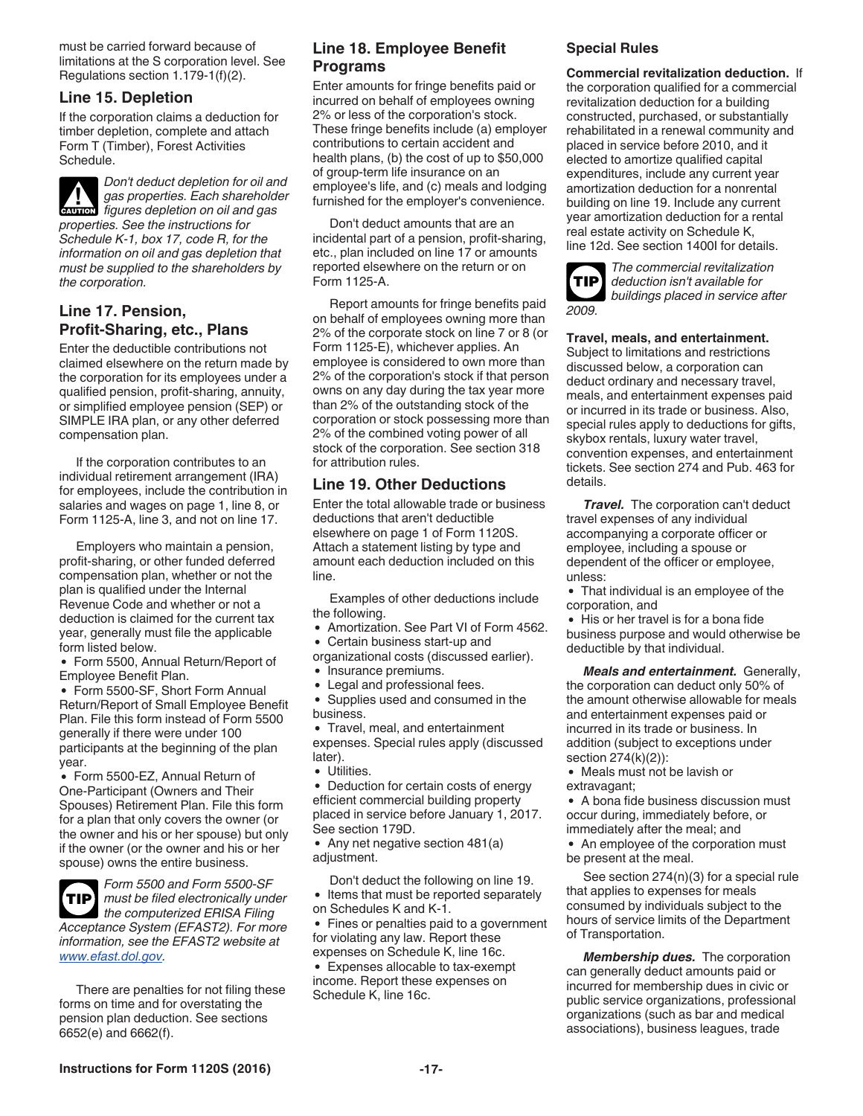<span id="page-16-0"></span>must be carried forward because of limitations at the S corporation level. See Regulations section 1.179-1(f)(2).

## **Line 15. Depletion**

If the corporation claims a deduction for timber depletion, complete and attach Form T (Timber), Forest Activities Schedule.

*Don't deduct depletion for oil and gas properties. Each shareholder*  **figures depletion on oil and gas <br>
<b>EXUTION** figures depletion on oil and gas *properties. See the instructions for Schedule K-1, box 17, code R, for the information on oil and gas depletion that must be supplied to the shareholders by the corporation.*

## **Line 17. Pension, Profit-Sharing, etc., Plans**

Enter the deductible contributions not claimed elsewhere on the return made by the corporation for its employees under a qualified pension, profit-sharing, annuity, or simplified employee pension (SEP) or SIMPLE IRA plan, or any other deferred compensation plan.

If the corporation contributes to an individual retirement arrangement (IRA) for employees, include the contribution in salaries and wages on page 1, line 8, or Form 1125-A, line 3, and not on line 17.

Employers who maintain a pension, profit-sharing, or other funded deferred compensation plan, whether or not the plan is qualified under the Internal Revenue Code and whether or not a deduction is claimed for the current tax year, generally must file the applicable form listed below.

Form 5500, Annual Return/Report of Employee Benefit Plan.

Form 5500-SF, Short Form Annual Return/Report of Small Employee Benefit Plan. File this form instead of Form 5500 generally if there were under 100 participants at the beginning of the plan year.

Form 5500-EZ, Annual Return of One-Participant (Owners and Their Spouses) Retirement Plan. File this form for a plan that only covers the owner (or the owner and his or her spouse) but only if the owner (or the owner and his or her spouse) owns the entire business.



*Form 5500 and Form 5500-SF must be filed electronically under the computerized ERISA Filing* 

*Acceptance System (EFAST2). For more information, see the EFAST2 website at [www.efast.dol.gov](https://www.efast.dol.gov).*

There are penalties for not filing these forms on time and for overstating the pension plan deduction. See sections 6652(e) and 6662(f).

## **Line 18. Employee Benefit Programs**

Enter amounts for fringe benefits paid or incurred on behalf of employees owning 2% or less of the corporation's stock. These fringe benefits include (a) employer contributions to certain accident and health plans, (b) the cost of up to \$50,000 of group-term life insurance on an employee's life, and (c) meals and lodging furnished for the employer's convenience.

Don't deduct amounts that are an incidental part of a pension, profit-sharing, etc., plan included on line 17 or amounts reported elsewhere on the return or on Form 1125-A.

Report amounts for fringe benefits paid on behalf of employees owning more than 2% of the corporate stock on line 7 or 8 (or Form 1125-E), whichever applies. An employee is considered to own more than 2% of the corporation's stock if that person owns on any day during the tax year more than 2% of the outstanding stock of the corporation or stock possessing more than 2% of the combined voting power of all stock of the corporation. See section 318 for attribution rules.

## **Line 19. Other Deductions**

Enter the total allowable trade or business deductions that aren't deductible elsewhere on page 1 of Form 1120S. Attach a statement listing by type and amount each deduction included on this line.

Examples of other deductions include the following.

- Amortization. See Part VI of Form 4562.
- Certain business start-up and

organizational costs (discussed earlier). • Insurance premiums.

Legal and professional fees.

Supplies used and consumed in the business.

Travel, meal, and entertainment expenses. Special rules apply (discussed later).

Utilities.

Deduction for certain costs of energy efficient commercial building property placed in service before January 1, 2017. See section 179D.

• Any net negative section 481(a) adjustment.

Don't deduct the following on line 19. • Items that must be reported separately on Schedules K and K-1.

Fines or penalties paid to a government for violating any law. Report these expenses on Schedule K, line 16c.

Expenses allocable to tax-exempt income. Report these expenses on Schedule K, line 16c.

## **Special Rules**

**Commercial revitalization deduction.** If

the corporation qualified for a commercial revitalization deduction for a building constructed, purchased, or substantially rehabilitated in a renewal community and placed in service before 2010, and it elected to amortize qualified capital expenditures, include any current year amortization deduction for a nonrental building on line 19. Include any current year amortization deduction for a rental real estate activity on Schedule K, line 12d. See section 1400I for details.



*The commercial revitalization deduction isn't available for buildings placed in service after* 

### **Travel, meals, and entertainment.**

Subject to limitations and restrictions discussed below, a corporation can deduct ordinary and necessary travel, meals, and entertainment expenses paid or incurred in its trade or business. Also, special rules apply to deductions for gifts, skybox rentals, luxury water travel, convention expenses, and entertainment tickets. See section 274 and Pub. 463 for details.

*Travel.* The corporation can't deduct travel expenses of any individual accompanying a corporate officer or employee, including a spouse or dependent of the officer or employee, unless:

That individual is an employee of the corporation, and

• His or her travel is for a bona fide business purpose and would otherwise be deductible by that individual.

*Meals and entertainment.* Generally, the corporation can deduct only 50% of the amount otherwise allowable for meals and entertainment expenses paid or incurred in its trade or business. In addition (subject to exceptions under section 274(k)(2)):

- Meals must not be lavish or
- extravagant;

A bona fide business discussion must occur during, immediately before, or immediately after the meal; and

• An employee of the corporation must be present at the meal.

See section 274(n)(3) for a special rule that applies to expenses for meals consumed by individuals subject to the hours of service limits of the Department of Transportation.

*Membership dues.* The corporation can generally deduct amounts paid or incurred for membership dues in civic or public service organizations, professional organizations (such as bar and medical associations), business leagues, trade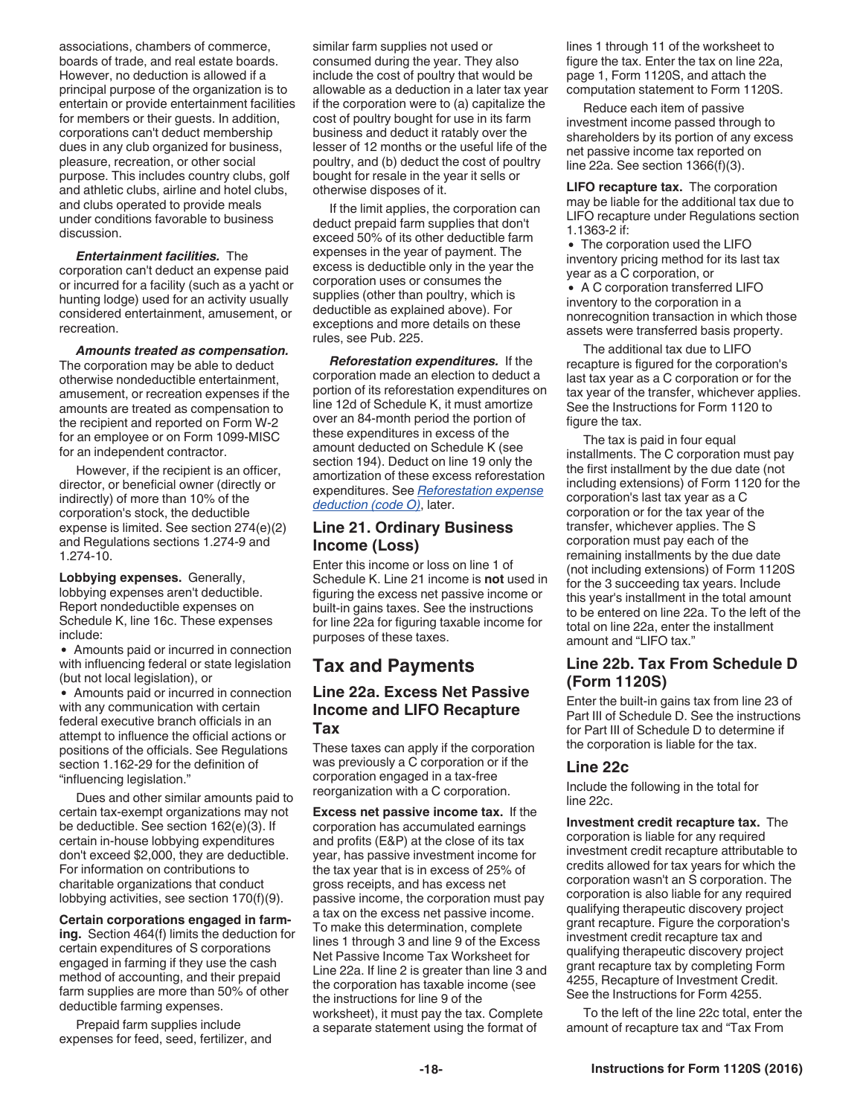<span id="page-17-0"></span>associations, chambers of commerce, boards of trade, and real estate boards. However, no deduction is allowed if a principal purpose of the organization is to entertain or provide entertainment facilities for members or their guests. In addition, corporations can't deduct membership dues in any club organized for business, pleasure, recreation, or other social purpose. This includes country clubs, golf and athletic clubs, airline and hotel clubs, and clubs operated to provide meals under conditions favorable to business discussion.

*Entertainment facilities.* The corporation can't deduct an expense paid or incurred for a facility (such as a yacht or hunting lodge) used for an activity usually considered entertainment, amusement, or recreation.

*Amounts treated as compensation.*  The corporation may be able to deduct otherwise nondeductible entertainment, amusement, or recreation expenses if the amounts are treated as compensation to the recipient and reported on Form W-2 for an employee or on Form 1099-MISC for an independent contractor.

However, if the recipient is an officer, director, or beneficial owner (directly or indirectly) of more than 10% of the corporation's stock, the deductible expense is limited. See section 274(e)(2) and Regulations sections 1.274-9 and 1.274-10.

**Lobbying expenses.** Generally, lobbying expenses aren't deductible. Report nondeductible expenses on Schedule K, line 16c. These expenses include:

Amounts paid or incurred in connection with influencing federal or state legislation (but not local legislation), or

Amounts paid or incurred in connection with any communication with certain federal executive branch officials in an attempt to influence the official actions or positions of the officials. See Regulations section 1.162-29 for the definition of "influencing legislation."

Dues and other similar amounts paid to certain tax-exempt organizations may not be deductible. See section 162(e)(3). If certain in-house lobbying expenditures don't exceed \$2,000, they are deductible. For information on contributions to charitable organizations that conduct lobbying activities, see section 170(f)(9).

**Certain corporations engaged in farming.** Section 464(f) limits the deduction for certain expenditures of S corporations engaged in farming if they use the cash method of accounting, and their prepaid farm supplies are more than 50% of other deductible farming expenses.

Prepaid farm supplies include expenses for feed, seed, fertilizer, and similar farm supplies not used or consumed during the year. They also include the cost of poultry that would be allowable as a deduction in a later tax year if the corporation were to (a) capitalize the cost of poultry bought for use in its farm business and deduct it ratably over the lesser of 12 months or the useful life of the poultry, and (b) deduct the cost of poultry bought for resale in the year it sells or otherwise disposes of it.

If the limit applies, the corporation can deduct prepaid farm supplies that don't exceed 50% of its other deductible farm expenses in the year of payment. The excess is deductible only in the year the corporation uses or consumes the supplies (other than poultry, which is deductible as explained above). For exceptions and more details on these rules, see Pub. 225.

*Reforestation expenditures.* If the corporation made an election to deduct a portion of its reforestation expenditures on line 12d of Schedule K, it must amortize over an 84-month period the portion of these expenditures in excess of the amount deducted on Schedule K (see section 194). Deduct on line 19 only the amortization of these excess reforestation expenditures. See *[Reforestation expense](#page-26-0)  [deduction \(code O\)](#page-26-0)*, later.

## **Line 21. Ordinary Business Income (Loss)**

Enter this income or loss on line 1 of Schedule K. Line 21 income is **not** used in figuring the excess net passive income or built-in gains taxes. See the instructions for line 22a for figuring taxable income for purposes of these taxes.

## **Tax and Payments**

## **Line 22a. Excess Net Passive Income and LIFO Recapture Tax**

These taxes can apply if the corporation was previously a C corporation or if the corporation engaged in a tax-free reorganization with a C corporation.

**Excess net passive income tax.** If the corporation has accumulated earnings and profits (E&P) at the close of its tax year, has passive investment income for the tax year that is in excess of 25% of gross receipts, and has excess net passive income, the corporation must pay a tax on the excess net passive income. To make this determination, complete lines 1 through 3 and line 9 of the Excess Net Passive Income Tax Worksheet for Line 22a. If line 2 is greater than line 3 and the corporation has taxable income (see the instructions for line 9 of the worksheet), it must pay the tax. Complete a separate statement using the format of

lines 1 through 11 of the worksheet to figure the tax. Enter the tax on line 22a, page 1, Form 1120S, and attach the computation statement to Form 1120S.

Reduce each item of passive investment income passed through to shareholders by its portion of any excess net passive income tax reported on line 22a. See section 1366(f)(3).

**LIFO recapture tax.** The corporation may be liable for the additional tax due to LIFO recapture under Regulations section 1.1363-2 if:

• The corporation used the LIFO inventory pricing method for its last tax year as a C corporation, or

• A C corporation transferred LIFO inventory to the corporation in a nonrecognition transaction in which those assets were transferred basis property.

The additional tax due to LIFO recapture is figured for the corporation's last tax year as a C corporation or for the tax year of the transfer, whichever applies. See the Instructions for Form 1120 to figure the tax.

The tax is paid in four equal installments. The C corporation must pay the first installment by the due date (not including extensions) of Form 1120 for the corporation's last tax year as a C corporation or for the tax year of the transfer, whichever applies. The S corporation must pay each of the remaining installments by the due date (not including extensions) of Form 1120S for the 3 succeeding tax years. Include this year's installment in the total amount to be entered on line 22a. To the left of the total on line 22a, enter the installment amount and "LIFO tax."

## **Line 22b. Tax From Schedule D (Form 1120S)**

Enter the built-in gains tax from line 23 of Part III of Schedule D. See the instructions for Part III of Schedule D to determine if the corporation is liable for the tax.

#### **Line 22c**

Include the following in the total for line 22c.

**Investment credit recapture tax.** The corporation is liable for any required investment credit recapture attributable to credits allowed for tax years for which the corporation wasn't an S corporation. The corporation is also liable for any required qualifying therapeutic discovery project grant recapture. Figure the corporation's investment credit recapture tax and qualifying therapeutic discovery project grant recapture tax by completing Form 4255, Recapture of Investment Credit. See the Instructions for Form 4255.

To the left of the line 22c total, enter the amount of recapture tax and "Tax From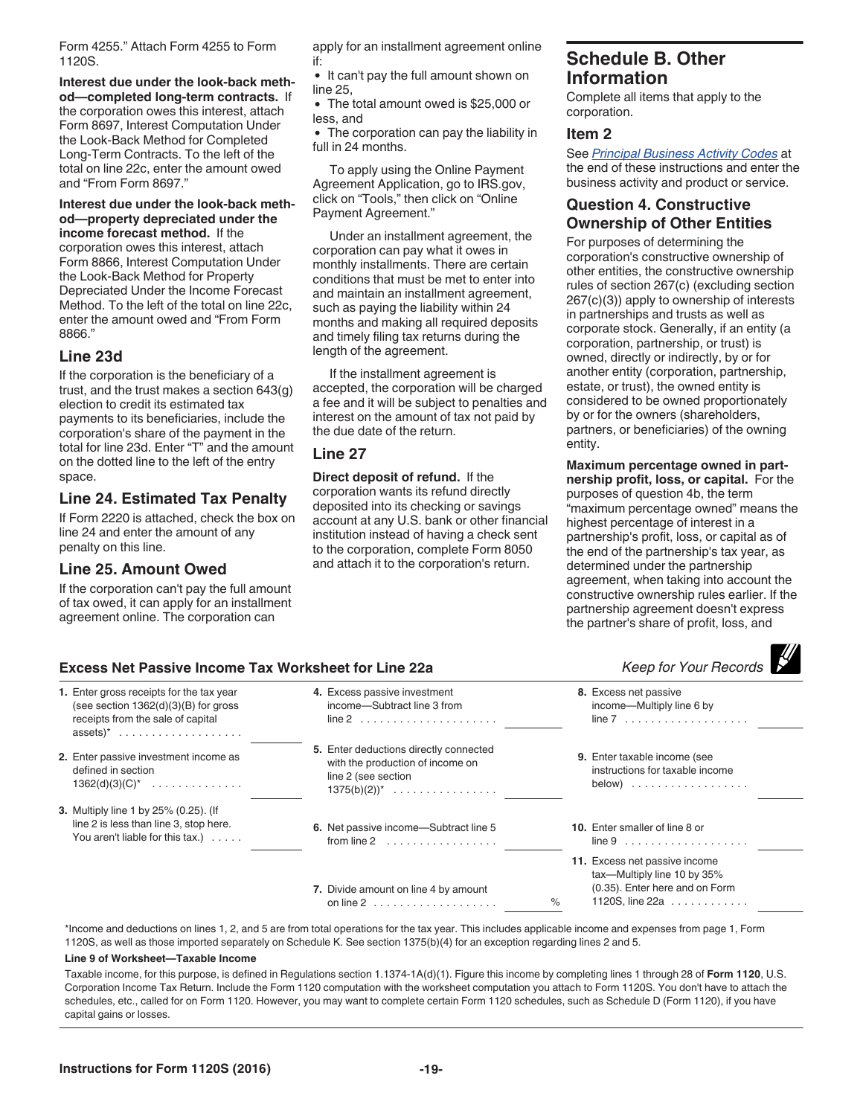<span id="page-18-0"></span>Form 4255." Attach Form 4255 to Form 1120S.

Interest due under the look-back meth**od—completed long-term contracts. If** the corporation owes this interest, attach Form 8697, Interest Computation Under the Look-Back Method for Completed Long-Term Contracts. To the left of the total on line 22c, enter the amount owed and "From Form 8697."

Interest due under the look-back meth**od—property depreciated under the income forecast method.** If the corporation owes this interest, attach Form 8866, Interest Computation Under the Look-Back Method for Property Depreciated Under the Income Forecast Method. To the left of the total on line 22c, enter the amount owed and "From Form 8866."

#### **Line 23d**

If the corporation is the beneficiary of a trust, and the trust makes a section 643(g) election to credit its estimated tax payments to its beneficiaries, include the corporation's share of the payment in the total for line 23d. Enter "T" and the amount on the dotted line to the left of the entry space.

### **Line 24. Estimated Tax Penalty**

If Form 2220 is attached, check the box on line 24 and enter the amount of any penalty on this line.

#### **Line 25. Amount Owed**

If the corporation can't pay the full amount of tax owed, it can apply for an installment agreement online. The corporation can

apply for an installment agreement online if:

• It can't pay the full amount shown on line 25,

The total amount owed is \$25,000 or less, and

The corporation can pay the liability in full in 24 months.

To apply using the Online Payment Agreement Application, go to IRS.gov, click on "Tools," then click on "Online Payment Agreement."

Under an installment agreement, the corporation can pay what it owes in monthly installments. There are certain conditions that must be met to enter into and maintain an installment agreement, such as paying the liability within 24 months and making all required deposits and timely filing tax returns during the length of the agreement.

If the installment agreement is accepted, the corporation will be charged a fee and it will be subject to penalties and interest on the amount of tax not paid by the due date of the return.

#### **Line 27**

**Direct deposit of refund.** If the corporation wants its refund directly deposited into its checking or savings account at any U.S. bank or other financial institution instead of having a check sent to the corporation, complete Form 8050 and attach it to the corporation's return.

## **Schedule B. Other Information**

Complete all items that apply to the corporation.

#### **Item 2**

See *[Principal Business Activity Codes](#page-40-0)* at the end of these instructions and enter the business activity and product or service.

## **Question 4. Constructive Ownership of Other Entities**

For purposes of determining the corporation's constructive ownership of other entities, the constructive ownership rules of section 267(c) (excluding section 267(c)(3)) apply to ownership of interests in partnerships and trusts as well as corporate stock. Generally, if an entity (a corporation, partnership, or trust) is owned, directly or indirectly, by or for another entity (corporation, partnership, estate, or trust), the owned entity is considered to be owned proportionately by or for the owners (shareholders, partners, or beneficiaries) of the owning entity.

**Maximum percentage owned in partnership profit, loss, or capital.** For the purposes of question 4b, the term "maximum percentage owned" means the highest percentage of interest in a partnership's profit, loss, or capital as of the end of the partnership's tax year, as determined under the partnership agreement, when taking into account the constructive ownership rules earlier. If the partnership agreement doesn't express the partner's share of profit, loss, and

#### Excess Net Passive Income Tax Worksheet for Line 22a *Keep for Your Records* **1.** Enter gross receipts for the tax year (see section 1362(d)(3)(B) for gross receipts from the sale of capital  $assets)$ <sup>\*</sup> ..................... **4.** Excess passive investment income—Subtract line 3 from line 2 ..................... **8.** Excess net passive income—Multiply line 6 by line 7 ................... **5.** Enter deductions directly connected with the production of income on line 2 (see section  $1375(b)(2))^*$  ................ **2.** Enter passive investment income as defined in section  $1362(d)(3)(C)^*$  ............. **9.** Enter taxable income (see instructions for taxable income below) . . . . . . . . . . . . . . . . . . **3.** Multiply line 1 by 25% (0.25). (If line 2 is less than line 3, stop here. You aren't liable for this tax.) . . . . . **6.** Net passive income—Subtract line 5 from line 2 ................. **10.** Enter smaller of line 8 or line 9 ................... % **11.** Excess net passive income tax—Multiply line 10 by 35% (0.35). Enter here and on Form 1120S, line 22a . . . . . . . . . . . . **7.** Divide amount on line 4 by amount on line 2 ...................

\*Income and deductions on lines 1, 2, and 5 are from total operations for the tax year. This includes applicable income and expenses from page 1, Form 1120S, as well as those imported separately on Schedule K. See section 1375(b)(4) for an exception regarding lines 2 and 5.

#### **Line 9 of Worksheet—Taxable Income**

Taxable income, for this purpose, is defined in Regulations section 1.1374-1A(d)(1). Figure this income by completing lines 1 through 28 of **Form 1120**, U.S. Corporation Income Tax Return. Include the Form 1120 computation with the worksheet computation you attach to Form 1120S. You don't have to attach the schedules, etc., called for on Form 1120. However, you may want to complete certain Form 1120 schedules, such as Schedule D (Form 1120), if you have capital gains or losses.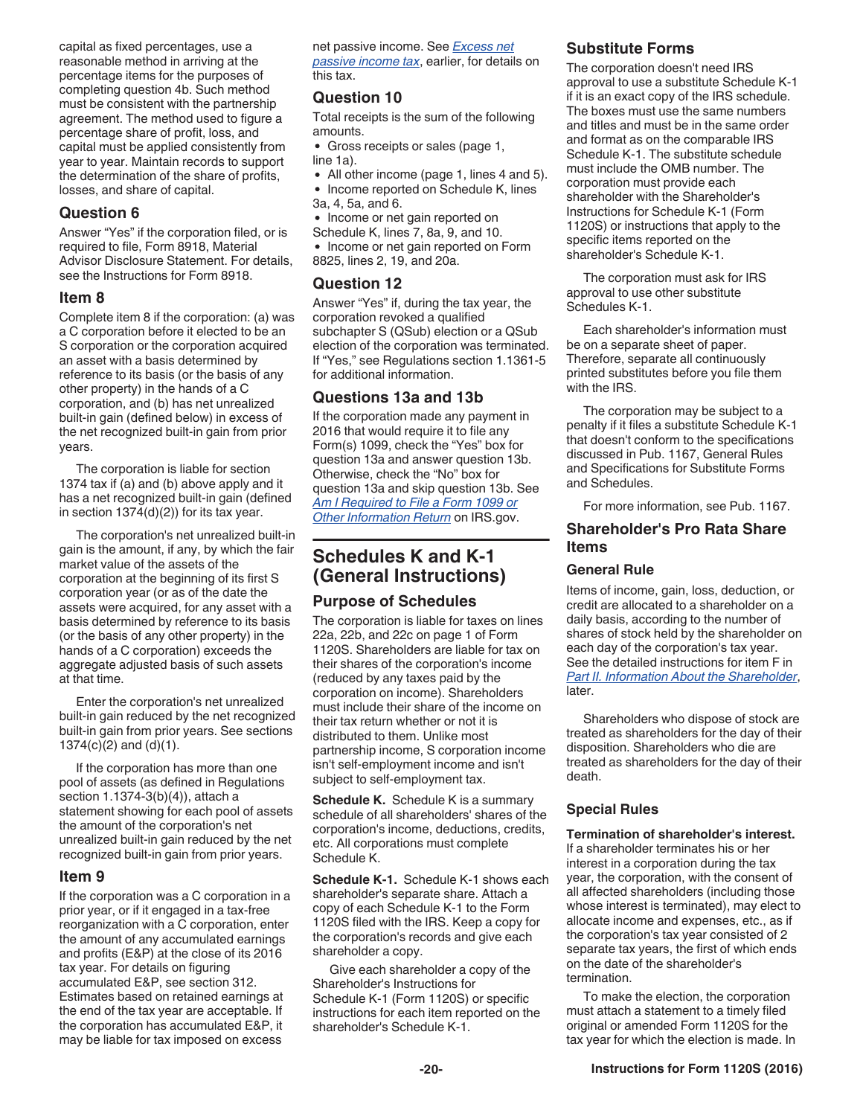<span id="page-19-0"></span>capital as fixed percentages, use a reasonable method in arriving at the percentage items for the purposes of completing question 4b. Such method must be consistent with the partnership agreement. The method used to figure a percentage share of profit, loss, and capital must be applied consistently from year to year. Maintain records to support the determination of the share of profits, losses, and share of capital.

## **Question 6**

Answer "Yes" if the corporation filed, or is required to file, Form 8918, Material Advisor Disclosure Statement. For details, see the Instructions for Form 8918.

### **Item 8**

Complete item 8 if the corporation: (a) was a C corporation before it elected to be an S corporation or the corporation acquired an asset with a basis determined by reference to its basis (or the basis of any other property) in the hands of a C corporation, and (b) has net unrealized built-in gain (defined below) in excess of the net recognized built-in gain from prior years.

The corporation is liable for section 1374 tax if (a) and (b) above apply and it has a net recognized built-in gain (defined in section 1374(d)(2)) for its tax year.

The corporation's net unrealized built-in gain is the amount, if any, by which the fair market value of the assets of the corporation at the beginning of its first S corporation year (or as of the date the assets were acquired, for any asset with a basis determined by reference to its basis (or the basis of any other property) in the hands of a C corporation) exceeds the aggregate adjusted basis of such assets at that time.

Enter the corporation's net unrealized built-in gain reduced by the net recognized built-in gain from prior years. See sections  $1374(c)(2)$  and  $(d)(1)$ .

If the corporation has more than one pool of assets (as defined in Regulations section 1.1374-3(b)(4)), attach a statement showing for each pool of assets the amount of the corporation's net unrealized built-in gain reduced by the net recognized built-in gain from prior years.

### **Item 9**

If the corporation was a C corporation in a prior year, or if it engaged in a tax-free reorganization with a C corporation, enter the amount of any accumulated earnings and profits (E&P) at the close of its 2016 tax year. For details on figuring accumulated E&P, see section 312. Estimates based on retained earnings at the end of the tax year are acceptable. If the corporation has accumulated E&P, it may be liable for tax imposed on excess

net passive income. See *[Excess net](#page-17-0)  [passive income tax](#page-17-0)*, earlier, for details on this tax.

## **Question 10**

Total receipts is the sum of the following amounts.

- Gross receipts or sales (page 1, line 1a).
- All other income (page 1, lines 4 and 5).
- Income reported on Schedule K, lines 3a, 4, 5a, and 6.
- Income or net gain reported on
- Schedule K, lines 7, 8a, 9, and 10.

• Income or net gain reported on Form 8825, lines 2, 19, and 20a.

## **Question 12**

Answer "Yes" if, during the tax year, the corporation revoked a qualified subchapter S (QSub) election or a QSub election of the corporation was terminated. If "Yes," see Regulations section 1.1361-5 for additional information.

## **Questions 13a and 13b**

If the corporation made any payment in 2016 that would require it to file any Form(s) 1099, check the "Yes" box for question 13a and answer question 13b. Otherwise, check the "No" box for question 13a and skip question 13b. See *[Am I Required to File a Form 1099 or](https://www.irs.gov/Businesses/Small-Businesses-&-Self-Employed/Am-I-Required-to-File-a-Form-1099-or-Other-Information-Return) [Other Information Return](https://www.irs.gov/Businesses/Small-Businesses-&-Self-Employed/Am-I-Required-to-File-a-Form-1099-or-Other-Information-Return)* on IRS.gov.

# **Schedules K and K-1 (General Instructions)**

#### **Purpose of Schedules**

The corporation is liable for taxes on lines 22a, 22b, and 22c on page 1 of Form 1120S. Shareholders are liable for tax on their shares of the corporation's income (reduced by any taxes paid by the corporation on income). Shareholders must include their share of the income on their tax return whether or not it is distributed to them. Unlike most partnership income, S corporation income isn't self-employment income and isn't subject to self-employment tax.

**Schedule K.** Schedule K is a summary schedule of all shareholders' shares of the corporation's income, deductions, credits, etc. All corporations must complete Schedule K.

**Schedule K-1.** Schedule K-1 shows each shareholder's separate share. Attach a copy of each Schedule K-1 to the Form 1120S filed with the IRS. Keep a copy for the corporation's records and give each shareholder a copy.

Give each shareholder a copy of the Shareholder's Instructions for Schedule K-1 (Form 1120S) or specific instructions for each item reported on the shareholder's Schedule K-1.

## **Substitute Forms**

The corporation doesn't need IRS approval to use a substitute Schedule K-1 if it is an exact copy of the IRS schedule. The boxes must use the same numbers and titles and must be in the same order and format as on the comparable IRS Schedule K-1. The substitute schedule must include the OMB number. The corporation must provide each shareholder with the Shareholder's Instructions for Schedule K-1 (Form 1120S) or instructions that apply to the specific items reported on the shareholder's Schedule K-1.

The corporation must ask for IRS approval to use other substitute Schedules K-1.

Each shareholder's information must be on a separate sheet of paper. Therefore, separate all continuously printed substitutes before you file them with the IRS.

The corporation may be subject to a penalty if it files a substitute Schedule K-1 that doesn't conform to the specifications discussed in Pub. 1167, General Rules and Specifications for Substitute Forms and Schedules.

For more information, see Pub. 1167.

## **Shareholder's Pro Rata Share Items**

#### **General Rule**

Items of income, gain, loss, deduction, or credit are allocated to a shareholder on a daily basis, according to the number of shares of stock held by the shareholder on each day of the corporation's tax year. See the detailed instructions for item F in *[Part II. Information About the Shareholder](#page-20-0)*, later.

Shareholders who dispose of stock are treated as shareholders for the day of their disposition. Shareholders who die are treated as shareholders for the day of their death.

### **Special Rules**

## **Termination of shareholder's interest.**

If a shareholder terminates his or her interest in a corporation during the tax year, the corporation, with the consent of all affected shareholders (including those whose interest is terminated), may elect to allocate income and expenses, etc., as if the corporation's tax year consisted of 2 separate tax years, the first of which ends on the date of the shareholder's termination.

To make the election, the corporation must attach a statement to a timely filed original or amended Form 1120S for the tax year for which the election is made. In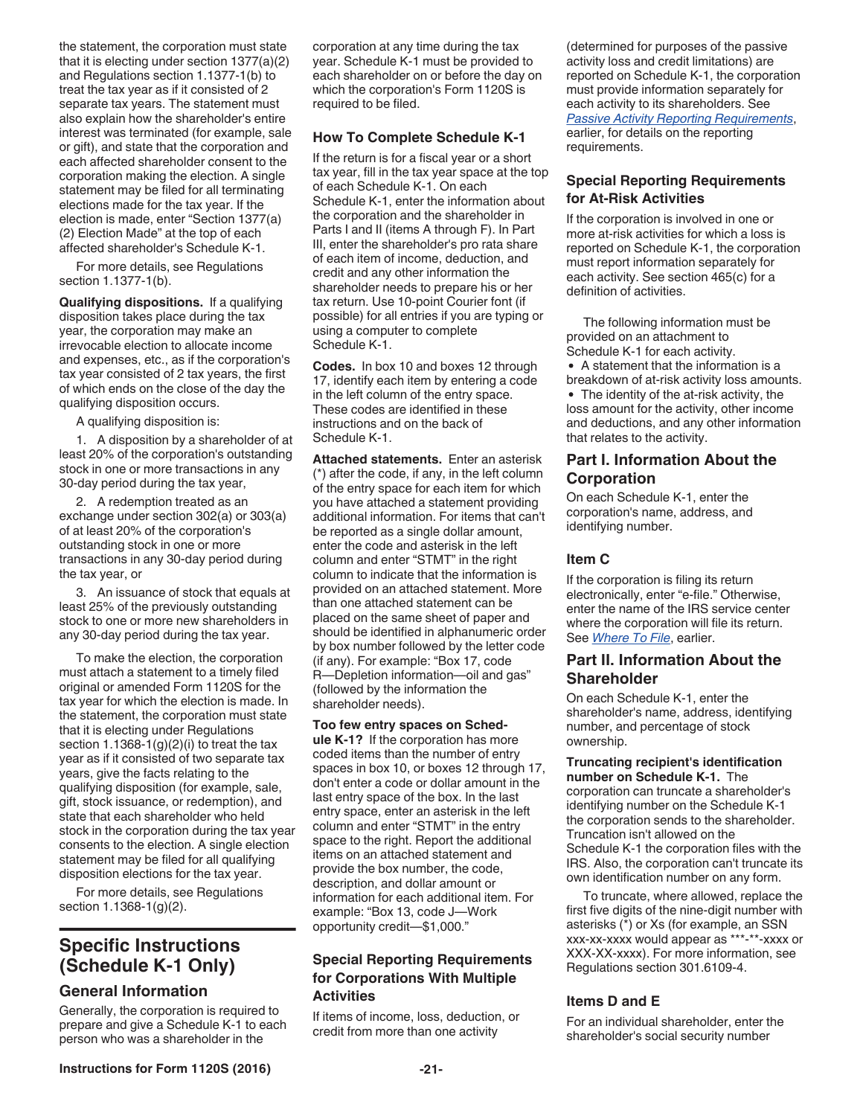<span id="page-20-0"></span>the statement, the corporation must state that it is electing under section 1377(a)(2) and Regulations section 1.1377-1(b) to treat the tax year as if it consisted of 2 separate tax years. The statement must also explain how the shareholder's entire interest was terminated (for example, sale or gift), and state that the corporation and each affected shareholder consent to the corporation making the election. A single statement may be filed for all terminating elections made for the tax year. If the election is made, enter "Section 1377(a) (2) Election Made" at the top of each affected shareholder's Schedule K-1.

For more details, see Regulations section 1.1377-1(b).

**Qualifying dispositions.** If a qualifying disposition takes place during the tax year, the corporation may make an irrevocable election to allocate income and expenses, etc., as if the corporation's tax year consisted of 2 tax years, the first of which ends on the close of the day the qualifying disposition occurs.

A qualifying disposition is:

1. A disposition by a shareholder of at least 20% of the corporation's outstanding stock in one or more transactions in any 30-day period during the tax year,

2. A redemption treated as an exchange under section 302(a) or 303(a) of at least 20% of the corporation's outstanding stock in one or more transactions in any 30-day period during the tax year, or

3. An issuance of stock that equals at least 25% of the previously outstanding stock to one or more new shareholders in any 30-day period during the tax year.

To make the election, the corporation must attach a statement to a timely filed original or amended Form 1120S for the tax year for which the election is made. In the statement, the corporation must state that it is electing under Regulations section 1.1368-1(g)(2)(i) to treat the tax year as if it consisted of two separate tax years, give the facts relating to the qualifying disposition (for example, sale, gift, stock issuance, or redemption), and state that each shareholder who held stock in the corporation during the tax year consents to the election. A single election statement may be filed for all qualifying disposition elections for the tax year.

For more details, see Regulations section 1.1368-1(g)(2).

## **Specific Instructions (Schedule K-1 Only)**

#### **General Information**

Generally, the corporation is required to prepare and give a Schedule K-1 to each person who was a shareholder in the

corporation at any time during the tax year. Schedule K-1 must be provided to each shareholder on or before the day on which the corporation's Form 1120S is required to be filed.

#### **How To Complete Schedule K-1**

If the return is for a fiscal year or a short tax year, fill in the tax year space at the top of each Schedule K-1. On each Schedule K-1, enter the information about the corporation and the shareholder in Parts I and II (items A through F). In Part III, enter the shareholder's pro rata share of each item of income, deduction, and credit and any other information the shareholder needs to prepare his or her tax return. Use 10-point Courier font (if possible) for all entries if you are typing or using a computer to complete Schedule K-1.

**Codes.** In box 10 and boxes 12 through 17, identify each item by entering a code in the left column of the entry space. These codes are identified in these instructions and on the back of Schedule K-1.

**Attached statements.** Enter an asterisk (\*) after the code, if any, in the left column of the entry space for each item for which you have attached a statement providing additional information. For items that can't be reported as a single dollar amount, enter the code and asterisk in the left column and enter "STMT" in the right column to indicate that the information is provided on an attached statement. More than one attached statement can be placed on the same sheet of paper and should be identified in alphanumeric order by box number followed by the letter code (if any). For example: "Box 17, code R—Depletion information—oil and gas" (followed by the information the shareholder needs).

**Too few entry spaces on Schedule K-1?** If the corporation has more coded items than the number of entry spaces in box 10, or boxes 12 through 17, don't enter a code or dollar amount in the last entry space of the box. In the last entry space, enter an asterisk in the left column and enter "STMT" in the entry space to the right. Report the additional items on an attached statement and provide the box number, the code, description, and dollar amount or information for each additional item. For example: "Box 13, code J—Work opportunity credit—\$1,000."

### **Special Reporting Requirements for Corporations With Multiple Activities**

If items of income, loss, deduction, or credit from more than one activity

(determined for purposes of the passive activity loss and credit limitations) are reported on Schedule K-1, the corporation must provide information separately for each activity to its shareholders. See *[Passive Activity Reporting Requirements](#page-9-0)*, earlier, for details on the reporting requirements.

### **Special Reporting Requirements for At-Risk Activities**

If the corporation is involved in one or more at-risk activities for which a loss is reported on Schedule K-1, the corporation must report information separately for each activity. See section 465(c) for a definition of activities.

The following information must be provided on an attachment to Schedule K-1 for each activity.

A statement that the information is a breakdown of at-risk activity loss amounts. The identity of the at-risk activity, the loss amount for the activity, other income and deductions, and any other information that relates to the activity.

### **Part I. Information About the Corporation**

On each Schedule K-1, enter the corporation's name, address, and identifying number.

#### **Item C**

If the corporation is filing its return electronically, enter "e-file." Otherwise, enter the name of the IRS service center where the corporation will file its return. See *[Where To File](#page-2-0)*, earlier.

### **Part II. Information About the Shareholder**

On each Schedule K-1, enter the shareholder's name, address, identifying number, and percentage of stock ownership.

#### **Truncating recipient's identification number on Schedule K-1.** The

corporation can truncate a shareholder's identifying number on the Schedule K-1 the corporation sends to the shareholder. Truncation isn't allowed on the Schedule K-1 the corporation files with the IRS. Also, the corporation can't truncate its own identification number on any form.

To truncate, where allowed, replace the first five digits of the nine-digit number with asterisks (\*) or Xs (for example, an SSN xxx-xx-xxxx would appear as \*\*\*-\*\*-xxxx or XXX-XX-xxxx). For more information, see Regulations section 301.6109-4.

### **Items D and E**

For an individual shareholder, enter the shareholder's social security number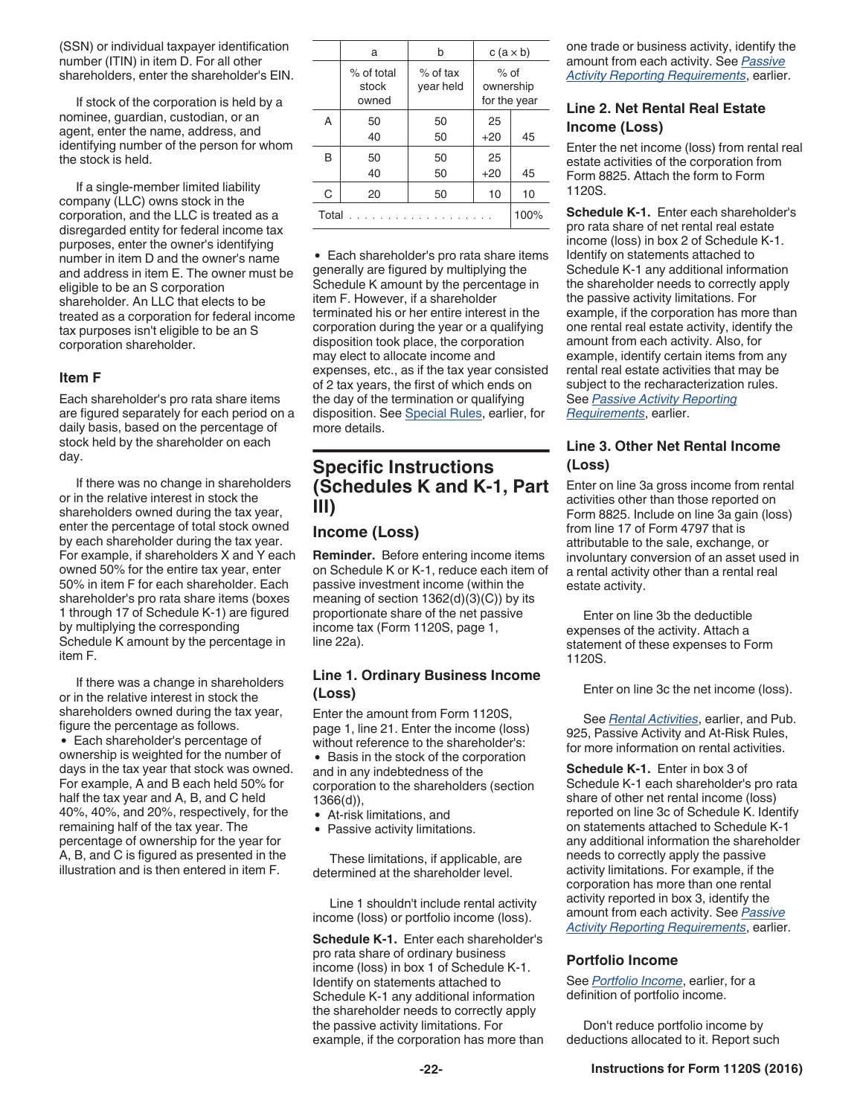<span id="page-21-0"></span>(SSN) or individual taxpayer identification number (ITIN) in item D. For all other shareholders, enter the shareholder's EIN.

If stock of the corporation is held by a nominee, guardian, custodian, or an agent, enter the name, address, and identifying number of the person for whom the stock is held.

If a single-member limited liability company (LLC) owns stock in the corporation, and the LLC is treated as a disregarded entity for federal income tax purposes, enter the owner's identifying number in item D and the owner's name and address in item E. The owner must be eligible to be an S corporation shareholder. An LLC that elects to be treated as a corporation for federal income tax purposes isn't eligible to be an S corporation shareholder.

#### **Item F**

Each shareholder's pro rata share items are figured separately for each period on a daily basis, based on the percentage of stock held by the shareholder on each day.

If there was no change in shareholders or in the relative interest in stock the shareholders owned during the tax year, enter the percentage of total stock owned by each shareholder during the tax year. For example, if shareholders X and Y each owned 50% for the entire tax year, enter 50% in item F for each shareholder. Each shareholder's pro rata share items (boxes 1 through 17 of Schedule K-1) are figured by multiplying the corresponding Schedule K amount by the percentage in item F.

If there was a change in shareholders or in the relative interest in stock the shareholders owned during the tax year, figure the percentage as follows. Each shareholder's percentage of ownership is weighted for the number of days in the tax year that stock was owned. For example, A and B each held 50% for half the tax year and A, B, and C held 40%, 40%, and 20%, respectively, for the remaining half of the tax year. The percentage of ownership for the year for A, B, and C is figured as presented in the illustration and is then entered in item F.

|       | a                            | b                       | $c (a \times b)$                    |    |
|-------|------------------------------|-------------------------|-------------------------------------|----|
|       | % of total<br>stock<br>owned | $%$ of tax<br>year held | $%$ of<br>ownership<br>for the year |    |
| A     | 50<br>40                     | 50<br>50                | 25<br>$+20$                         | 45 |
| B     | 50<br>40                     | 50<br>50                | 25<br>$+20$                         | 45 |
| С     | 20                           | 50                      | 10                                  | 10 |
| Total |                              |                         | 100%                                |    |

Each shareholder's pro rata share items generally are figured by multiplying the Schedule K amount by the percentage in item F. However, if a shareholder terminated his or her entire interest in the corporation during the year or a qualifying disposition took place, the corporation may elect to allocate income and expenses, etc., as if the tax year consisted of 2 tax years, the first of which ends on the day of the termination or qualifying disposition. See [Special Rules](#page-19-0), earlier, for more details.

## **Specific Instructions (Schedules K and K-1, Part III)**

#### **Income (Loss)**

**Reminder.** Before entering income items on Schedule K or K-1, reduce each item of passive investment income (within the meaning of section  $1362(d)(3)(C)$  by its proportionate share of the net passive income tax (Form 1120S, page 1, line 22a).

#### **Line 1. Ordinary Business Income (Loss)**

Enter the amount from Form 1120S, page 1, line 21. Enter the income (loss) without reference to the shareholder's: • Basis in the stock of the corporation and in any indebtedness of the corporation to the shareholders (section 1366(d)),

- At-risk limitations, and
- Passive activity limitations.

These limitations, if applicable, are determined at the shareholder level.

Line 1 shouldn't include rental activity income (loss) or portfolio income (loss).

Schedule K-1. Enter each shareholder's pro rata share of ordinary business income (loss) in box 1 of Schedule K-1. Identify on statements attached to Schedule K-1 any additional information the shareholder needs to correctly apply the passive activity limitations. For example, if the corporation has more than one trade or business activity, identify the amount from each activity. See *[Passive](#page-9-0) [Activity Reporting Requirements](#page-9-0)*, earlier.

## **Line 2. Net Rental Real Estate Income (Loss)**

Enter the net income (loss) from rental real estate activities of the corporation from Form 8825. Attach the form to Form 1120S.

**Schedule K-1.** Enter each shareholder's pro rata share of net rental real estate income (loss) in box 2 of Schedule K-1. Identify on statements attached to Schedule K-1 any additional information the shareholder needs to correctly apply the passive activity limitations. For example, if the corporation has more than one rental real estate activity, identify the amount from each activity. Also, for example, identify certain items from any rental real estate activities that may be subject to the recharacterization rules. See *[Passive Activity Reporting](#page-9-0) [Requirements](#page-9-0)*, earlier.

#### **Line 3. Other Net Rental Income (Loss)**

Enter on line 3a gross income from rental activities other than those reported on Form 8825. Include on line 3a gain (loss) from line 17 of Form 4797 that is attributable to the sale, exchange, or involuntary conversion of an asset used in a rental activity other than a rental real estate activity.

Enter on line 3b the deductible expenses of the activity. Attach a statement of these expenses to Form 1120S.

Enter on line 3c the net income (loss).

See *[Rental Activities](#page-6-0)*, earlier, and Pub. 925, Passive Activity and At-Risk Rules, for more information on rental activities.

**Schedule K-1.** Enter in box 3 of Schedule K-1 each shareholder's pro rata share of other net rental income (loss) reported on line 3c of Schedule K. Identify on statements attached to Schedule K-1 any additional information the shareholder needs to correctly apply the passive activity limitations. For example, if the corporation has more than one rental activity reported in box 3, identify the amount from each activity. See *[Passive](#page-9-0) [Activity Reporting Requirements](#page-9-0)*, earlier.

#### **Portfolio Income**

See *[Portfolio Income](#page-7-0)*, earlier, for a definition of portfolio income.

Don't reduce portfolio income by deductions allocated to it. Report such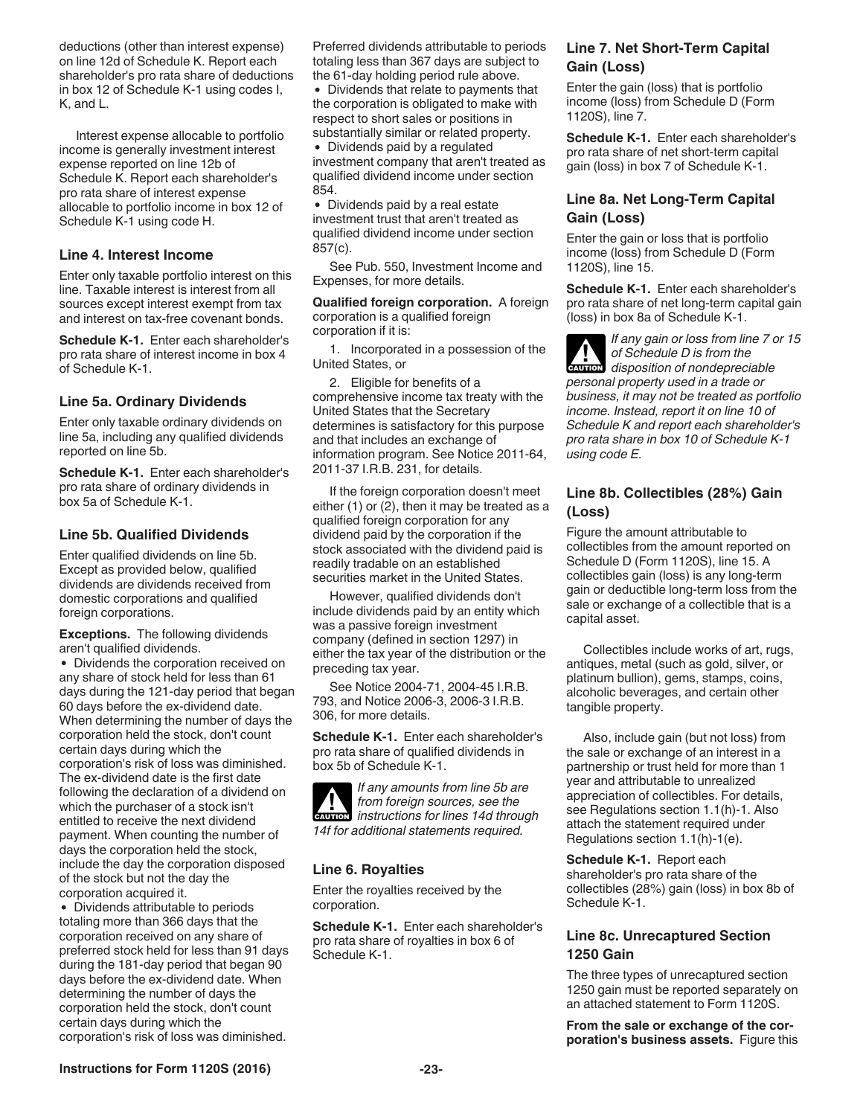deductions (other than interest expense) on line 12d of Schedule K. Report each shareholder's pro rata share of deductions in box 12 of Schedule K-1 using codes I, K, and L.

Interest expense allocable to portfolio income is generally investment interest expense reported on line 12b of Schedule K. Report each shareholder's pro rata share of interest expense allocable to portfolio income in box 12 of Schedule K-1 using code H.

#### **Line 4. Interest Income**

Enter only taxable portfolio interest on this line. Taxable interest is interest from all sources except interest exempt from tax and interest on tax-free covenant bonds.

**Schedule K-1.** Enter each shareholder's pro rata share of interest income in box 4 of Schedule K-1.

#### **Line 5a. Ordinary Dividends**

Enter only taxable ordinary dividends on line 5a, including any qualified dividends reported on line 5b.

**Schedule K-1.** Enter each shareholder's pro rata share of ordinary dividends in box 5a of Schedule K-1.

#### **Line 5b. Qualified Dividends**

Enter qualified dividends on line 5b. Except as provided below, qualified dividends are dividends received from domestic corporations and qualified foreign corporations.

**Exceptions.** The following dividends aren't qualified dividends.

Dividends the corporation received on any share of stock held for less than 61 days during the 121-day period that began 60 days before the ex-dividend date. When determining the number of days the corporation held the stock, don't count certain days during which the corporation's risk of loss was diminished. The ex-dividend date is the first date following the declaration of a dividend on which the purchaser of a stock isn't entitled to receive the next dividend payment. When counting the number of days the corporation held the stock, include the day the corporation disposed of the stock but not the day the corporation acquired it.

Dividends attributable to periods totaling more than 366 days that the corporation received on any share of preferred stock held for less than 91 days during the 181-day period that began 90 days before the ex-dividend date. When determining the number of days the corporation held the stock, don't count certain days during which the corporation's risk of loss was diminished.

Preferred dividends attributable to periods totaling less than 367 days are subject to the 61-day holding period rule above.

Dividends that relate to payments that the corporation is obligated to make with respect to short sales or positions in substantially similar or related property.

Dividends paid by a regulated investment company that aren't treated as qualified dividend income under section 854.

Dividends paid by a real estate investment trust that aren't treated as qualified dividend income under section 857(c).

See Pub. 550, Investment Income and Expenses, for more details.

**Qualified foreign corporation.** A foreign corporation is a qualified foreign corporation if it is:

1. Incorporated in a possession of the United States, or

2. Eligible for benefits of a comprehensive income tax treaty with the United States that the Secretary determines is satisfactory for this purpose and that includes an exchange of information program. See Notice 2011-64, 2011-37 I.R.B. 231, for details.

If the foreign corporation doesn't meet either (1) or (2), then it may be treated as a qualified foreign corporation for any dividend paid by the corporation if the stock associated with the dividend paid is readily tradable on an established securities market in the United States.

However, qualified dividends don't include dividends paid by an entity which was a passive foreign investment company (defined in section 1297) in either the tax year of the distribution or the preceding tax year.

See Notice 2004-71, 2004-45 I.R.B. 793, and Notice 2006-3, 2006-3 I.R.B. 306, for more details.

**Schedule K-1.** Enter each shareholder's pro rata share of qualified dividends in box 5b of Schedule K-1.

*If any amounts from line 5b are from foreign sources, see the If the foreign sources, see the instructions for lines 14d through 14f for additional statements required.*

#### **Line 6. Royalties**

Enter the royalties received by the corporation.

**Schedule K-1.** Enter each shareholder's pro rata share of royalties in box 6 of Schedule K-1.

### **Line 7. Net Short-Term Capital Gain (Loss)**

Enter the gain (loss) that is portfolio income (loss) from Schedule D (Form 1120S), line 7.

**Schedule K-1.** Enter each shareholder's pro rata share of net short-term capital gain (loss) in box 7 of Schedule K-1.

### **Line 8a. Net Long-Term Capital Gain (Loss)**

Enter the gain or loss that is portfolio income (loss) from Schedule D (Form 1120S), line 15.

**Schedule K-1.** Enter each shareholder's pro rata share of net long-term capital gain (loss) in box 8a of Schedule K-1.

*If any gain or loss from line 7 or 15 of Schedule D is from the disposition of nondepreciable personal property used in a trade or business, it may not be treated as portfolio income. Instead, report it on line 10 of Schedule K and report each shareholder's pro rata share in box 10 of Schedule K-1 using code E.* **CAUTION !**

## **Line 8b. Collectibles (28%) Gain (Loss)**

Figure the amount attributable to collectibles from the amount reported on Schedule D (Form 1120S), line 15. A collectibles gain (loss) is any long-term gain or deductible long-term loss from the sale or exchange of a collectible that is a capital asset.

Collectibles include works of art, rugs, antiques, metal (such as gold, silver, or platinum bullion), gems, stamps, coins, alcoholic beverages, and certain other tangible property.

Also, include gain (but not loss) from the sale or exchange of an interest in a partnership or trust held for more than 1 year and attributable to unrealized appreciation of collectibles. For details, see Regulations section 1.1(h)-1. Also attach the statement required under Regulations section 1.1(h)-1(e).

Schedule K-1. Report each shareholder's pro rata share of the collectibles (28%) gain (loss) in box 8b of Schedule K-1.

### **Line 8c. Unrecaptured Section 1250 Gain**

The three types of unrecaptured section 1250 gain must be reported separately on an attached statement to Form 1120S.

**From the sale or exchange of the corporation's business assets.** Figure this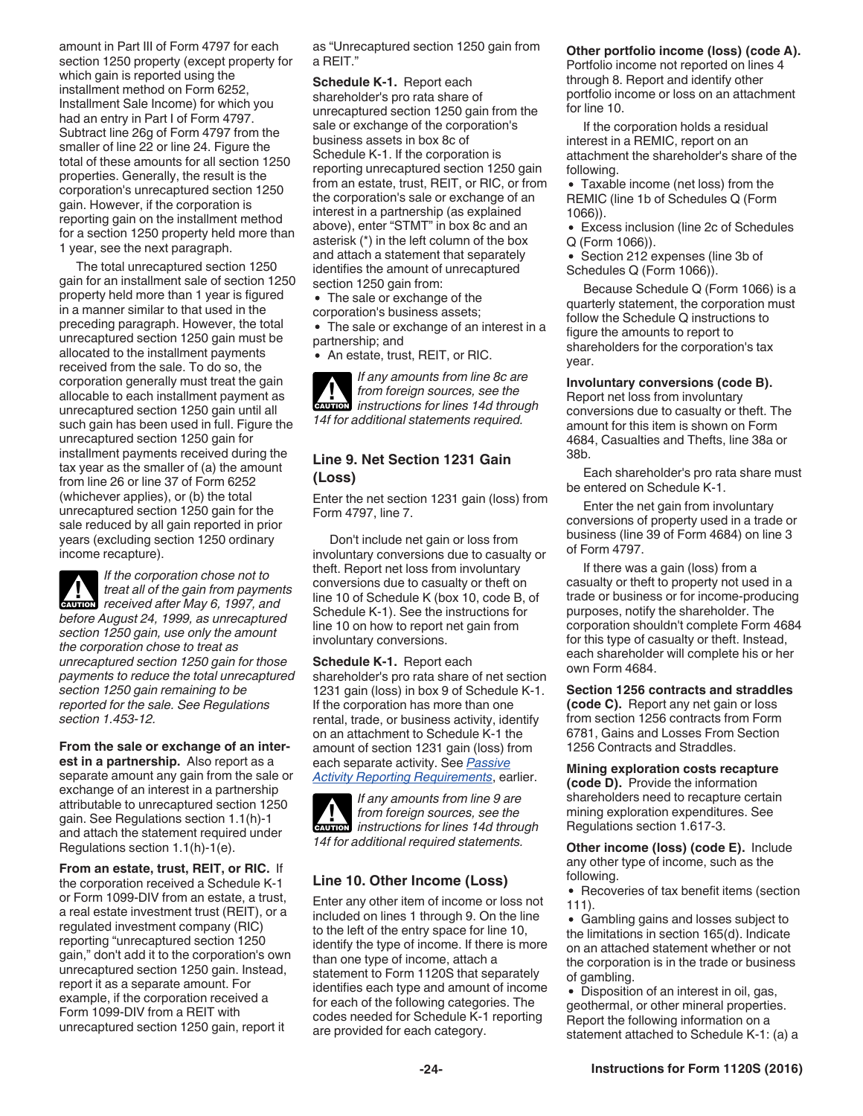<span id="page-23-0"></span>amount in Part III of Form 4797 for each section 1250 property (except property for which gain is reported using the installment method on Form 6252, Installment Sale Income) for which you had an entry in Part I of Form 4797. Subtract line 26g of Form 4797 from the smaller of line 22 or line 24. Figure the total of these amounts for all section 1250 properties. Generally, the result is the corporation's unrecaptured section 1250 gain. However, if the corporation is reporting gain on the installment method for a section 1250 property held more than 1 year, see the next paragraph.

The total unrecaptured section 1250 gain for an installment sale of section 1250 property held more than 1 year is figured in a manner similar to that used in the preceding paragraph. However, the total unrecaptured section 1250 gain must be allocated to the installment payments received from the sale. To do so, the corporation generally must treat the gain allocable to each installment payment as unrecaptured section 1250 gain until all such gain has been used in full. Figure the unrecaptured section 1250 gain for installment payments received during the tax year as the smaller of (a) the amount from line 26 or line 37 of Form 6252 (whichever applies), or (b) the total unrecaptured section 1250 gain for the sale reduced by all gain reported in prior years (excluding section 1250 ordinary income recapture).

*If the corporation chose not to treat all of the gain from payments*  **IFFERENT AND A LIGATE AND A LIGATE THE ANN CAUTION** *received after May 6, 1997, and before August 24, 1999, as unrecaptured section 1250 gain, use only the amount the corporation chose to treat as unrecaptured section 1250 gain for those payments to reduce the total unrecaptured section 1250 gain remaining to be reported for the sale. See Regulations section 1.453-12.*

**From the sale or exchange of an interest in a partnership.** Also report as a separate amount any gain from the sale or exchange of an interest in a partnership attributable to unrecaptured section 1250 gain. See Regulations section 1.1(h)-1 and attach the statement required under Regulations section 1.1(h)-1(e).

**From an estate, trust, REIT, or RIC.** If the corporation received a Schedule K-1 or Form 1099-DIV from an estate, a trust, a real estate investment trust (REIT), or a regulated investment company (RIC) reporting "unrecaptured section 1250 gain," don't add it to the corporation's own unrecaptured section 1250 gain. Instead, report it as a separate amount. For example, if the corporation received a Form 1099-DIV from a REIT with unrecaptured section 1250 gain, report it

as "Unrecaptured section 1250 gain from a REIT."

**Schedule K-1. Report each** shareholder's pro rata share of unrecaptured section 1250 gain from the sale or exchange of the corporation's business assets in box 8c of Schedule K-1. If the corporation is reporting unrecaptured section 1250 gain from an estate, trust, REIT, or RIC, or from the corporation's sale or exchange of an interest in a partnership (as explained above), enter "STMT" in box 8c and an asterisk (\*) in the left column of the box and attach a statement that separately identifies the amount of unrecaptured section 1250 gain from:

• The sale or exchange of the

corporation's business assets;

The sale or exchange of an interest in a partnership; and

An estate, trust, REIT, or RIC.

*If any amounts from line 8c are from foreign sources, see the If the foreign sources, see the instructions for lines 14d through 14f for additional statements required.*

## **Line 9. Net Section 1231 Gain (Loss)**

Enter the net section 1231 gain (loss) from Form 4797, line 7.

Don't include net gain or loss from involuntary conversions due to casualty or theft. Report net loss from involuntary conversions due to casualty or theft on line 10 of Schedule K (box 10, code B, of Schedule K-1). See the instructions for line 10 on how to report net gain from involuntary conversions.

**Schedule K-1.** Report each shareholder's pro rata share of net section 1231 gain (loss) in box 9 of Schedule K-1. If the corporation has more than one rental, trade, or business activity, identify on an attachment to Schedule K-1 the amount of section 1231 gain (loss) from each separate activity. See *[Passive](#page-9-0) [Activity Reporting Requirements](#page-9-0)*, earlier.



*If any amounts from line 9 are from foreign sources, see the If the foreign sources, see the instructions for lines 14d through 14f for additional required statements.*

### **Line 10. Other Income (Loss)**

Enter any other item of income or loss not included on lines 1 through 9. On the line to the left of the entry space for line 10, identify the type of income. If there is more than one type of income, attach a statement to Form 1120S that separately identifies each type and amount of income for each of the following categories. The codes needed for Schedule K-1 reporting are provided for each category.

#### **Other portfolio income (loss) (code A).**

Portfolio income not reported on lines 4 through 8. Report and identify other portfolio income or loss on an attachment for line 10.

If the corporation holds a residual interest in a REMIC, report on an attachment the shareholder's share of the following.

Taxable income (net loss) from the REMIC (line 1b of Schedules Q (Form 1066)).

Excess inclusion (line 2c of Schedules Q (Form 1066)).

Section 212 expenses (line 3b of Schedules Q (Form 1066)).

Because Schedule Q (Form 1066) is a quarterly statement, the corporation must follow the Schedule Q instructions to figure the amounts to report to shareholders for the corporation's tax year.

**Involuntary conversions (code B).** 

Report net loss from involuntary conversions due to casualty or theft. The amount for this item is shown on Form 4684, Casualties and Thefts, line 38a or 38b.

Each shareholder's pro rata share must be entered on Schedule K-1.

Enter the net gain from involuntary conversions of property used in a trade or business (line 39 of Form 4684) on line 3 of Form 4797.

If there was a gain (loss) from a casualty or theft to property not used in a trade or business or for income-producing purposes, notify the shareholder. The corporation shouldn't complete Form 4684 for this type of casualty or theft. Instead, each shareholder will complete his or her own Form 4684.

**Section 1256 contracts and straddles (code C).** Report any net gain or loss from section 1256 contracts from Form 6781, Gains and Losses From Section 1256 Contracts and Straddles.

**Mining exploration costs recapture (code D).** Provide the information shareholders need to recapture certain mining exploration expenditures. See Regulations section 1.617-3.

**Other income (loss) (code E).** Include any other type of income, such as the following.

• Recoveries of tax benefit items (section 111).

• Gambling gains and losses subject to the limitations in section 165(d). Indicate on an attached statement whether or not the corporation is in the trade or business of gambling.

Disposition of an interest in oil, gas, geothermal, or other mineral properties. Report the following information on a statement attached to Schedule K-1: (a) a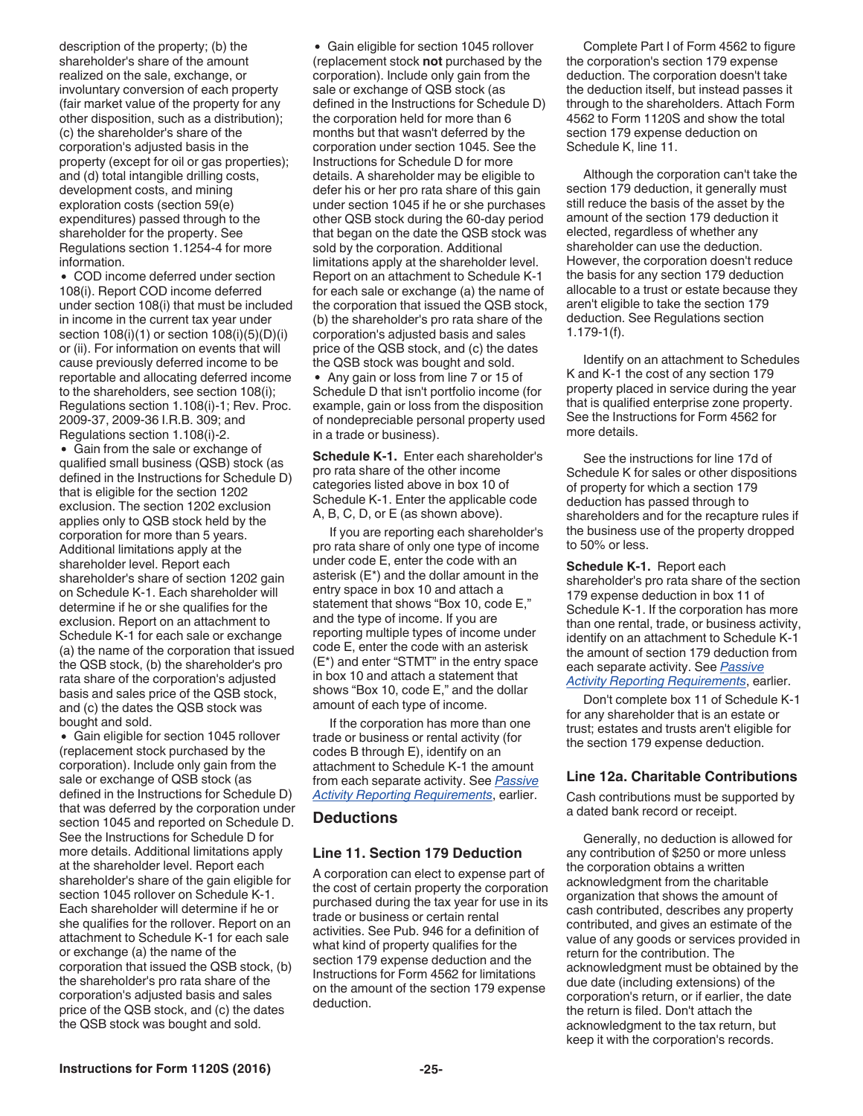<span id="page-24-0"></span>description of the property; (b) the shareholder's share of the amount realized on the sale, exchange, or involuntary conversion of each property (fair market value of the property for any other disposition, such as a distribution); (c) the shareholder's share of the corporation's adjusted basis in the property (except for oil or gas properties); and (d) total intangible drilling costs, development costs, and mining exploration costs (section 59(e) expenditures) passed through to the shareholder for the property. See Regulations section 1.1254-4 for more information.

COD income deferred under section 108(i). Report COD income deferred under section 108(i) that must be included in income in the current tax year under section 108(i)(1) or section 108(i)(5)(D)(i) or (ii). For information on events that will cause previously deferred income to be reportable and allocating deferred income to the shareholders, see section 108(i); Regulations section 1.108(i)-1; Rev. Proc. 2009-37, 2009-36 I.R.B. 309; and Regulations section 1.108(i)-2.

Gain from the sale or exchange of qualified small business (QSB) stock (as defined in the Instructions for Schedule D) that is eligible for the section 1202 exclusion. The section 1202 exclusion applies only to QSB stock held by the corporation for more than 5 years. Additional limitations apply at the shareholder level. Report each shareholder's share of section 1202 gain on Schedule K-1. Each shareholder will determine if he or she qualifies for the exclusion. Report on an attachment to Schedule K-1 for each sale or exchange (a) the name of the corporation that issued the QSB stock, (b) the shareholder's pro rata share of the corporation's adjusted basis and sales price of the QSB stock, and (c) the dates the QSB stock was bought and sold.

Gain eligible for section 1045 rollover (replacement stock purchased by the corporation). Include only gain from the sale or exchange of QSB stock (as defined in the Instructions for Schedule D) that was deferred by the corporation under section 1045 and reported on Schedule D. See the Instructions for Schedule D for more details. Additional limitations apply at the shareholder level. Report each shareholder's share of the gain eligible for section 1045 rollover on Schedule K-1. Each shareholder will determine if he or she qualifies for the rollover. Report on an attachment to Schedule K-1 for each sale or exchange (a) the name of the corporation that issued the QSB stock, (b) the shareholder's pro rata share of the corporation's adjusted basis and sales price of the QSB stock, and (c) the dates the QSB stock was bought and sold.

Gain eligible for section 1045 rollover (replacement stock **not** purchased by the corporation). Include only gain from the sale or exchange of QSB stock (as defined in the Instructions for Schedule D) the corporation held for more than 6 months but that wasn't deferred by the corporation under section 1045. See the Instructions for Schedule D for more details. A shareholder may be eligible to defer his or her pro rata share of this gain under section 1045 if he or she purchases other QSB stock during the 60-day period that began on the date the QSB stock was sold by the corporation. Additional limitations apply at the shareholder level. Report on an attachment to Schedule K-1 for each sale or exchange (a) the name of the corporation that issued the QSB stock, (b) the shareholder's pro rata share of the corporation's adjusted basis and sales price of the QSB stock, and (c) the dates the QSB stock was bought and sold. • Any gain or loss from line 7 or 15 of Schedule D that isn't portfolio income (for example, gain or loss from the disposition of nondepreciable personal property used in a trade or business).

**Schedule K-1.** Enter each shareholder's pro rata share of the other income categories listed above in box 10 of Schedule K-1. Enter the applicable code A, B, C, D, or E (as shown above).

If you are reporting each shareholder's pro rata share of only one type of income under code E, enter the code with an asterisk (E\*) and the dollar amount in the entry space in box 10 and attach a statement that shows "Box 10, code E," and the type of income. If you are reporting multiple types of income under code E, enter the code with an asterisk (E\*) and enter "STMT" in the entry space in box 10 and attach a statement that shows "Box 10, code E," and the dollar amount of each type of income.

If the corporation has more than one trade or business or rental activity (for codes B through E), identify on an attachment to Schedule K-1 the amount from each separate activity. See *[Passive](#page-9-0) [Activity Reporting Requirements](#page-9-0)*, earlier.

#### **Deductions**

#### **Line 11. Section 179 Deduction**

A corporation can elect to expense part of the cost of certain property the corporation purchased during the tax year for use in its trade or business or certain rental activities. See Pub. 946 for a definition of what kind of property qualifies for the section 179 expense deduction and the Instructions for Form 4562 for limitations on the amount of the section 179 expense deduction.

Complete Part I of Form 4562 to figure the corporation's section 179 expense deduction. The corporation doesn't take the deduction itself, but instead passes it through to the shareholders. Attach Form 4562 to Form 1120S and show the total section 179 expense deduction on Schedule K, line 11.

Although the corporation can't take the section 179 deduction, it generally must still reduce the basis of the asset by the amount of the section 179 deduction it elected, regardless of whether any shareholder can use the deduction. However, the corporation doesn't reduce the basis for any section 179 deduction allocable to a trust or estate because they aren't eligible to take the section 179 deduction. See Regulations section 1.179-1(f).

Identify on an attachment to Schedules K and K-1 the cost of any section 179 property placed in service during the year that is qualified enterprise zone property. See the Instructions for Form 4562 for more details.

See the instructions for line 17d of Schedule K for sales or other dispositions of property for which a section 179 deduction has passed through to shareholders and for the recapture rules if the business use of the property dropped to 50% or less.

**Schedule K-1. Report each** shareholder's pro rata share of the section 179 expense deduction in box 11 of Schedule K-1. If the corporation has more than one rental, trade, or business activity, identify on an attachment to Schedule K-1 the amount of section 179 deduction from each separate activity. See *[Passive](#page-9-0) [Activity Reporting Requirements](#page-9-0)*, earlier.

Don't complete box 11 of Schedule K-1 for any shareholder that is an estate or trust; estates and trusts aren't eligible for the section 179 expense deduction.

#### **Line 12a. Charitable Contributions**

Cash contributions must be supported by a dated bank record or receipt.

Generally, no deduction is allowed for any contribution of \$250 or more unless the corporation obtains a written acknowledgment from the charitable organization that shows the amount of cash contributed, describes any property contributed, and gives an estimate of the value of any goods or services provided in return for the contribution. The acknowledgment must be obtained by the due date (including extensions) of the corporation's return, or if earlier, the date the return is filed. Don't attach the acknowledgment to the tax return, but keep it with the corporation's records.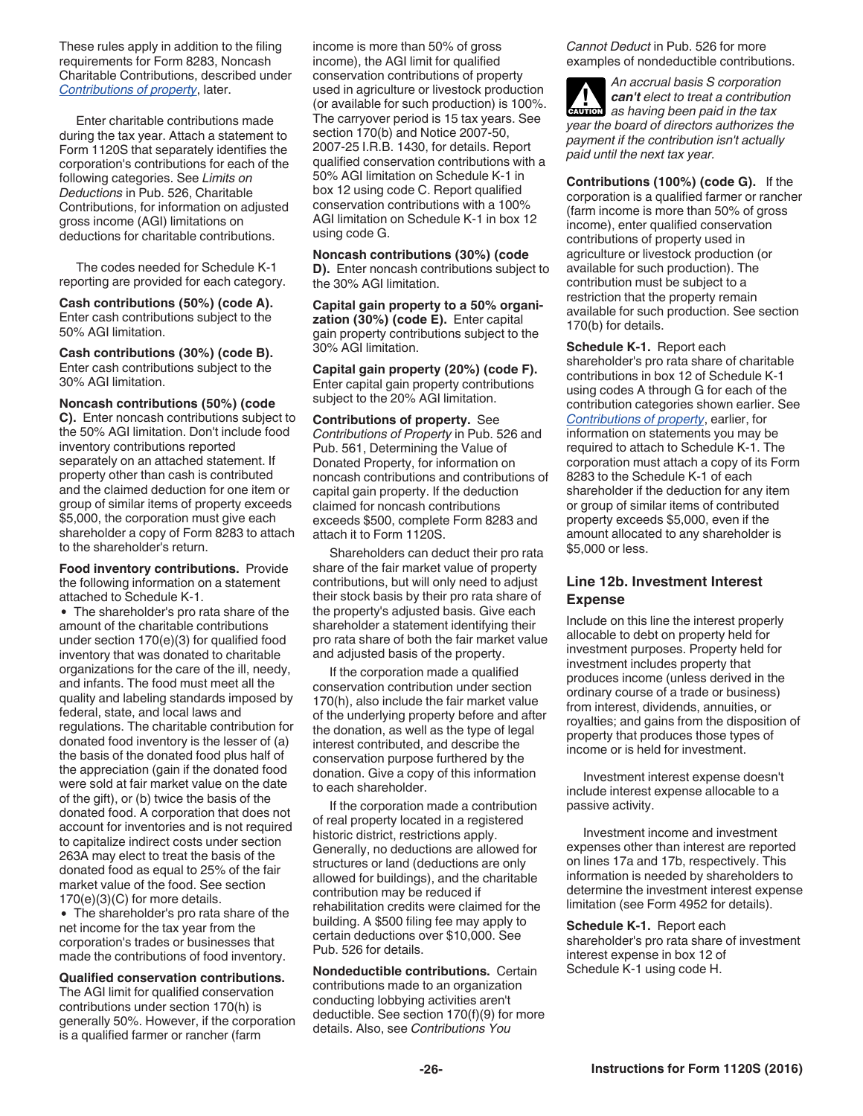<span id="page-25-0"></span>These rules apply in addition to the filing requirements for Form 8283, Noncash Charitable Contributions, described under *Contributions of property*, later.

Enter charitable contributions made during the tax year. Attach a statement to Form 1120S that separately identifies the corporation's contributions for each of the following categories. See *Limits on Deductions* in Pub. 526, Charitable Contributions, for information on adjusted gross income (AGI) limitations on deductions for charitable contributions.

The codes needed for Schedule K-1 reporting are provided for each category.

**Cash contributions (50%) (code A).**  Enter cash contributions subject to the 50% AGI limitation.

**Cash contributions (30%) (code B).**  Enter cash contributions subject to the 30% AGI limitation.

**Noncash contributions (50%) (code C).** Enter noncash contributions subject to the 50% AGI limitation. Don't include food inventory contributions reported separately on an attached statement. If property other than cash is contributed and the claimed deduction for one item or group of similar items of property exceeds \$5,000, the corporation must give each shareholder a copy of Form 8283 to attach to the shareholder's return.

**Food inventory contributions.** Provide the following information on a statement attached to Schedule K-1.

The shareholder's pro rata share of the amount of the charitable contributions under section 170(e)(3) for qualified food inventory that was donated to charitable organizations for the care of the ill, needy, and infants. The food must meet all the quality and labeling standards imposed by federal, state, and local laws and regulations. The charitable contribution for donated food inventory is the lesser of (a) the basis of the donated food plus half of the appreciation (gain if the donated food were sold at fair market value on the date of the gift), or (b) twice the basis of the donated food. A corporation that does not account for inventories and is not required to capitalize indirect costs under section 263A may elect to treat the basis of the donated food as equal to 25% of the fair market value of the food. See section 170(e)(3)(C) for more details.

The shareholder's pro rata share of the net income for the tax year from the corporation's trades or businesses that made the contributions of food inventory.

**Qualified conservation contributions.** 

The AGI limit for qualified conservation contributions under section 170(h) is generally 50%. However, if the corporation is a qualified farmer or rancher (farm

income is more than 50% of gross income), the AGI limit for qualified conservation contributions of property used in agriculture or livestock production (or available for such production) is 100%. The carryover period is 15 tax years. See section 170(b) and Notice 2007-50, 2007-25 I.R.B. 1430, for details. Report qualified conservation contributions with a 50% AGI limitation on Schedule K-1 in box 12 using code C. Report qualified conservation contributions with a 100% AGI limitation on Schedule K-1 in box 12 using code G.

**Noncash contributions (30%) (code D).** Enter noncash contributions subject to the 30% AGI limitation.

**Capital gain property to a 50% organization (30%) (code E).** Enter capital gain property contributions subject to the 30% AGI limitation.

**Capital gain property (20%) (code F).**  Enter capital gain property contributions subject to the 20% AGI limitation.

**Contributions of property.** See *Contributions of Property* in Pub. 526 and Pub. 561, Determining the Value of Donated Property, for information on noncash contributions and contributions of capital gain property. If the deduction claimed for noncash contributions exceeds \$500, complete Form 8283 and attach it to Form 1120S.

Shareholders can deduct their pro rata share of the fair market value of property contributions, but will only need to adjust their stock basis by their pro rata share of the property's adjusted basis. Give each shareholder a statement identifying their pro rata share of both the fair market value and adjusted basis of the property.

If the corporation made a qualified conservation contribution under section 170(h), also include the fair market value of the underlying property before and after the donation, as well as the type of legal interest contributed, and describe the conservation purpose furthered by the donation. Give a copy of this information to each shareholder.

If the corporation made a contribution of real property located in a registered historic district, restrictions apply. Generally, no deductions are allowed for structures or land (deductions are only allowed for buildings), and the charitable contribution may be reduced if rehabilitation credits were claimed for the building. A \$500 filing fee may apply to certain deductions over \$10,000. See Pub. 526 for details.

**Nondeductible contributions.** Certain contributions made to an organization conducting lobbying activities aren't deductible. See section 170(f)(9) for more details. Also, see *Contributions You* 

*Cannot Deduct* in Pub. 526 for more examples of nondeductible contributions.

*An accrual basis S corporation can't elect to treat a contribution*  **can't** elect to treat a contribution as having been paid in the tax *year the board of directors authorizes the payment if the contribution isn't actually paid until the next tax year.*

**Contributions (100%) (code G).** If the corporation is a qualified farmer or rancher (farm income is more than 50% of gross income), enter qualified conservation contributions of property used in agriculture or livestock production (or available for such production). The contribution must be subject to a restriction that the property remain available for such production. See section 170(b) for details.

**Schedule K-1. Report each** shareholder's pro rata share of charitable contributions in box 12 of Schedule K-1 using codes A through G for each of the contribution categories shown earlier. See *Contributions of property*, earlier, for information on statements you may be required to attach to Schedule K-1. The corporation must attach a copy of its Form 8283 to the Schedule K-1 of each shareholder if the deduction for any item or group of similar items of contributed property exceeds \$5,000, even if the amount allocated to any shareholder is \$5,000 or less.

#### **Line 12b. Investment Interest Expense**

Include on this line the interest properly allocable to debt on property held for investment purposes. Property held for investment includes property that produces income (unless derived in the ordinary course of a trade or business) from interest, dividends, annuities, or royalties; and gains from the disposition of property that produces those types of income or is held for investment.

Investment interest expense doesn't include interest expense allocable to a passive activity.

Investment income and investment expenses other than interest are reported on lines 17a and 17b, respectively. This information is needed by shareholders to determine the investment interest expense limitation (see Form 4952 for details).

**Schedule K-1. Report each** shareholder's pro rata share of investment interest expense in box 12 of Schedule K-1 using code H.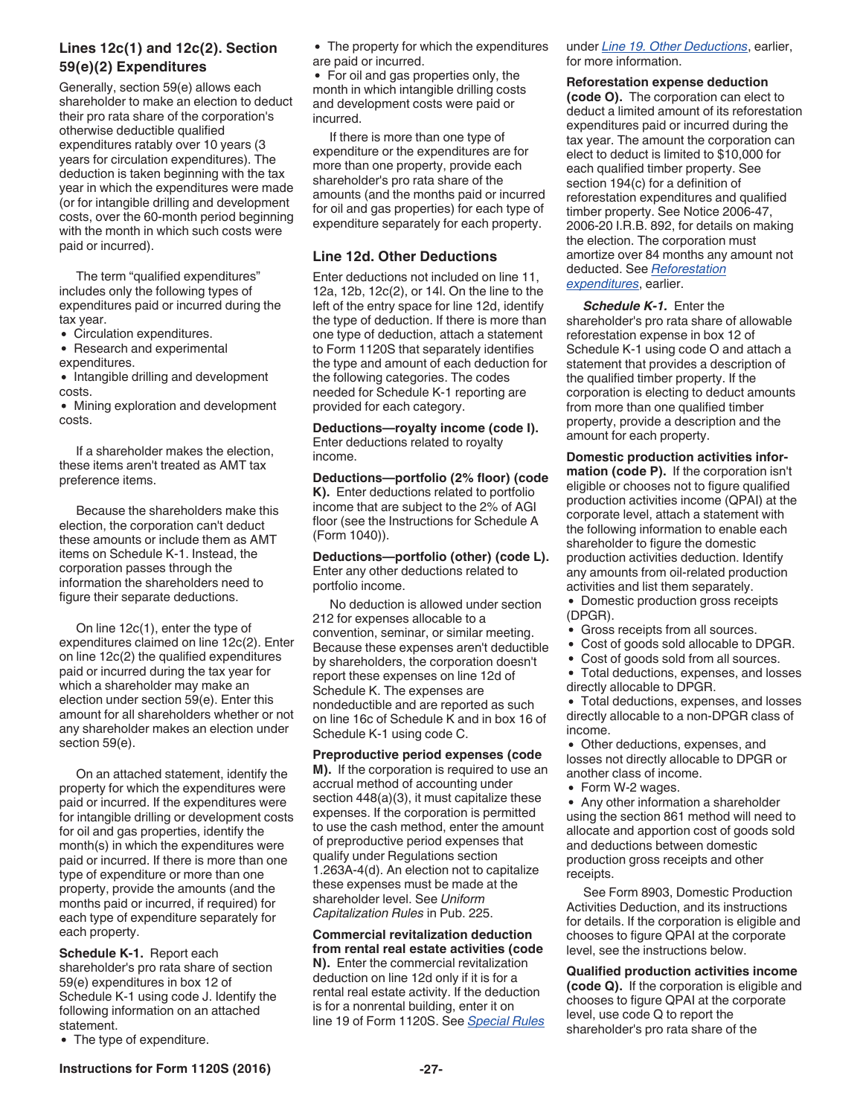### <span id="page-26-0"></span>**Lines 12c(1) and 12c(2). Section 59(e)(2) Expenditures**

Generally, section 59(e) allows each shareholder to make an election to deduct their pro rata share of the corporation's otherwise deductible qualified expenditures ratably over 10 years (3 years for circulation expenditures). The deduction is taken beginning with the tax year in which the expenditures were made (or for intangible drilling and development costs, over the 60-month period beginning with the month in which such costs were paid or incurred).

The term "qualified expenditures" includes only the following types of expenditures paid or incurred during the tax year.

Circulation expenditures.

- Research and experimental expenditures.
- Intangible drilling and development costs.

Mining exploration and development costs.

If a shareholder makes the election, these items aren't treated as AMT tax preference items.

Because the shareholders make this election, the corporation can't deduct these amounts or include them as AMT items on Schedule K-1. Instead, the corporation passes through the information the shareholders need to figure their separate deductions.

On line 12c(1), enter the type of expenditures claimed on line 12c(2). Enter on line 12c(2) the qualified expenditures paid or incurred during the tax year for which a shareholder may make an election under section 59(e). Enter this amount for all shareholders whether or not any shareholder makes an election under section 59(e).

On an attached statement, identify the property for which the expenditures were paid or incurred. If the expenditures were for intangible drilling or development costs for oil and gas properties, identify the month(s) in which the expenditures were paid or incurred. If there is more than one type of expenditure or more than one property, provide the amounts (and the months paid or incurred, if required) for each type of expenditure separately for each property.

**Schedule K-1. Report each** shareholder's pro rata share of section 59(e) expenditures in box 12 of Schedule K-1 using code J. Identify the following information on an attached statement.

• The type of expenditure.

The property for which the expenditures are paid or incurred.

For oil and gas properties only, the month in which intangible drilling costs and development costs were paid or incurred.

If there is more than one type of expenditure or the expenditures are for more than one property, provide each shareholder's pro rata share of the amounts (and the months paid or incurred for oil and gas properties) for each type of expenditure separately for each property.

### **Line 12d. Other Deductions**

Enter deductions not included on line 11, 12a, 12b, 12c(2), or 14l. On the line to the left of the entry space for line 12d, identify the type of deduction. If there is more than one type of deduction, attach a statement to Form 1120S that separately identifies the type and amount of each deduction for the following categories. The codes needed for Schedule K-1 reporting are provided for each category.

**Deductions—royalty income (code I).**  Enter deductions related to royalty income.

**Deductions—portfolio (2% floor) (code K).** Enter deductions related to portfolio income that are subject to the 2% of AGI floor (see the Instructions for Schedule A (Form 1040)).

**Deductions—portfolio (other) (code L).**  Enter any other deductions related to portfolio income.

No deduction is allowed under section 212 for expenses allocable to a convention, seminar, or similar meeting. Because these expenses aren't deductible by shareholders, the corporation doesn't report these expenses on line 12d of Schedule K. The expenses are nondeductible and are reported as such on line 16c of Schedule K and in box 16 of Schedule K-1 using code C.

**Preproductive period expenses (code M).** If the corporation is required to use an accrual method of accounting under section 448(a)(3), it must capitalize these expenses. If the corporation is permitted to use the cash method, enter the amount of preproductive period expenses that qualify under Regulations section 1.263A-4(d). An election not to capitalize these expenses must be made at the shareholder level. See *Uniform Capitalization Rules* in Pub. 225.

**Commercial revitalization deduction from rental real estate activities (code N).** Enter the commercial revitalization deduction on line 12d only if it is for a rental real estate activity. If the deduction is for a nonrental building, enter it on line 19 of Form 1120S. See *[Special Rules](#page-16-0)*  under *[Line 19. Other Deductions](#page-16-0)*, earlier, for more information.

#### **Reforestation expense deduction**

**(code O).** The corporation can elect to deduct a limited amount of its reforestation expenditures paid or incurred during the tax year. The amount the corporation can elect to deduct is limited to \$10,000 for each qualified timber property. See section 194(c) for a definition of reforestation expenditures and qualified timber property. See Notice 2006-47, 2006-20 I.R.B. 892, for details on making the election. The corporation must amortize over 84 months any amount not deducted. See *[Reforestation](#page-17-0) [expenditures](#page-17-0)*, earlier.

*Schedule K-1.* Enter the shareholder's pro rata share of allowable reforestation expense in box 12 of Schedule K-1 using code O and attach a statement that provides a description of the qualified timber property. If the corporation is electing to deduct amounts from more than one qualified timber property, provide a description and the amount for each property.

**Domestic production activities information (code P).** If the corporation isn't eligible or chooses not to figure qualified production activities income (QPAI) at the corporate level, attach a statement with the following information to enable each shareholder to figure the domestic production activities deduction. Identify any amounts from oil-related production activities and list them separately.

Domestic production gross receipts (DPGR).

- Gross receipts from all sources.
- Cost of goods sold allocable to DPGR.
- Cost of goods sold from all sources.

Total deductions, expenses, and losses directly allocable to DPGR.

Total deductions, expenses, and losses directly allocable to a non-DPGR class of income.

Other deductions, expenses, and losses not directly allocable to DPGR or another class of income.

• Form W-2 wages.

Any other information a shareholder using the section 861 method will need to allocate and apportion cost of goods sold and deductions between domestic production gross receipts and other receipts.

See Form 8903, Domestic Production Activities Deduction, and its instructions for details. If the corporation is eligible and chooses to figure QPAI at the corporate level, see the instructions below.

**Qualified production activities income (code Q).** If the corporation is eligible and chooses to figure QPAI at the corporate level, use code Q to report the shareholder's pro rata share of the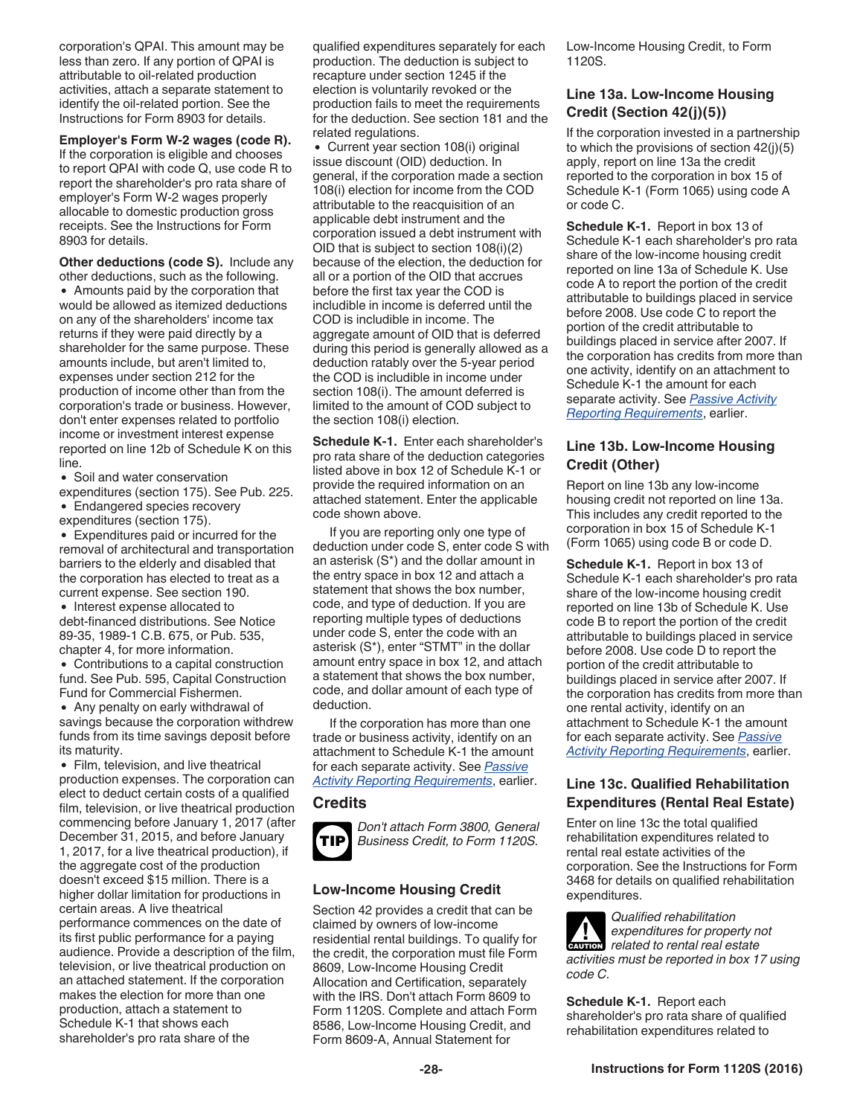<span id="page-27-0"></span>corporation's QPAI. This amount may be less than zero. If any portion of QPAI is attributable to oil-related production activities, attach a separate statement to identify the oil-related portion. See the Instructions for Form 8903 for details.

Employer's Form W-2 wages (code R). If the corporation is eligible and chooses to report QPAI with code Q, use code R to report the shareholder's pro rata share of employer's Form W-2 wages properly allocable to domestic production gross receipts. See the Instructions for Form 8903 for details.

**Other deductions (code S).** Include any other deductions, such as the following. Amounts paid by the corporation that would be allowed as itemized deductions on any of the shareholders' income tax returns if they were paid directly by a shareholder for the same purpose. These amounts include, but aren't limited to, expenses under section 212 for the production of income other than from the corporation's trade or business. However, don't enter expenses related to portfolio income or investment interest expense reported on line 12b of Schedule K on this line.

• Soil and water conservation

expenditures (section 175). See Pub. 225. Endangered species recovery

expenditures (section 175).

Expenditures paid or incurred for the removal of architectural and transportation barriers to the elderly and disabled that the corporation has elected to treat as a current expense. See section 190.

• Interest expense allocated to debt-financed distributions. See Notice 89-35, 1989-1 C.B. 675, or Pub. 535, chapter 4, for more information.

Contributions to a capital construction fund. See Pub. 595, Capital Construction Fund for Commercial Fishermen.

Any penalty on early withdrawal of savings because the corporation withdrew funds from its time savings deposit before its maturity.

• Film, television, and live theatrical production expenses. The corporation can elect to deduct certain costs of a qualified film, television, or live theatrical production commencing before January 1, 2017 (after December 31, 2015, and before January 1, 2017, for a live theatrical production), if the aggregate cost of the production doesn't exceed \$15 million. There is a higher dollar limitation for productions in certain areas. A live theatrical performance commences on the date of its first public performance for a paying audience. Provide a description of the film, television, or live theatrical production on an attached statement. If the corporation makes the election for more than one production, attach a statement to Schedule K-1 that shows each shareholder's pro rata share of the

qualified expenditures separately for each production. The deduction is subject to recapture under section 1245 if the election is voluntarily revoked or the production fails to meet the requirements for the deduction. See section 181 and the related regulations.

Current year section 108(i) original issue discount (OID) deduction. In general, if the corporation made a section 108(i) election for income from the COD attributable to the reacquisition of an applicable debt instrument and the corporation issued a debt instrument with OID that is subject to section 108(i)(2) because of the election, the deduction for all or a portion of the OID that accrues before the first tax year the COD is includible in income is deferred until the COD is includible in income. The aggregate amount of OID that is deferred during this period is generally allowed as a deduction ratably over the 5-year period the COD is includible in income under section 108(i). The amount deferred is limited to the amount of COD subject to the section 108(i) election.

**Schedule K-1.** Enter each shareholder's pro rata share of the deduction categories listed above in box 12 of Schedule K-1 or provide the required information on an attached statement. Enter the applicable code shown above.

If you are reporting only one type of deduction under code S, enter code S with an asterisk (S\*) and the dollar amount in the entry space in box 12 and attach a statement that shows the box number, code, and type of deduction. If you are reporting multiple types of deductions under code S, enter the code with an asterisk (S\*), enter "STMT" in the dollar amount entry space in box 12, and attach a statement that shows the box number, code, and dollar amount of each type of deduction.

If the corporation has more than one trade or business activity, identify on an attachment to Schedule K-1 the amount for each separate activity. See *[Passive](#page-9-0)  [Activity Reporting Requirements](#page-9-0)*, earlier.

### **Credits**



*Don't attach Form 3800, General Business Credit, to Form 1120S.*

### **Low-Income Housing Credit**

Section 42 provides a credit that can be claimed by owners of low-income residential rental buildings. To qualify for the credit, the corporation must file Form 8609, Low-Income Housing Credit Allocation and Certification, separately with the IRS. Don't attach Form 8609 to Form 1120S. Complete and attach Form 8586, Low-Income Housing Credit, and Form 8609-A, Annual Statement for

Low-Income Housing Credit, to Form 1120S.

### **Line 13a. Low-Income Housing Credit (Section 42(j)(5))**

If the corporation invested in a partnership to which the provisions of section 42(j)(5) apply, report on line 13a the credit reported to the corporation in box 15 of Schedule K-1 (Form 1065) using code A or code C.

**Schedule K-1.** Report in box 13 of Schedule K-1 each shareholder's pro rata share of the low-income housing credit reported on line 13a of Schedule K. Use code A to report the portion of the credit attributable to buildings placed in service before 2008. Use code C to report the portion of the credit attributable to buildings placed in service after 2007. If the corporation has credits from more than one activity, identify on an attachment to Schedule K-1 the amount for each separate activity. See *[Passive Activity](#page-9-0) [Reporting Requirements](#page-9-0)*, earlier.

### **Line 13b. Low-Income Housing Credit (Other)**

Report on line 13b any low-income housing credit not reported on line 13a. This includes any credit reported to the corporation in box 15 of Schedule K-1 (Form 1065) using code B or code D.

**Schedule K-1.** Report in box 13 of Schedule K-1 each shareholder's pro rata share of the low-income housing credit reported on line 13b of Schedule K. Use code B to report the portion of the credit attributable to buildings placed in service before 2008. Use code D to report the portion of the credit attributable to buildings placed in service after 2007. If the corporation has credits from more than one rental activity, identify on an attachment to Schedule K-1 the amount for each separate activity. See *[Passive](#page-9-0)  [Activity Reporting Requirements](#page-9-0)*, earlier.

### **Line 13c. Qualified Rehabilitation Expenditures (Rental Real Estate)**

Enter on line 13c the total qualified rehabilitation expenditures related to rental real estate activities of the corporation. See the Instructions for Form 3468 for details on qualified rehabilitation expenditures.

*Qualified rehabilitation expenditures for property not*  expenditures for property network related to rental real estate *activities must be reported in box 17 using code C.*

**Schedule K-1. Report each** shareholder's pro rata share of qualified rehabilitation expenditures related to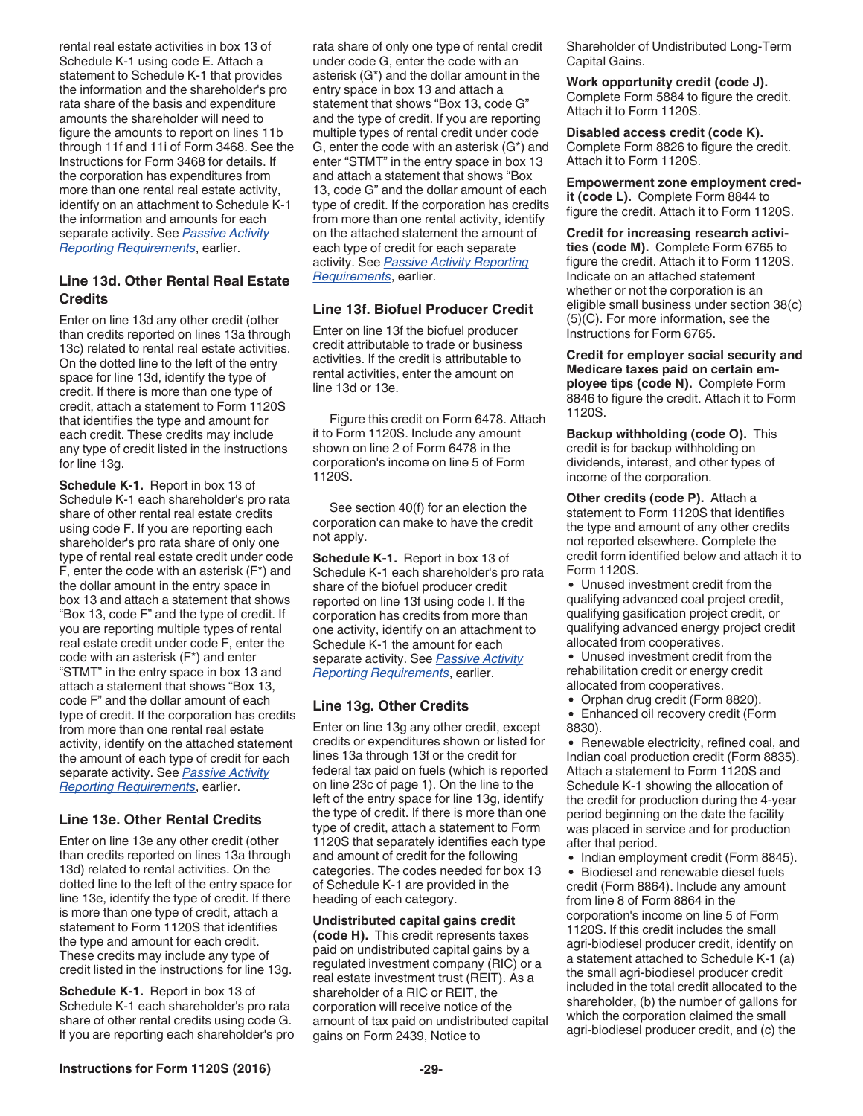rental real estate activities in box 13 of Schedule K-1 using code E. Attach a statement to Schedule K-1 that provides the information and the shareholder's pro rata share of the basis and expenditure amounts the shareholder will need to figure the amounts to report on lines 11b through 11f and 11i of Form 3468. See the Instructions for Form 3468 for details. If the corporation has expenditures from more than one rental real estate activity, identify on an attachment to Schedule K-1 the information and amounts for each separate activity. See *[Passive Activity](#page-9-0) [Reporting Requirements](#page-9-0)*, earlier.

#### **Line 13d. Other Rental Real Estate Credits**

Enter on line 13d any other credit (other than credits reported on lines 13a through 13c) related to rental real estate activities. On the dotted line to the left of the entry space for line 13d, identify the type of credit. If there is more than one type of credit, attach a statement to Form 1120S that identifies the type and amount for each credit. These credits may include any type of credit listed in the instructions for line 13g.

**Schedule K-1.** Report in box 13 of Schedule K-1 each shareholder's pro rata share of other rental real estate credits using code F. If you are reporting each shareholder's pro rata share of only one type of rental real estate credit under code F, enter the code with an asterisk (F\*) and the dollar amount in the entry space in box 13 and attach a statement that shows "Box 13, code F" and the type of credit. If you are reporting multiple types of rental real estate credit under code F, enter the code with an asterisk (F\*) and enter "STMT" in the entry space in box 13 and attach a statement that shows "Box 13, code F" and the dollar amount of each type of credit. If the corporation has credits from more than one rental real estate activity, identify on the attached statement the amount of each type of credit for each separate activity. See *[Passive Activity](#page-9-0) [Reporting Requirements](#page-9-0)*, earlier.

#### **Line 13e. Other Rental Credits**

Enter on line 13e any other credit (other than credits reported on lines 13a through 13d) related to rental activities. On the dotted line to the left of the entry space for line 13e, identify the type of credit. If there is more than one type of credit, attach a statement to Form 1120S that identifies the type and amount for each credit. These credits may include any type of credit listed in the instructions for line 13g.

**Schedule K-1.** Report in box 13 of Schedule K-1 each shareholder's pro rata share of other rental credits using code G. If you are reporting each shareholder's pro rata share of only one type of rental credit under code G, enter the code with an asterisk (G\*) and the dollar amount in the entry space in box 13 and attach a statement that shows "Box 13, code G" and the type of credit. If you are reporting multiple types of rental credit under code G, enter the code with an asterisk (G\*) and enter "STMT" in the entry space in box 13 and attach a statement that shows "Box 13, code G" and the dollar amount of each type of credit. If the corporation has credits from more than one rental activity, identify on the attached statement the amount of each type of credit for each separate activity. See *[Passive Activity Reporting](#page-9-0) [Requirements](#page-9-0)*, earlier.

#### **Line 13f. Biofuel Producer Credit**

Enter on line 13f the biofuel producer credit attributable to trade or business activities. If the credit is attributable to rental activities, enter the amount on line 13d or 13e.

Figure this credit on Form 6478. Attach it to Form 1120S. Include any amount shown on line 2 of Form 6478 in the corporation's income on line 5 of Form 1120S.

See section 40(f) for an election the corporation can make to have the credit not apply.

**Schedule K-1.** Report in box 13 of Schedule K-1 each shareholder's pro rata share of the biofuel producer credit reported on line 13f using code I. If the corporation has credits from more than one activity, identify on an attachment to Schedule K-1 the amount for each separate activity. See *[Passive Activity](#page-9-0) [Reporting Requirements](#page-9-0)*, earlier.

### **Line 13g. Other Credits**

Enter on line 13g any other credit, except credits or expenditures shown or listed for lines 13a through 13f or the credit for federal tax paid on fuels (which is reported on line 23c of page 1). On the line to the left of the entry space for line 13g, identify the type of credit. If there is more than one type of credit, attach a statement to Form 1120S that separately identifies each type and amount of credit for the following categories. The codes needed for box 13 of Schedule K-1 are provided in the heading of each category.

**Undistributed capital gains credit (code H).** This credit represents taxes paid on undistributed capital gains by a regulated investment company (RIC) or a real estate investment trust (REIT). As a shareholder of a RIC or REIT, the corporation will receive notice of the amount of tax paid on undistributed capital gains on Form 2439, Notice to

Shareholder of Undistributed Long-Term Capital Gains.

**Work opportunity credit (code J).**  Complete Form 5884 to figure the credit. Attach it to Form 1120S.

**Disabled access credit (code K).**  Complete Form 8826 to figure the credit. Attach it to Form 1120S.

**Empowerment zone employment credit (code L).** Complete Form 8844 to figure the credit. Attach it to Form 1120S.

**Credit for increasing research activities (code M).** Complete Form 6765 to figure the credit. Attach it to Form 1120S. Indicate on an attached statement whether or not the corporation is an eligible small business under section 38(c) (5)(C). For more information, see the Instructions for Form 6765.

**Credit for employer social security and Medicare taxes paid on certain employee tips (code N).** Complete Form 8846 to figure the credit. Attach it to Form 1120S.

**Backup withholding (code O).** This credit is for backup withholding on dividends, interest, and other types of income of the corporation.

**Other credits (code P).** Attach a statement to Form 1120S that identifies the type and amount of any other credits not reported elsewhere. Complete the credit form identified below and attach it to Form 1120S.

Unused investment credit from the qualifying advanced coal project credit, qualifying gasification project credit, or qualifying advanced energy project credit allocated from cooperatives.

Unused investment credit from the rehabilitation credit or energy credit allocated from cooperatives.

Orphan drug credit (Form 8820).

Enhanced oil recovery credit (Form 8830).

• Renewable electricity, refined coal, and Indian coal production credit (Form 8835). Attach a statement to Form 1120S and Schedule K-1 showing the allocation of the credit for production during the 4-year period beginning on the date the facility was placed in service and for production after that period.

• Indian employment credit (Form 8845). Biodiesel and renewable diesel fuels credit (Form 8864). Include any amount from line 8 of Form 8864 in the corporation's income on line 5 of Form 1120S. If this credit includes the small agri-biodiesel producer credit, identify on a statement attached to Schedule K-1 (a) the small agri-biodiesel producer credit included in the total credit allocated to the shareholder, (b) the number of gallons for which the corporation claimed the small agri-biodiesel producer credit, and (c) the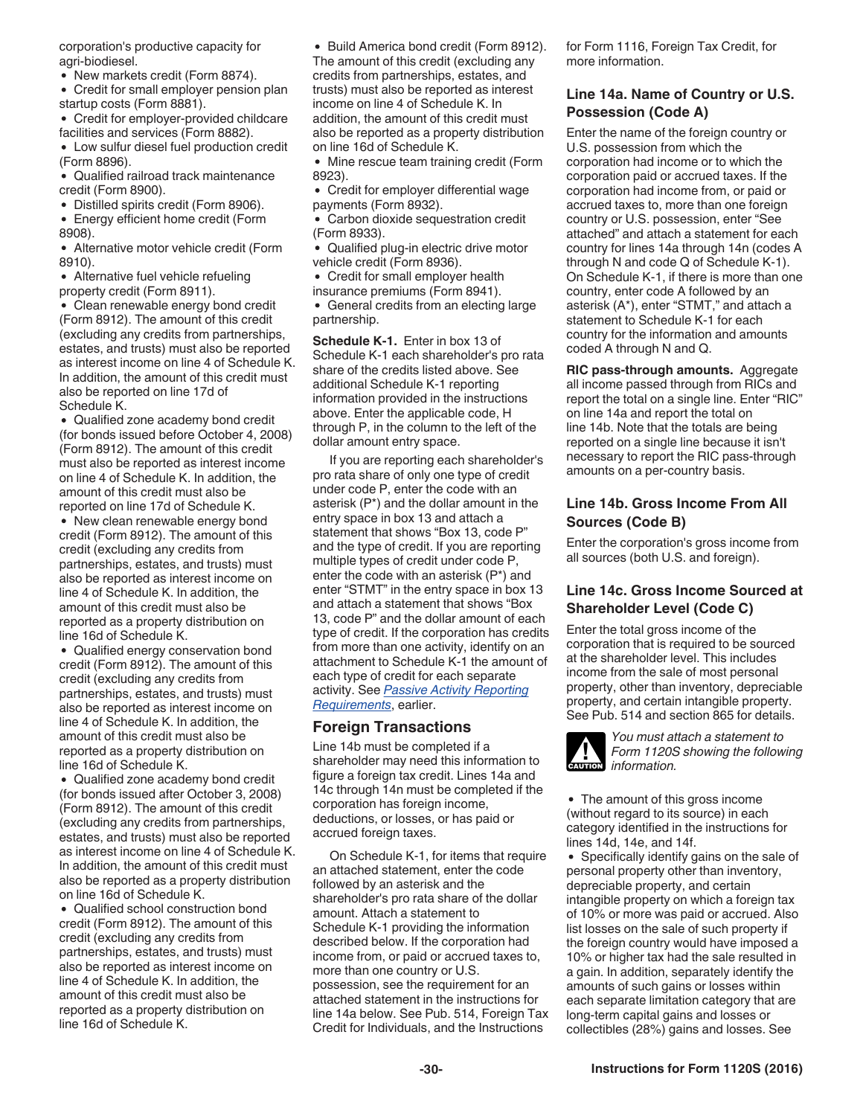<span id="page-29-0"></span>corporation's productive capacity for agri-biodiesel.

• New markets credit (Form 8874).

• Credit for small employer pension plan startup costs (Form 8881).

Credit for employer-provided childcare facilities and services (Form 8882).

Low sulfur diesel fuel production credit (Form 8896).

Qualified railroad track maintenance credit (Form 8900).

Distilled spirits credit (Form 8906).

Energy efficient home credit (Form 8908).

Alternative motor vehicle credit (Form 8910).

Alternative fuel vehicle refueling property credit (Form 8911).

• Clean renewable energy bond credit (Form 8912). The amount of this credit (excluding any credits from partnerships, estates, and trusts) must also be reported as interest income on line 4 of Schedule K. In addition, the amount of this credit must also be reported on line 17d of Schedule K.

Qualified zone academy bond credit (for bonds issued before October 4, 2008) (Form 8912). The amount of this credit must also be reported as interest income on line 4 of Schedule K. In addition, the amount of this credit must also be reported on line 17d of Schedule K.

• New clean renewable energy bond credit (Form 8912). The amount of this credit (excluding any credits from partnerships, estates, and trusts) must also be reported as interest income on line 4 of Schedule K. In addition, the amount of this credit must also be reported as a property distribution on line 16d of Schedule K.

Qualified energy conservation bond credit (Form 8912). The amount of this credit (excluding any credits from partnerships, estates, and trusts) must also be reported as interest income on line 4 of Schedule K. In addition, the amount of this credit must also be reported as a property distribution on line 16d of Schedule K.

Qualified zone academy bond credit (for bonds issued after October 3, 2008) (Form 8912). The amount of this credit (excluding any credits from partnerships, estates, and trusts) must also be reported as interest income on line 4 of Schedule K. In addition, the amount of this credit must also be reported as a property distribution on line 16d of Schedule K.

Qualified school construction bond credit (Form 8912). The amount of this credit (excluding any credits from partnerships, estates, and trusts) must also be reported as interest income on line 4 of Schedule K. In addition, the amount of this credit must also be reported as a property distribution on line 16d of Schedule K.

• Build America bond credit (Form 8912). The amount of this credit (excluding any credits from partnerships, estates, and trusts) must also be reported as interest income on line 4 of Schedule K. In addition, the amount of this credit must also be reported as a property distribution on line 16d of Schedule K.

• Mine rescue team training credit (Form 8923).

Credit for employer differential wage payments (Form 8932).

Carbon dioxide sequestration credit (Form 8933).

Qualified plug-in electric drive motor vehicle credit (Form 8936).

Credit for small employer health insurance premiums (Form 8941).

General credits from an electing large partnership.

**Schedule K-1.** Enter in box 13 of Schedule K-1 each shareholder's pro rata share of the credits listed above. See additional Schedule K-1 reporting information provided in the instructions above. Enter the applicable code, H through P, in the column to the left of the dollar amount entry space.

If you are reporting each shareholder's pro rata share of only one type of credit under code P, enter the code with an asterisk (P\*) and the dollar amount in the entry space in box 13 and attach a statement that shows "Box 13, code P" and the type of credit. If you are reporting multiple types of credit under code P, enter the code with an asterisk (P\*) and enter "STMT" in the entry space in box 13 and attach a statement that shows "Box 13, code P" and the dollar amount of each type of credit. If the corporation has credits from more than one activity, identify on an attachment to Schedule K-1 the amount of each type of credit for each separate activity. See *[Passive Activity Reporting](#page-9-0) [Requirements](#page-9-0)*, earlier.

#### **Foreign Transactions**

Line 14b must be completed if a shareholder may need this information to figure a foreign tax credit. Lines 14a and 14c through 14n must be completed if the corporation has foreign income, deductions, or losses, or has paid or accrued foreign taxes.

On Schedule K-1, for items that require an attached statement, enter the code followed by an asterisk and the shareholder's pro rata share of the dollar amount. Attach a statement to Schedule K-1 providing the information described below. If the corporation had income from, or paid or accrued taxes to, more than one country or U.S. possession, see the requirement for an attached statement in the instructions for line 14a below. See Pub. 514, Foreign Tax Credit for Individuals, and the Instructions

for Form 1116, Foreign Tax Credit, for more information.

### **Line 14a. Name of Country or U.S. Possession (Code A)**

Enter the name of the foreign country or U.S. possession from which the corporation had income or to which the corporation paid or accrued taxes. If the corporation had income from, or paid or accrued taxes to, more than one foreign country or U.S. possession, enter "See attached" and attach a statement for each country for lines 14a through 14n (codes A through N and code Q of Schedule K-1). On Schedule K-1, if there is more than one country, enter code A followed by an asterisk (A\*), enter "STMT," and attach a statement to Schedule K-1 for each country for the information and amounts coded A through N and Q.

**RIC passthrough amounts.** Aggregate all income passed through from RICs and report the total on a single line. Enter "RIC" on line 14a and report the total on line 14b. Note that the totals are being reported on a single line because it isn't necessary to report the RIC pass-through amounts on a per-country basis.

## **Line 14b. Gross Income From All Sources (Code B)**

Enter the corporation's gross income from all sources (both U.S. and foreign).

## **Line 14c. Gross Income Sourced at Shareholder Level (Code C)**

Enter the total gross income of the corporation that is required to be sourced at the shareholder level. This includes income from the sale of most personal property, other than inventory, depreciable property, and certain intangible property. See Pub. 514 and section 865 for details.



*You must attach a statement to Form 1120S showing the following Form 11209*<br> **CAUTION Information.** 

The amount of this gross income (without regard to its source) in each category identified in the instructions for lines 14d, 14e, and 14f.

Specifically identify gains on the sale of personal property other than inventory, depreciable property, and certain intangible property on which a foreign tax of 10% or more was paid or accrued. Also list losses on the sale of such property if the foreign country would have imposed a 10% or higher tax had the sale resulted in a gain. In addition, separately identify the amounts of such gains or losses within each separate limitation category that are long-term capital gains and losses or collectibles (28%) gains and losses. See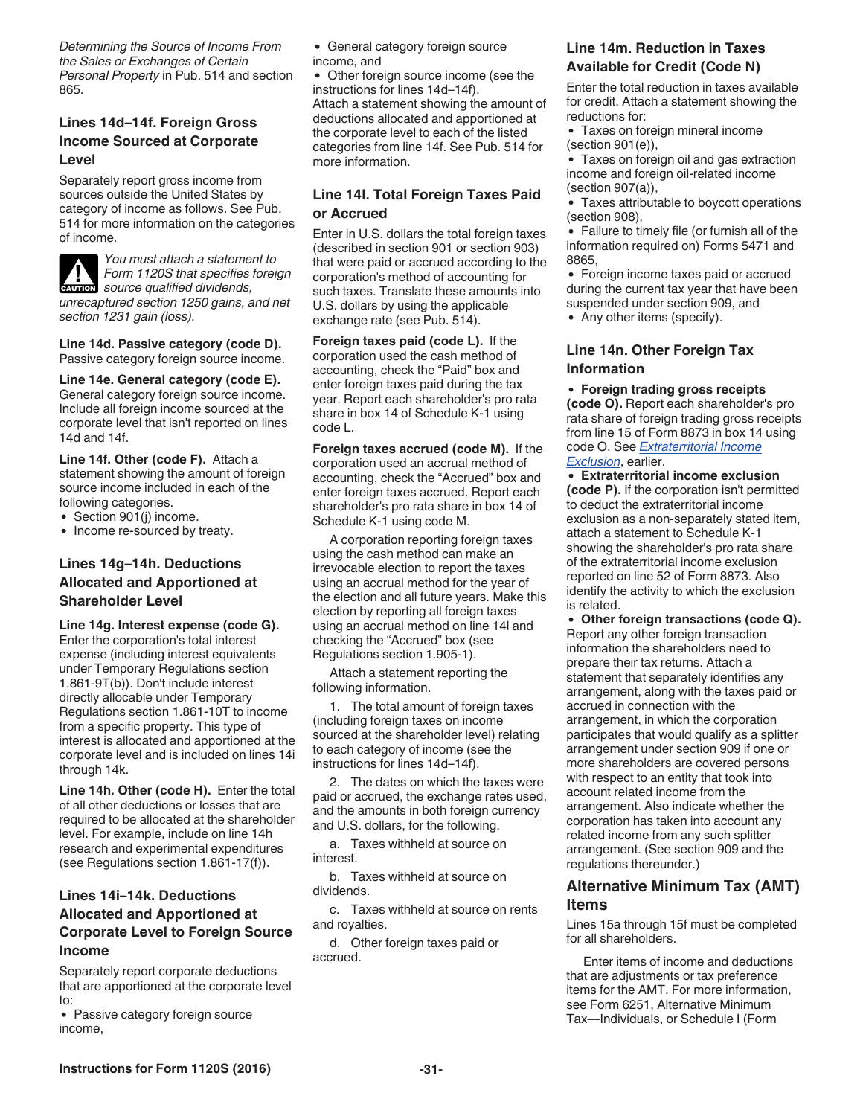*Determining the Source of Income From the Sales or Exchanges of Certain Personal Property* in Pub. 514 and section 865.

### **Lines 14d–14f. Foreign Gross Income Sourced at Corporate Level**

Separately report gross income from sources outside the United States by category of income as follows. See Pub. 514 for more information on the categories of income.

*You must attach a statement to Form 1120S that specifies foreign*  **Form 1120S that specifies f**<br> **Source qualified dividends,** *unrecaptured section 1250 gains, and net section 1231 gain (loss).*

**Line 14d. Passive category (code D).**  Passive category foreign source income.

**Line 14e. General category (code E).**  General category foreign source income. Include all foreign income sourced at the corporate level that isn't reported on lines 14d and 14f.

**Line 14f. Other (code F).** Attach a statement showing the amount of foreign source income included in each of the following categories.

- Section 901(j) income.
- Income re-sourced by treaty.

### **Lines 14g–14h. Deductions Allocated and Apportioned at Shareholder Level**

**Line 14g. Interest expense (code G).**  Enter the corporation's total interest expense (including interest equivalents under Temporary Regulations section 1.861-9T(b)). Don't include interest directly allocable under Temporary Regulations section 1.861-10T to income from a specific property. This type of interest is allocated and apportioned at the corporate level and is included on lines 14i through 14k.

Line 14h. Other (code H). Enter the total of all other deductions or losses that are required to be allocated at the shareholder level. For example, include on line 14h research and experimental expenditures (see Regulations section 1.861-17(f)).

## **Lines 14i–14k. Deductions Allocated and Apportioned at Corporate Level to Foreign Source Income**

Separately report corporate deductions that are apportioned at the corporate level to:

Passive category foreign source income,

General category foreign source income, and

Other foreign source income (see the instructions for lines 14d–14f). Attach a statement showing the amount of deductions allocated and apportioned at the corporate level to each of the listed categories from line 14f. See Pub. 514 for more information.

## **Line 14l. Total Foreign Taxes Paid or Accrued**

Enter in U.S. dollars the total foreign taxes (described in section 901 or section 903) that were paid or accrued according to the corporation's method of accounting for such taxes. Translate these amounts into U.S. dollars by using the applicable exchange rate (see Pub. 514).

**Foreign taxes paid (code L).** If the corporation used the cash method of accounting, check the "Paid" box and enter foreign taxes paid during the tax year. Report each shareholder's pro rata share in box 14 of Schedule K-1 using code L.

**Foreign taxes accrued (code M).** If the corporation used an accrual method of accounting, check the "Accrued" box and enter foreign taxes accrued. Report each shareholder's pro rata share in box 14 of Schedule K-1 using code M.

A corporation reporting foreign taxes using the cash method can make an irrevocable election to report the taxes using an accrual method for the year of the election and all future years. Make this election by reporting all foreign taxes using an accrual method on line 14l and checking the "Accrued" box (see Regulations section 1.905-1).

Attach a statement reporting the following information.

1. The total amount of foreign taxes (including foreign taxes on income sourced at the shareholder level) relating to each category of income (see the instructions for lines 14d–14f).

2. The dates on which the taxes were paid or accrued, the exchange rates used, and the amounts in both foreign currency and U.S. dollars, for the following.

a. Taxes withheld at source on interest.

b. Taxes withheld at source on dividends.

c. Taxes withheld at source on rents and royalties.

d. Other foreign taxes paid or accrued.

## **Line 14m. Reduction in Taxes Available for Credit (Code N)**

Enter the total reduction in taxes available for credit. Attach a statement showing the reductions for:

Taxes on foreign mineral income (section 901(e)),

Taxes on foreign oil and gas extraction income and foreign oil-related income (section 907(a)),

Taxes attributable to boycott operations  $\bullet$ (section 908),

Failure to timely file (or furnish all of the information required on) Forms 5471 and 8865,

• Foreign income taxes paid or accrued during the current tax year that have been suspended under section 909, and

• Any other items (specify).

## **Line 14n. Other Foreign Tax Information**

**Foreign trading gross receipts (code O).** Report each shareholder's pro rata share of foreign trading gross receipts from line 15 of Form 8873 in box 14 using code O. See *[Extraterritorial Income](#page-10-0)  [Exclusion](#page-10-0)*, earlier.

**Extraterritorial income exclusion (code P).** If the corporation isn't permitted to deduct the extraterritorial income exclusion as a non-separately stated item, attach a statement to Schedule K-1 showing the shareholder's pro rata share of the extraterritorial income exclusion reported on line 52 of Form 8873. Also identify the activity to which the exclusion is related.

**Other foreign transactions (code Q).**  Report any other foreign transaction information the shareholders need to prepare their tax returns. Attach a statement that separately identifies any arrangement, along with the taxes paid or accrued in connection with the arrangement, in which the corporation participates that would qualify as a splitter arrangement under section 909 if one or more shareholders are covered persons with respect to an entity that took into account related income from the arrangement. Also indicate whether the corporation has taken into account any related income from any such splitter arrangement. (See section 909 and the regulations thereunder.)

### **Alternative Minimum Tax (AMT) Items**

Lines 15a through 15f must be completed for all shareholders.

Enter items of income and deductions that are adjustments or tax preference items for the AMT. For more information, see Form 6251, Alternative Minimum Tax—Individuals, or Schedule I (Form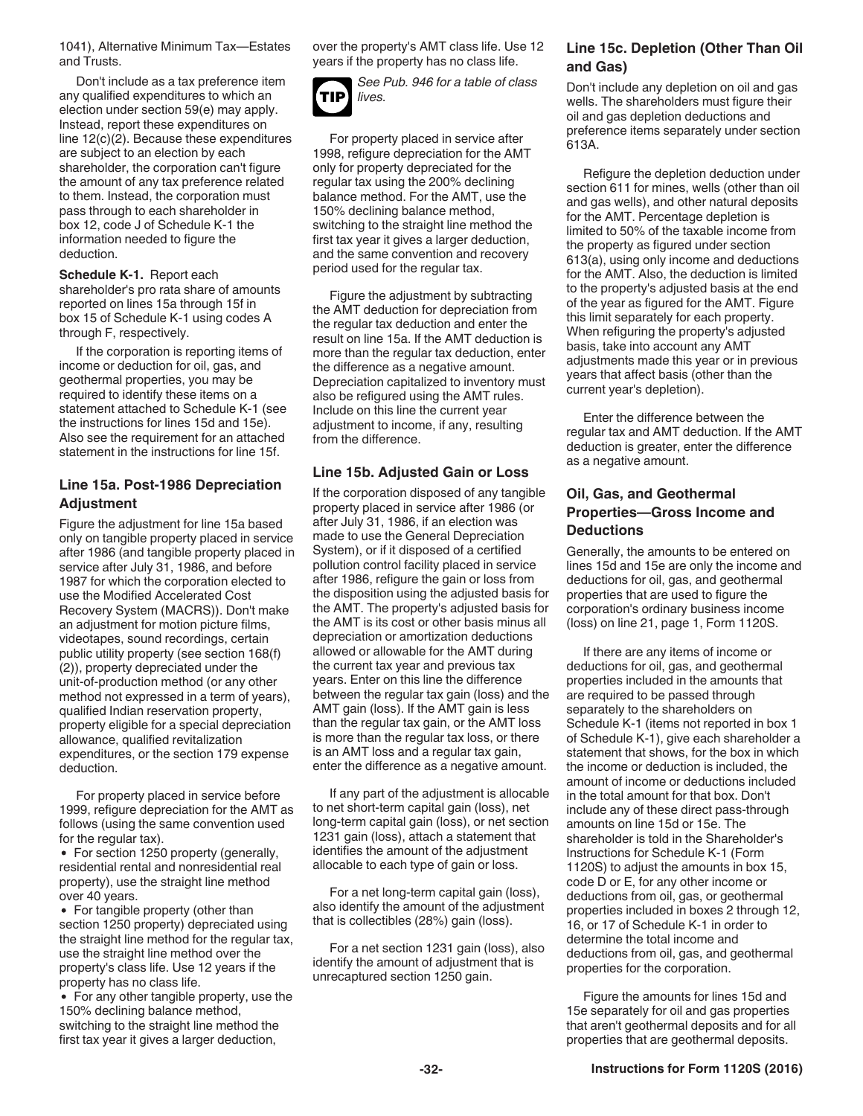<span id="page-31-0"></span>1041), Alternative Minimum Tax—Estates and Trusts.

Don't include as a tax preference item any qualified expenditures to which an election under section 59(e) may apply. Instead, report these expenditures on line 12(c)(2). Because these expenditures are subject to an election by each shareholder, the corporation can't figure the amount of any tax preference related to them. Instead, the corporation must pass through to each shareholder in box 12, code J of Schedule K-1 the information needed to figure the deduction.

**Schedule K-1. Report each** shareholder's pro rata share of amounts reported on lines 15a through 15f in box 15 of Schedule K-1 using codes A through F, respectively.

If the corporation is reporting items of income or deduction for oil, gas, and geothermal properties, you may be required to identify these items on a statement attached to Schedule K-1 (see the instructions for lines 15d and 15e). Also see the requirement for an attached statement in the instructions for line 15f.

#### **Line 15a. Post-1986 Depreciation Adjustment**

Figure the adjustment for line 15a based only on tangible property placed in service after 1986 (and tangible property placed in service after July 31, 1986, and before 1987 for which the corporation elected to use the Modified Accelerated Cost Recovery System (MACRS)). Don't make an adjustment for motion picture films, videotapes, sound recordings, certain public utility property (see section 168(f) (2)), property depreciated under the unit-of-production method (or any other method not expressed in a term of years), qualified Indian reservation property, property eligible for a special depreciation allowance, qualified revitalization expenditures, or the section 179 expense deduction.

For property placed in service before 1999, refigure depreciation for the AMT as follows (using the same convention used for the regular tax).

For section 1250 property (generally, residential rental and nonresidential real property), use the straight line method over 40 years.

• For tangible property (other than section 1250 property) depreciated using the straight line method for the regular tax, use the straight line method over the property's class life. Use 12 years if the property has no class life.

For any other tangible property, use the 150% declining balance method, switching to the straight line method the first tax year it gives a larger deduction,

over the property's AMT class life. Use 12 years if the property has no class life.



*See Pub. 946 for a table of class lives.*

For property placed in service after 1998, refigure depreciation for the AMT only for property depreciated for the regular tax using the 200% declining balance method. For the AMT, use the 150% declining balance method, switching to the straight line method the first tax year it gives a larger deduction, and the same convention and recovery period used for the regular tax.

Figure the adjustment by subtracting the AMT deduction for depreciation from the regular tax deduction and enter the result on line 15a. If the AMT deduction is more than the regular tax deduction, enter the difference as a negative amount. Depreciation capitalized to inventory must also be refigured using the AMT rules. Include on this line the current year adjustment to income, if any, resulting from the difference.

#### **Line 15b. Adjusted Gain or Loss**

If the corporation disposed of any tangible property placed in service after 1986 (or after July 31, 1986, if an election was made to use the General Depreciation System), or if it disposed of a certified pollution control facility placed in service after 1986, refigure the gain or loss from the disposition using the adjusted basis for the AMT. The property's adjusted basis for the AMT is its cost or other basis minus all depreciation or amortization deductions allowed or allowable for the AMT during the current tax year and previous tax years. Enter on this line the difference between the regular tax gain (loss) and the AMT gain (loss). If the AMT gain is less than the regular tax gain, or the AMT loss is more than the regular tax loss, or there is an AMT loss and a regular tax gain, enter the difference as a negative amount.

If any part of the adjustment is allocable to net short-term capital gain (loss), net long-term capital gain (loss), or net section 1231 gain (loss), attach a statement that identifies the amount of the adjustment allocable to each type of gain or loss.

For a net long-term capital gain (loss), also identify the amount of the adjustment that is collectibles (28%) gain (loss).

For a net section 1231 gain (loss), also identify the amount of adjustment that is unrecaptured section 1250 gain.

#### **Line 15c. Depletion (Other Than Oil and Gas)**

Don't include any depletion on oil and gas wells. The shareholders must figure their oil and gas depletion deductions and preference items separately under section 613A.

Refigure the depletion deduction under section 611 for mines, wells (other than oil and gas wells), and other natural deposits for the AMT. Percentage depletion is limited to 50% of the taxable income from the property as figured under section 613(a), using only income and deductions for the AMT. Also, the deduction is limited to the property's adjusted basis at the end of the year as figured for the AMT. Figure this limit separately for each property. When refiguring the property's adjusted basis, take into account any AMT adjustments made this year or in previous years that affect basis (other than the current year's depletion).

Enter the difference between the regular tax and AMT deduction. If the AMT deduction is greater, enter the difference as a negative amount.

### **Oil, Gas, and Geothermal Properties—Gross Income and Deductions**

Generally, the amounts to be entered on lines 15d and 15e are only the income and deductions for oil, gas, and geothermal properties that are used to figure the corporation's ordinary business income (loss) on line 21, page 1, Form 1120S.

If there are any items of income or deductions for oil, gas, and geothermal properties included in the amounts that are required to be passed through separately to the shareholders on Schedule K-1 (items not reported in box 1 of Schedule K-1), give each shareholder a statement that shows, for the box in which the income or deduction is included, the amount of income or deductions included in the total amount for that box. Don't include any of these direct pass-through amounts on line 15d or 15e. The shareholder is told in the Shareholder's Instructions for Schedule K-1 (Form 1120S) to adjust the amounts in box 15, code D or E, for any other income or deductions from oil, gas, or geothermal properties included in boxes 2 through 12, 16, or 17 of Schedule K-1 in order to determine the total income and deductions from oil, gas, and geothermal properties for the corporation.

Figure the amounts for lines 15d and 15e separately for oil and gas properties that aren't geothermal deposits and for all properties that are geothermal deposits.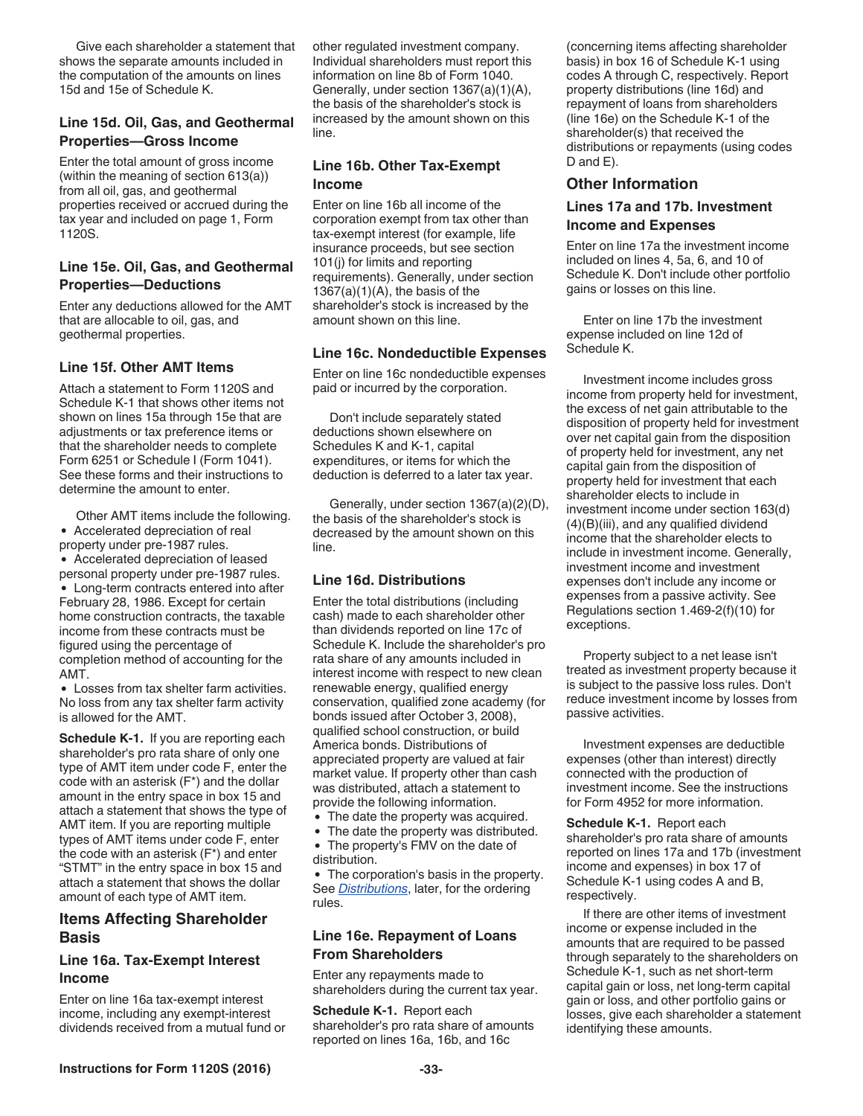<span id="page-32-0"></span>Give each shareholder a statement that shows the separate amounts included in the computation of the amounts on lines 15d and 15e of Schedule K.

#### **Line 15d. Oil, Gas, and Geothermal Properties—Gross Income**

Enter the total amount of gross income (within the meaning of section 613(a)) from all oil, gas, and geothermal properties received or accrued during the tax year and included on page 1, Form 1120S.

### **Line 15e. Oil, Gas, and Geothermal Properties—Deductions**

Enter any deductions allowed for the AMT that are allocable to oil, gas, and geothermal properties.

### **Line 15f. Other AMT Items**

Attach a statement to Form 1120S and Schedule K-1 that shows other items not shown on lines 15a through 15e that are adjustments or tax preference items or that the shareholder needs to complete Form 6251 or Schedule I (Form 1041). See these forms and their instructions to determine the amount to enter.

Other AMT items include the following. Accelerated depreciation of real property under pre-1987 rules. Accelerated depreciation of leased personal property under pre-1987 rules.

Long-term contracts entered into after February 28, 1986. Except for certain home construction contracts, the taxable income from these contracts must be figured using the percentage of completion method of accounting for the AMT.

Losses from tax shelter farm activities. No loss from any tax shelter farm activity is allowed for the AMT.

**Schedule K-1.** If you are reporting each shareholder's pro rata share of only one type of AMT item under code F, enter the code with an asterisk (F\*) and the dollar amount in the entry space in box 15 and attach a statement that shows the type of AMT item. If you are reporting multiple types of AMT items under code F, enter the code with an asterisk (F\*) and enter "STMT" in the entry space in box 15 and attach a statement that shows the dollar amount of each type of AMT item.

## **Items Affecting Shareholder Basis**

### **Line 16a. Tax-Exempt Interest Income**

Enter on line 16a tax-exempt interest income, including any exempt-interest dividends received from a mutual fund or other regulated investment company. Individual shareholders must report this information on line 8b of Form 1040. Generally, under section 1367(a)(1)(A), the basis of the shareholder's stock is increased by the amount shown on this line.

## Line 16b. Other Tax-Exempt **Income**

Enter on line 16b all income of the corporation exempt from tax other than tax-exempt interest (for example, life insurance proceeds, but see section 101(j) for limits and reporting requirements). Generally, under section  $1367(a)(1)(A)$ , the basis of the shareholder's stock is increased by the amount shown on this line.

## **Line 16c. Nondeductible Expenses**

Enter on line 16c nondeductible expenses paid or incurred by the corporation.

Don't include separately stated deductions shown elsewhere on Schedules K and K-1, capital expenditures, or items for which the deduction is deferred to a later tax year.

Generally, under section 1367(a)(2)(D), the basis of the shareholder's stock is decreased by the amount shown on this line.

### **Line 16d. Distributions**

Enter the total distributions (including cash) made to each shareholder other than dividends reported on line 17c of Schedule K. Include the shareholder's pro rata share of any amounts included in interest income with respect to new clean renewable energy, qualified energy conservation, qualified zone academy (for bonds issued after October 3, 2008), qualified school construction, or build America bonds. Distributions of appreciated property are valued at fair market value. If property other than cash was distributed, attach a statement to provide the following information.

- The date the property was acquired.
- $\bullet$ The date the property was distributed.

The property's FMV on the date of distribution.

The corporation's basis in the property. See *[Distributions](#page-37-0)*, later, for the ordering rules.

### **Line 16e. Repayment of Loans From Shareholders**

Enter any repayments made to shareholders during the current tax year.

**Schedule K-1. Report each** shareholder's pro rata share of amounts reported on lines 16a, 16b, and 16c

(concerning items affecting shareholder basis) in box 16 of Schedule K-1 using codes A through C, respectively. Report property distributions (line 16d) and repayment of loans from shareholders (line 16e) on the Schedule K-1 of the shareholder(s) that received the distributions or repayments (using codes D and E).

#### **Other Information**

#### **Lines 17a and 17b. Investment Income and Expenses**

Enter on line 17a the investment income included on lines 4, 5a, 6, and 10 of Schedule K. Don't include other portfolio gains or losses on this line.

Enter on line 17b the investment expense included on line 12d of Schedule K.

Investment income includes gross income from property held for investment, the excess of net gain attributable to the disposition of property held for investment over net capital gain from the disposition of property held for investment, any net capital gain from the disposition of property held for investment that each shareholder elects to include in investment income under section 163(d) (4)(B)(iii), and any qualified dividend income that the shareholder elects to include in investment income. Generally, investment income and investment expenses don't include any income or expenses from a passive activity. See Regulations section 1.469-2(f)(10) for exceptions.

Property subject to a net lease isn't treated as investment property because it is subject to the passive loss rules. Don't reduce investment income by losses from passive activities.

Investment expenses are deductible expenses (other than interest) directly connected with the production of investment income. See the instructions for Form 4952 for more information.

**Schedule K-1. Report each** shareholder's pro rata share of amounts reported on lines 17a and 17b (investment income and expenses) in box 17 of Schedule K-1 using codes A and B, respectively.

If there are other items of investment income or expense included in the amounts that are required to be passed through separately to the shareholders on Schedule K-1, such as net short-term capital gain or loss, net long-term capital gain or loss, and other portfolio gains or losses, give each shareholder a statement identifying these amounts.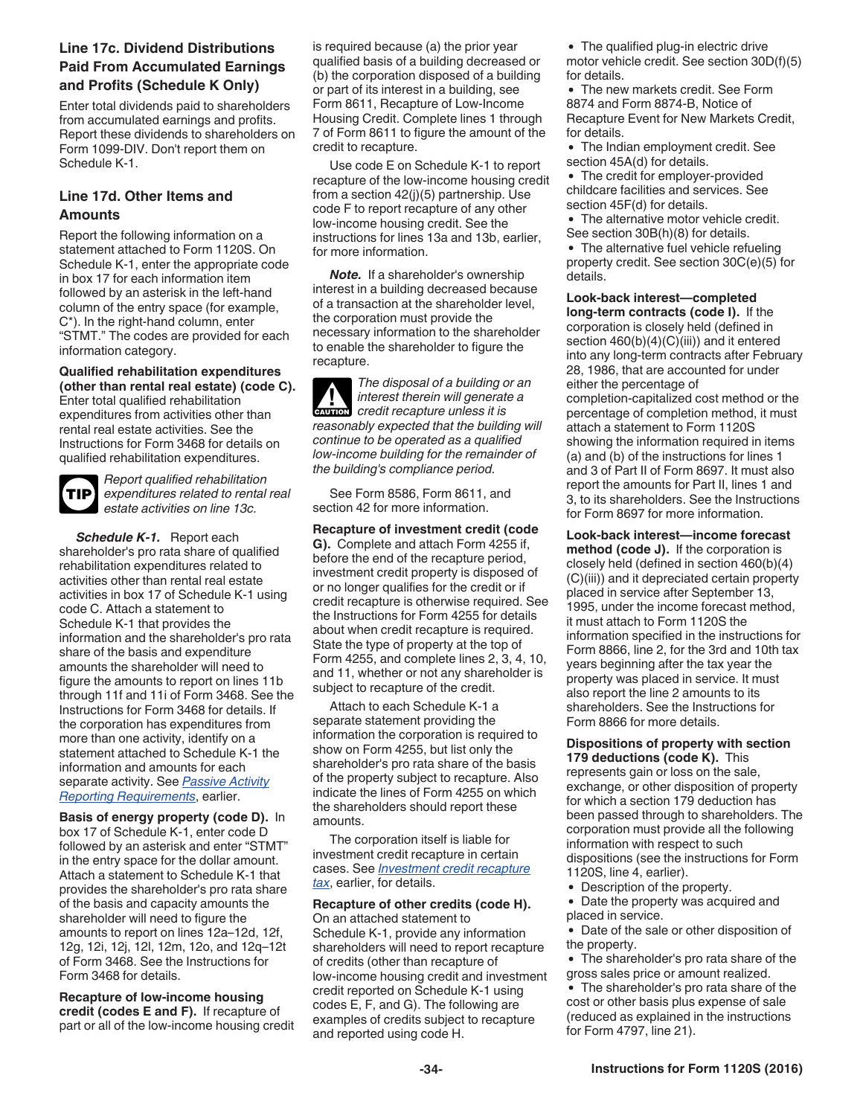## <span id="page-33-0"></span>**Line 17c. Dividend Distributions Paid From Accumulated Earnings and Profits (Schedule K Only)**

Enter total dividends paid to shareholders from accumulated earnings and profits. Report these dividends to shareholders on Form 1099-DIV. Don't report them on Schedule K-1.

### **Line 17d. Other Items and Amounts**

Report the following information on a statement attached to Form 1120S. On Schedule K-1, enter the appropriate code in box 17 for each information item followed by an asterisk in the left-hand column of the entry space (for example, C\*). In the right-hand column, enter "STMT." The codes are provided for each information category.

## **Qualified rehabilitation expenditures**

**(other than rental real estate) (code C).**  Enter total qualified rehabilitation expenditures from activities other than rental real estate activities. See the Instructions for Form 3468 for details on qualified rehabilitation expenditures.



*Report qualified rehabilitation expenditures related to rental real estate activities on line 13c.*

*Schedule K-1.* Report each shareholder's pro rata share of qualified rehabilitation expenditures related to activities other than rental real estate activities in box 17 of Schedule K-1 using code C. Attach a statement to Schedule K-1 that provides the information and the shareholder's pro rata share of the basis and expenditure amounts the shareholder will need to figure the amounts to report on lines 11b through 11f and 11i of Form 3468. See the Instructions for Form 3468 for details. If the corporation has expenditures from more than one activity, identify on a statement attached to Schedule K-1 the information and amounts for each separate activity. See *[Passive Activity](#page-9-0) [Reporting Requirements](#page-9-0)*, earlier.

**Basis of energy property (code D).** In box 17 of Schedule K-1, enter code D followed by an asterisk and enter "STMT" in the entry space for the dollar amount. Attach a statement to Schedule K-1 that provides the shareholder's pro rata share of the basis and capacity amounts the shareholder will need to figure the amounts to report on lines 12a–12d, 12f, 12g, 12i, 12j, 12l, 12m, 12o, and 12q–12t of Form 3468. See the Instructions for Form 3468 for details.

**Recapture of lowincome housing credit (codes E and F).** If recapture of part or all of the low-income housing credit is required because (a) the prior year qualified basis of a building decreased or (b) the corporation disposed of a building or part of its interest in a building, see Form 8611, Recapture of Low-Income Housing Credit. Complete lines 1 through 7 of Form 8611 to figure the amount of the credit to recapture.

Use code E on Schedule K-1 to report recapture of the low-income housing credit from a section 42(j)(5) partnership. Use code F to report recapture of any other low-income housing credit. See the instructions for lines 13a and 13b, earlier, for more information.

*Note.* If a shareholder's ownership interest in a building decreased because of a transaction at the shareholder level, the corporation must provide the necessary information to the shareholder to enable the shareholder to figure the recapture.

*The disposal of a building or an interest therein will generate a*  **CAUTION** *credit recapture unless it is reasonably expected that the building will continue to be operated as a qualified low-income building for the remainder of the building's compliance period.*

See Form 8586, Form 8611, and section 42 for more information.

**Recapture of investment credit (code G).** Complete and attach Form 4255 if, before the end of the recapture period, investment credit property is disposed of or no longer qualifies for the credit or if credit recapture is otherwise required. See the Instructions for Form 4255 for details about when credit recapture is required. State the type of property at the top of Form 4255, and complete lines 2, 3, 4, 10, and 11, whether or not any shareholder is subject to recapture of the credit.

Attach to each Schedule K-1 a separate statement providing the information the corporation is required to show on Form 4255, but list only the shareholder's pro rata share of the basis of the property subject to recapture. Also indicate the lines of Form 4255 on which the shareholders should report these amounts.

The corporation itself is liable for investment credit recapture in certain cases. See *[Investment credit recapture](#page-17-0) [tax](#page-17-0)*, earlier, for details.

**Recapture of other credits (code H).**  On an attached statement to Schedule K-1, provide any information shareholders will need to report recapture of credits (other than recapture of low-income housing credit and investment credit reported on Schedule K-1 using codes E, F, and G). The following are examples of credits subject to recapture and reported using code H.

• The qualified plug-in electric drive motor vehicle credit. See section 30D(f)(5) for details.

The new markets credit. See Form 8874 and Form 8874-B, Notice of Recapture Event for New Markets Credit, for details.

The Indian employment credit. See section 45A(d) for details.

• The credit for employer-provided childcare facilities and services. See section 45F(d) for details.

The alternative motor vehicle credit. See section 30B(h)(8) for details.

• The alternative fuel vehicle refueling property credit. See section 30C(e)(5) for details.

Look-back interest-completed **long-term contracts (code I).** If the corporation is closely held (defined in section 460(b)(4)(C)(iii)) and it entered into any long-term contracts after February 28, 1986, that are accounted for under either the percentage of completion-capitalized cost method or the percentage of completion method, it must attach a statement to Form 1120S showing the information required in items (a) and (b) of the instructions for lines 1 and 3 of Part II of Form 8697. It must also report the amounts for Part II, lines 1 and 3, to its shareholders. See the Instructions for Form 8697 for more information.

Look-back interest-income forecast **method (code J).** If the corporation is closely held (defined in section 460(b)(4) (C)(iii)) and it depreciated certain property placed in service after September 13, 1995, under the income forecast method,

it must attach to Form 1120S the information specified in the instructions for Form 8866, line 2, for the 3rd and 10th tax years beginning after the tax year the property was placed in service. It must also report the line 2 amounts to its shareholders. See the Instructions for Form 8866 for more details.

#### **Dispositions of property with section 179 deductions (code K).** This

represents gain or loss on the sale, exchange, or other disposition of property for which a section 179 deduction has been passed through to shareholders. The corporation must provide all the following information with respect to such dispositions (see the instructions for Form 1120S, line 4, earlier).

• Description of the property.

Date the property was acquired and placed in service.

Date of the sale or other disposition of the property.

The shareholder's pro rata share of the gross sales price or amount realized.

The shareholder's pro rata share of the cost or other basis plus expense of sale (reduced as explained in the instructions for Form 4797, line 21).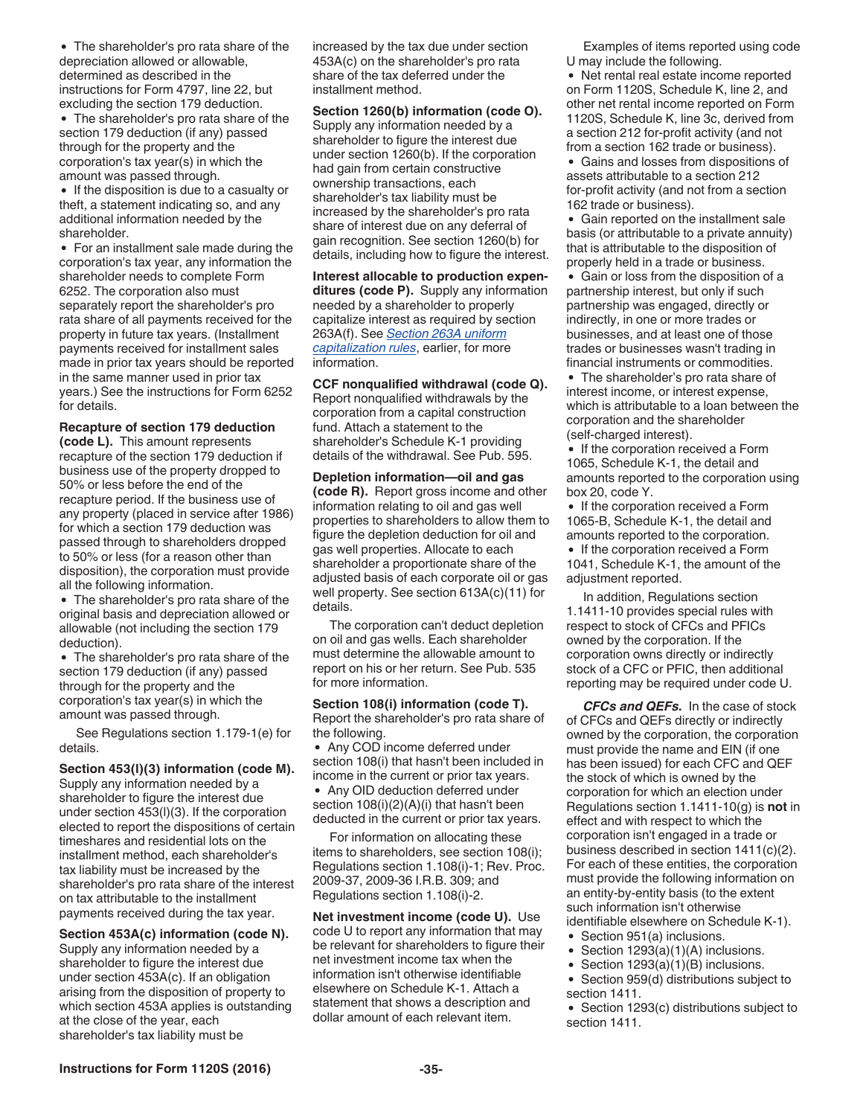<span id="page-34-0"></span>The shareholder's pro rata share of the depreciation allowed or allowable, determined as described in the instructions for Form 4797, line 22, but excluding the section 179 deduction.

The shareholder's pro rata share of the section 179 deduction (if any) passed through for the property and the corporation's tax year(s) in which the amount was passed through.

• If the disposition is due to a casualty or theft, a statement indicating so, and any additional information needed by the shareholder.

For an installment sale made during the corporation's tax year, any information the shareholder needs to complete Form 6252. The corporation also must separately report the shareholder's pro rata share of all payments received for the property in future tax years. (Installment payments received for installment sales made in prior tax years should be reported in the same manner used in prior tax years.) See the instructions for Form 6252 for details.

#### **Recapture of section 179 deduction**

**(code L).** This amount represents recapture of the section 179 deduction if business use of the property dropped to 50% or less before the end of the recapture period. If the business use of any property (placed in service after 1986) for which a section 179 deduction was passed through to shareholders dropped to 50% or less (for a reason other than disposition), the corporation must provide all the following information.

The shareholder's pro rata share of the original basis and depreciation allowed or allowable (not including the section 179 deduction).

The shareholder's pro rata share of the section 179 deduction (if any) passed through for the property and the corporation's tax year(s) in which the amount was passed through.

See Regulations section 1.179-1(e) for details.

**Section 453(l)(3) information (code M).**  Supply any information needed by a shareholder to figure the interest due under section 453(l)(3). If the corporation elected to report the dispositions of certain timeshares and residential lots on the installment method, each shareholder's tax liability must be increased by the shareholder's pro rata share of the interest on tax attributable to the installment payments received during the tax year.

**Section 453A(c) information (code N).**  Supply any information needed by a shareholder to figure the interest due under section 453A(c). If an obligation arising from the disposition of property to which section 453A applies is outstanding at the close of the year, each shareholder's tax liability must be

increased by the tax due under section 453A(c) on the shareholder's pro rata share of the tax deferred under the installment method.

**Section 1260(b) information (code O).** 

Supply any information needed by a shareholder to figure the interest due under section 1260(b). If the corporation had gain from certain constructive ownership transactions, each shareholder's tax liability must be increased by the shareholder's pro rata share of interest due on any deferral of gain recognition. See section 1260(b) for details, including how to figure the interest.

**Interest allocable to production expenditures (code P).** Supply any information needed by a shareholder to properly capitalize interest as required by section 263A(f). See *[Section 263A uniform](#page-13-0)  [capitalization rules](#page-13-0)*, earlier, for more information.

**CCF nonqualified withdrawal (code Q).**  Report nonqualified withdrawals by the corporation from a capital construction fund. Attach a statement to the shareholder's Schedule K-1 providing details of the withdrawal. See Pub. 595.

**Depletion information—oil and gas (code R).** Report gross income and other information relating to oil and gas well properties to shareholders to allow them to figure the depletion deduction for oil and gas well properties. Allocate to each shareholder a proportionate share of the adjusted basis of each corporate oil or gas well property. See section 613A(c)(11) for details.

The corporation can't deduct depletion on oil and gas wells. Each shareholder must determine the allowable amount to report on his or her return. See Pub. 535 for more information.

**Section 108(i) information (code T).**  Report the shareholder's pro rata share of the following.

Any COD income deferred under section 108(i) that hasn't been included in income in the current or prior tax years. • Any OID deduction deferred under section 108(i)(2)(A)(i) that hasn't been deducted in the current or prior tax years.

For information on allocating these items to shareholders, see section 108(i); Regulations section 1.108(i)-1; Rev. Proc. 2009-37, 2009-36 I.R.B. 309; and Regulations section 1.108(i)-2.

**Net investment income (code U).** Use code U to report any information that may be relevant for shareholders to figure their net investment income tax when the information isn't otherwise identifiable elsewhere on Schedule K-1. Attach a statement that shows a description and dollar amount of each relevant item.

Examples of items reported using code U may include the following.

Net rental real estate income reported on Form 1120S, Schedule K, line 2, and other net rental income reported on Form 1120S, Schedule K, line 3c, derived from a section 212 for-profit activity (and not from a section 162 trade or business).

Gains and losses from dispositions of assets attributable to a section 212 for-profit activity (and not from a section 162 trade or business).

Gain reported on the installment sale basis (or attributable to a private annuity) that is attributable to the disposition of properly held in a trade or business.

Gain or loss from the disposition of a partnership interest, but only if such partnership was engaged, directly or indirectly, in one or more trades or businesses, and at least one of those trades or businesses wasn't trading in financial instruments or commodities.

The shareholder's pro rata share of interest income, or interest expense, which is attributable to a loan between the corporation and the shareholder (self-charged interest).

• If the corporation received a Form 1065, Schedule K-1, the detail and amounts reported to the corporation using box 20, code Y.

• If the corporation received a Form 1065-B, Schedule K-1, the detail and amounts reported to the corporation.

• If the corporation received a Form 1041, Schedule K-1, the amount of the adjustment reported.

In addition, Regulations section 1.1411-10 provides special rules with respect to stock of CFCs and PFICs owned by the corporation. If the corporation owns directly or indirectly stock of a CFC or PFIC, then additional reporting may be required under code U.

*CFCs and QEFs.* In the case of stock of CFCs and QEFs directly or indirectly owned by the corporation, the corporation must provide the name and EIN (if one has been issued) for each CFC and QEF the stock of which is owned by the corporation for which an election under Regulations section 1.1411-10(g) is **not** in effect and with respect to which the corporation isn't engaged in a trade or business described in section 1411(c)(2). For each of these entities, the corporation must provide the following information on an entity-by-entity basis (to the extent such information isn't otherwise identifiable elsewhere on Schedule K-1).

- Section 951(a) inclusions.
- Section 1293(a)(1)(A) inclusions.
- Section 1293(a)(1)(B) inclusions.
- Section 959(d) distributions subject to section 1411.
- Section 1293(c) distributions subject to section 1411.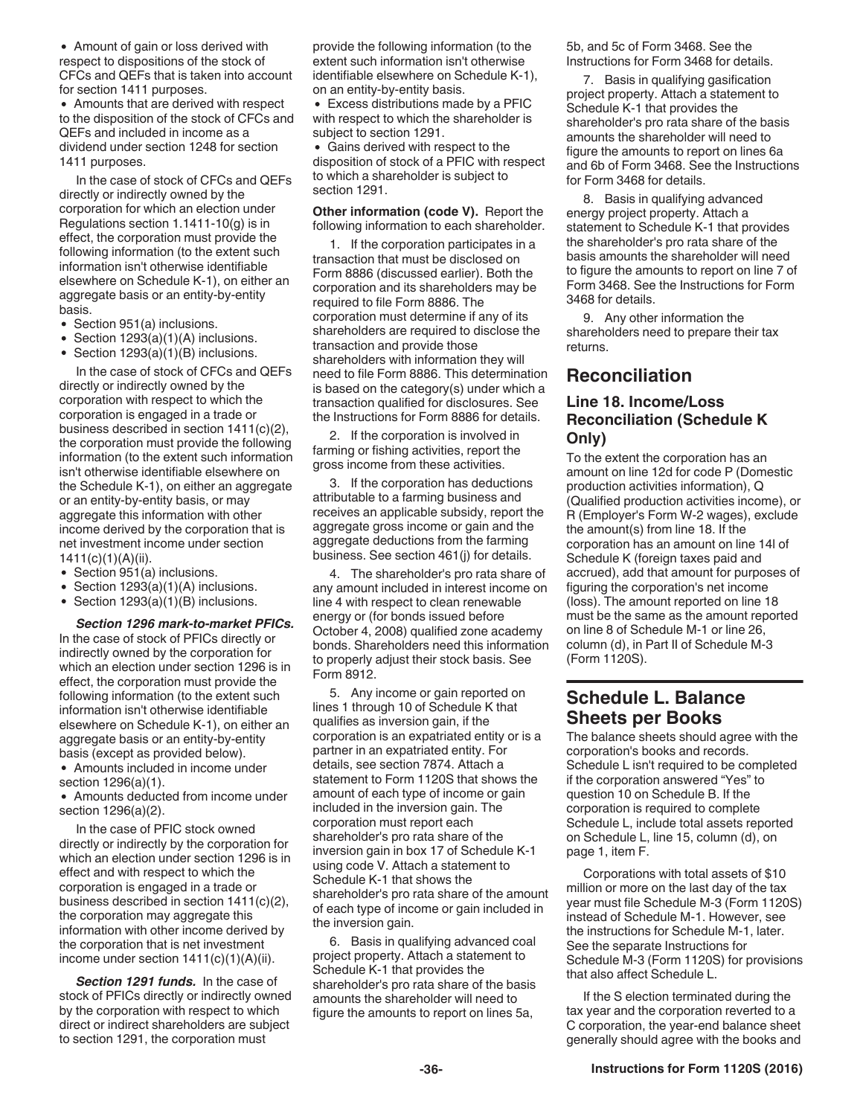<span id="page-35-0"></span>Amount of gain or loss derived with respect to dispositions of the stock of CFCs and QEFs that is taken into account for section 1411 purposes.

• Amounts that are derived with respect to the disposition of the stock of CFCs and QEFs and included in income as a dividend under section 1248 for section 1411 purposes.

In the case of stock of CFCs and QEFs directly or indirectly owned by the corporation for which an election under Regulations section 1.1411-10(g) is in effect, the corporation must provide the following information (to the extent such information isn't otherwise identifiable elsewhere on Schedule K-1), on either an aggregate basis or an entity-by-entity basis.

- Section 951(a) inclusions.
- Section 1293(a)(1)(A) inclusions.
- Section  $1293(a)(1)(B)$  inclusions.

In the case of stock of CFCs and QEFs directly or indirectly owned by the corporation with respect to which the corporation is engaged in a trade or business described in section 1411(c)(2), the corporation must provide the following information (to the extent such information isn't otherwise identifiable elsewhere on the Schedule K-1), on either an aggregate or an entity-by-entity basis, or may aggregate this information with other income derived by the corporation that is net investment income under section 1411(c)(1)(A)(ii).

- Section 951(a) inclusions.
- Section 1293(a)(1)(A) inclusions.
- Section  $1293(a)(1)(B)$  inclusions.

*Section 1296 mark-to-market PFICs.*  In the case of stock of PFICs directly or indirectly owned by the corporation for which an election under section 1296 is in effect, the corporation must provide the following information (to the extent such information isn't otherwise identifiable elsewhere on Schedule K-1), on either an aggregate basis or an entity-by-entity basis (except as provided below).

Amounts included in income under section 1296(a)(1).

Amounts deducted from income under section 1296(a)(2).

In the case of PFIC stock owned directly or indirectly by the corporation for which an election under section 1296 is in effect and with respect to which the corporation is engaged in a trade or business described in section 1411(c)(2), the corporation may aggregate this information with other income derived by the corporation that is net investment income under section 1411(c)(1)(A)(ii).

*Section 1291 funds.* In the case of stock of PFICs directly or indirectly owned by the corporation with respect to which direct or indirect shareholders are subject to section 1291, the corporation must

provide the following information (to the extent such information isn't otherwise identifiable elsewhere on Schedule K-1), on an entity-by-entity basis.

Excess distributions made by a PFIC with respect to which the shareholder is subject to section 1291.

Gains derived with respect to the disposition of stock of a PFIC with respect to which a shareholder is subject to section 1291.

**Other information (code V).** Report the following information to each shareholder.

1. If the corporation participates in a transaction that must be disclosed on Form 8886 (discussed earlier). Both the corporation and its shareholders may be required to file Form 8886. The corporation must determine if any of its shareholders are required to disclose the transaction and provide those shareholders with information they will need to file Form 8886. This determination is based on the category(s) under which a transaction qualified for disclosures. See the Instructions for Form 8886 for details.

2. If the corporation is involved in farming or fishing activities, report the gross income from these activities.

3. If the corporation has deductions attributable to a farming business and receives an applicable subsidy, report the aggregate gross income or gain and the aggregate deductions from the farming business. See section 461(j) for details.

4. The shareholder's pro rata share of any amount included in interest income on line 4 with respect to clean renewable energy or (for bonds issued before October 4, 2008) qualified zone academy bonds. Shareholders need this information to properly adjust their stock basis. See Form 8912.

5. Any income or gain reported on lines 1 through 10 of Schedule K that qualifies as inversion gain, if the corporation is an expatriated entity or is a partner in an expatriated entity. For details, see section 7874. Attach a statement to Form 1120S that shows the amount of each type of income or gain included in the inversion gain. The corporation must report each shareholder's pro rata share of the inversion gain in box 17 of Schedule K-1 using code V. Attach a statement to Schedule K-1 that shows the shareholder's pro rata share of the amount of each type of income or gain included in the inversion gain.

6. Basis in qualifying advanced coal project property. Attach a statement to Schedule K-1 that provides the shareholder's pro rata share of the basis amounts the shareholder will need to figure the amounts to report on lines 5a,

5b, and 5c of Form 3468. See the Instructions for Form 3468 for details.

7. Basis in qualifying gasification project property. Attach a statement to Schedule K-1 that provides the shareholder's pro rata share of the basis amounts the shareholder will need to figure the amounts to report on lines 6a and 6b of Form 3468. See the Instructions for Form 3468 for details.

8. Basis in qualifying advanced energy project property. Attach a statement to Schedule K-1 that provides the shareholder's pro rata share of the basis amounts the shareholder will need to figure the amounts to report on line 7 of Form 3468. See the Instructions for Form 3468 for details.

9. Any other information the shareholders need to prepare their tax returns.

### **Reconciliation**

### **Line 18. Income/Loss Reconciliation (Schedule K Only)**

To the extent the corporation has an amount on line 12d for code P (Domestic production activities information), Q (Qualified production activities income), or R (Employer's Form W-2 wages), exclude the amount(s) from line 18. If the corporation has an amount on line 14l of Schedule K (foreign taxes paid and accrued), add that amount for purposes of figuring the corporation's net income (loss). The amount reported on line 18 must be the same as the amount reported on line 8 of Schedule M-1 or line 26, column (d), in Part II of Schedule M-3 (Form 1120S).

## **Schedule L. Balance Sheets per Books**

The balance sheets should agree with the corporation's books and records. Schedule L isn't required to be completed if the corporation answered "Yes" to question 10 on Schedule B. If the corporation is required to complete Schedule L, include total assets reported on Schedule L, line 15, column (d), on page 1, item F.

Corporations with total assets of \$10 million or more on the last day of the tax year must file Schedule M-3 (Form 1120S) instead of Schedule M-1. However, see the instructions for Schedule M-1, later. See the separate Instructions for Schedule M-3 (Form 1120S) for provisions that also affect Schedule L.

If the S election terminated during the tax year and the corporation reverted to a C corporation, the year-end balance sheet generally should agree with the books and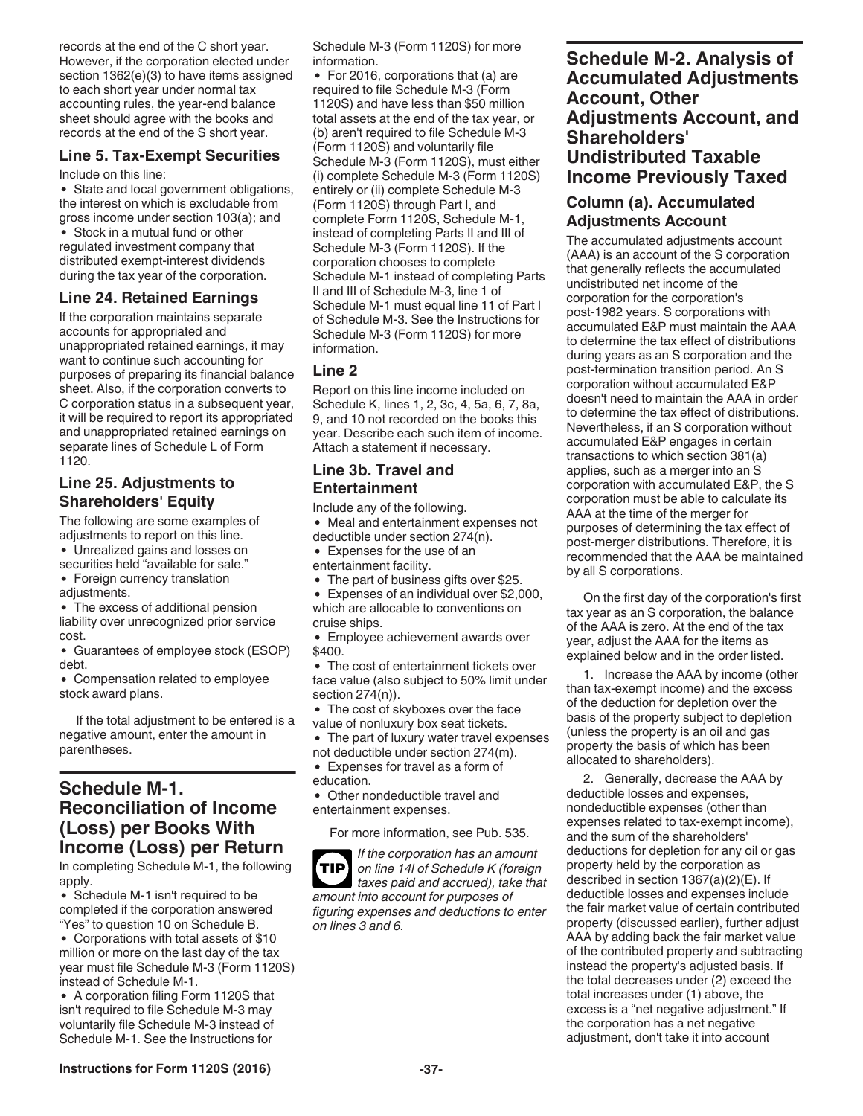<span id="page-36-0"></span>records at the end of the C short year. However, if the corporation elected under section 1362(e)(3) to have items assigned to each short year under normal tax accounting rules, the year-end balance sheet should agree with the books and records at the end of the S short year.

## **Line 5. Tax-Exempt Securities**

Include on this line:

• State and local government obligations, the interest on which is excludable from gross income under section 103(a); and Stock in a mutual fund or other regulated investment company that distributed exempt-interest dividends during the tax year of the corporation.

### **Line 24. Retained Earnings**

If the corporation maintains separate accounts for appropriated and unappropriated retained earnings, it may want to continue such accounting for purposes of preparing its financial balance sheet. Also, if the corporation converts to C corporation status in a subsequent year, it will be required to report its appropriated and unappropriated retained earnings on separate lines of Schedule L of Form 1120.

## **Line 25. Adjustments to Shareholders' Equity**

The following are some examples of adjustments to report on this line.

- Unrealized gains and losses on
- securities held "available for sale." Foreign currency translation
- adjustments.

• The excess of additional pension liability over unrecognized prior service cost.

Guarantees of employee stock (ESOP) debt.

Compensation related to employee stock award plans.

If the total adjustment to be entered is a negative amount, enter the amount in parentheses.

## **Schedule M-1. Reconciliation of Income (Loss) per Books With Income (Loss) per Return**

In completing Schedule M-1, the following apply.

• Schedule M-1 isn't required to be completed if the corporation answered "Yes" to question 10 on Schedule B.

Corporations with total assets of \$10 million or more on the last day of the tax year must file Schedule M-3 (Form 1120S) instead of Schedule M-1.

A corporation filing Form 1120S that isn't required to file Schedule M-3 may voluntarily file Schedule M-3 instead of Schedule M-1. See the Instructions for

Schedule M-3 (Form 1120S) for more information.

For 2016, corporations that (a) are required to file Schedule M-3 (Form 1120S) and have less than \$50 million total assets at the end of the tax year, or (b) aren't required to file Schedule M-3 (Form 1120S) and voluntarily file Schedule M-3 (Form 1120S), must either (i) complete Schedule M-3 (Form 1120S) entirely or (ii) complete Schedule M-3 (Form 1120S) through Part I, and complete Form 1120S, Schedule M-1, instead of completing Parts II and III of Schedule M-3 (Form 1120S). If the corporation chooses to complete Schedule M-1 instead of completing Parts II and III of Schedule M-3, line 1 of Schedule M-1 must equal line 11 of Part I of Schedule M-3. See the Instructions for Schedule M-3 (Form 1120S) for more information.

## **Line 2**

Report on this line income included on Schedule K, lines 1, 2, 3c, 4, 5a, 6, 7, 8a, 9, and 10 not recorded on the books this year. Describe each such item of income. Attach a statement if necessary.

## **Line 3b. Travel and Entertainment**

Include any of the following.

- Meal and entertainment expenses not deductible under section 274(n).
- Expenses for the use of an
- entertainment facility.
- The part of business gifts over \$25.
- Expenses of an individual over \$2,000, which are allocable to conventions on cruise ships.
- Employee achievement awards over \$400.

The cost of entertainment tickets over face value (also subject to 50% limit under section 274(n)).

- The cost of skyboxes over the face value of nonluxury box seat tickets.
- The part of luxury water travel expenses not deductible under section 274(m).
- $\bullet$ Expenses for travel as a form of education.
- Other nondeductible travel and entertainment expenses.

For more information, see Pub. 535.

*If the corporation has an amount on line 14l of Schedule K (foreign taxes paid and accrued), take that amount into account for purposes of figuring expenses and deductions to enter on lines 3 and 6.* **TIP**

## **Schedule M-2. Analysis of Accumulated Adjustments Account, Other Adjustments Account, and Shareholders' Undistributed Taxable Income Previously Taxed**

## **Column (a). Accumulated Adjustments Account**

The accumulated adjustments account (AAA) is an account of the S corporation that generally reflects the accumulated undistributed net income of the corporation for the corporation's post-1982 years. S corporations with accumulated E&P must maintain the AAA to determine the tax effect of distributions during years as an S corporation and the post-termination transition period. An S corporation without accumulated E&P doesn't need to maintain the AAA in order to determine the tax effect of distributions. Nevertheless, if an S corporation without accumulated E&P engages in certain transactions to which section 381(a) applies, such as a merger into an S corporation with accumulated E&P, the S corporation must be able to calculate its AAA at the time of the merger for purposes of determining the tax effect of post-merger distributions. Therefore, it is recommended that the AAA be maintained by all S corporations.

On the first day of the corporation's first tax year as an S corporation, the balance of the AAA is zero. At the end of the tax year, adjust the AAA for the items as explained below and in the order listed.

1. Increase the AAA by income (other than tax-exempt income) and the excess of the deduction for depletion over the basis of the property subject to depletion (unless the property is an oil and gas property the basis of which has been allocated to shareholders).

2. Generally, decrease the AAA by deductible losses and expenses, nondeductible expenses (other than expenses related to tax-exempt income), and the sum of the shareholders' deductions for depletion for any oil or gas property held by the corporation as described in section 1367(a)(2)(E). If deductible losses and expenses include the fair market value of certain contributed property (discussed earlier), further adjust AAA by adding back the fair market value of the contributed property and subtracting instead the property's adjusted basis. If the total decreases under (2) exceed the total increases under (1) above, the excess is a "net negative adjustment." If the corporation has a net negative adjustment, don't take it into account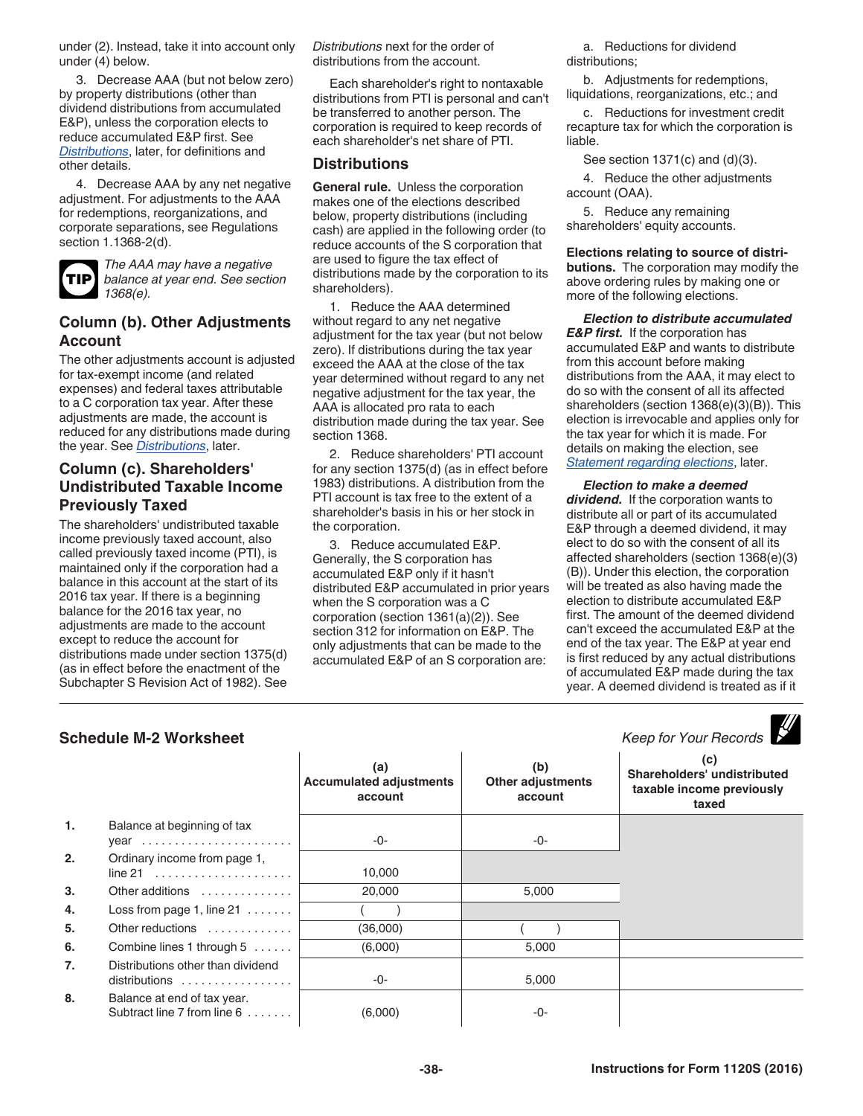<span id="page-37-0"></span>under (2). Instead, take it into account only under (4) below.

3. Decrease AAA (but not below zero) by property distributions (other than dividend distributions from accumulated E&P), unless the corporation elects to reduce accumulated E&P first. See *Distributions*, later, for definitions and other details.

4. Decrease AAA by any net negative adjustment. For adjustments to the AAA for redemptions, reorganizations, and corporate separations, see Regulations section 1.1368-2(d).



*The AAA may have a negative balance at year end. See section 1368(e).*

## **Column (b). Other Adjustments Account**

The other adjustments account is adjusted for tax-exempt income (and related expenses) and federal taxes attributable to a C corporation tax year. After these adjustments are made, the account is reduced for any distributions made during the year. See *Distributions*, later.

## **Column (c). Shareholders' Undistributed Taxable Income Previously Taxed**

The shareholders' undistributed taxable income previously taxed account, also called previously taxed income (PTI), is maintained only if the corporation had a balance in this account at the start of its 2016 tax year. If there is a beginning balance for the 2016 tax year, no adjustments are made to the account except to reduce the account for distributions made under section 1375(d) (as in effect before the enactment of the Subchapter S Revision Act of 1982). See *Distributions* next for the order of distributions from the account.

Each shareholder's right to nontaxable distributions from PTI is personal and can't be transferred to another person. The corporation is required to keep records of each shareholder's net share of PTI.

### **Distributions**

**General rule.** Unless the corporation makes one of the elections described below, property distributions (including cash) are applied in the following order (to reduce accounts of the S corporation that are used to figure the tax effect of distributions made by the corporation to its shareholders).

1. Reduce the AAA determined without regard to any net negative adjustment for the tax year (but not below zero). If distributions during the tax year exceed the AAA at the close of the tax year determined without regard to any net negative adjustment for the tax year, the AAA is allocated pro rata to each distribution made during the tax year. See section 1368.

2. Reduce shareholders' PTI account for any section 1375(d) (as in effect before 1983) distributions. A distribution from the PTI account is tax free to the extent of a shareholder's basis in his or her stock in the corporation.

3. Reduce accumulated E&P. Generally, the S corporation has accumulated E&P only if it hasn't distributed E&P accumulated in prior years when the S corporation was a C corporation (section 1361(a)(2)). See section 312 for information on E&P. The only adjustments that can be made to the accumulated E&P of an S corporation are:

a. Reductions for dividend distributions;

b. Adjustments for redemptions, liquidations, reorganizations, etc.; and

c. Reductions for investment credit recapture tax for which the corporation is liable.

See section 1371(c) and (d)(3).

4. Reduce the other adjustments account (OAA).

5. Reduce any remaining shareholders' equity accounts.

**Elections relating to source of distributions.** The corporation may modify the above ordering rules by making one or more of the following elections.

*Election to distribute accumulated*  **E&P first.** If the corporation has accumulated E&P and wants to distribute from this account before making distributions from the AAA, it may elect to do so with the consent of all its affected shareholders (section 1368(e)(3)(B)). This election is irrevocable and applies only for the tax year for which it is made. For details on making the election, see *[Statement regarding elections](#page-38-0)*, later.

#### *Election to make a deemed*

*dividend.* If the corporation wants to distribute all or part of its accumulated E&P through a deemed dividend, it may elect to do so with the consent of all its affected shareholders (section 1368(e)(3) (B)). Under this election, the corporation will be treated as also having made the election to distribute accumulated E&P first. The amount of the deemed dividend can't exceed the accumulated E&P at the end of the tax year. The E&P at year end is first reduced by any actual distributions of accumulated E&P made during the tax year. A deemed dividend is treated as if it

|    | <b>Schedule M-2 Worksheet</b>                              |                                                  |                                            | Keep for Your Records                                                    |
|----|------------------------------------------------------------|--------------------------------------------------|--------------------------------------------|--------------------------------------------------------------------------|
|    |                                                            | (a)<br><b>Accumulated adjustments</b><br>account | (b)<br><b>Other adjustments</b><br>account | (c)<br>Shareholders' undistributed<br>taxable income previously<br>taxed |
| 1. | Balance at beginning of tax                                |                                                  |                                            |                                                                          |
|    | year                                                       | -0-                                              | -0-                                        |                                                                          |
| 2. | Ordinary income from page 1,                               |                                                  |                                            |                                                                          |
|    | $line 21$                                                  | 10,000                                           |                                            |                                                                          |
| 3. | Other additions                                            | 20,000                                           | 5,000                                      |                                                                          |
| 4. | Loss from page 1, line $21$                                |                                                  |                                            |                                                                          |
| 5. | Other reductions                                           | (36,000)                                         |                                            |                                                                          |
| 6. | Combine lines 1 through 5                                  | (6,000)                                          | 5,000                                      |                                                                          |
| 7. | Distributions other than dividend                          |                                                  |                                            |                                                                          |
|    |                                                            | -0-                                              | 5,000                                      |                                                                          |
| 8. | Balance at end of tax year.<br>Subtract line 7 from line 6 | (6,000)                                          | -0-                                        |                                                                          |

## **Schedule M-2 Worksheet**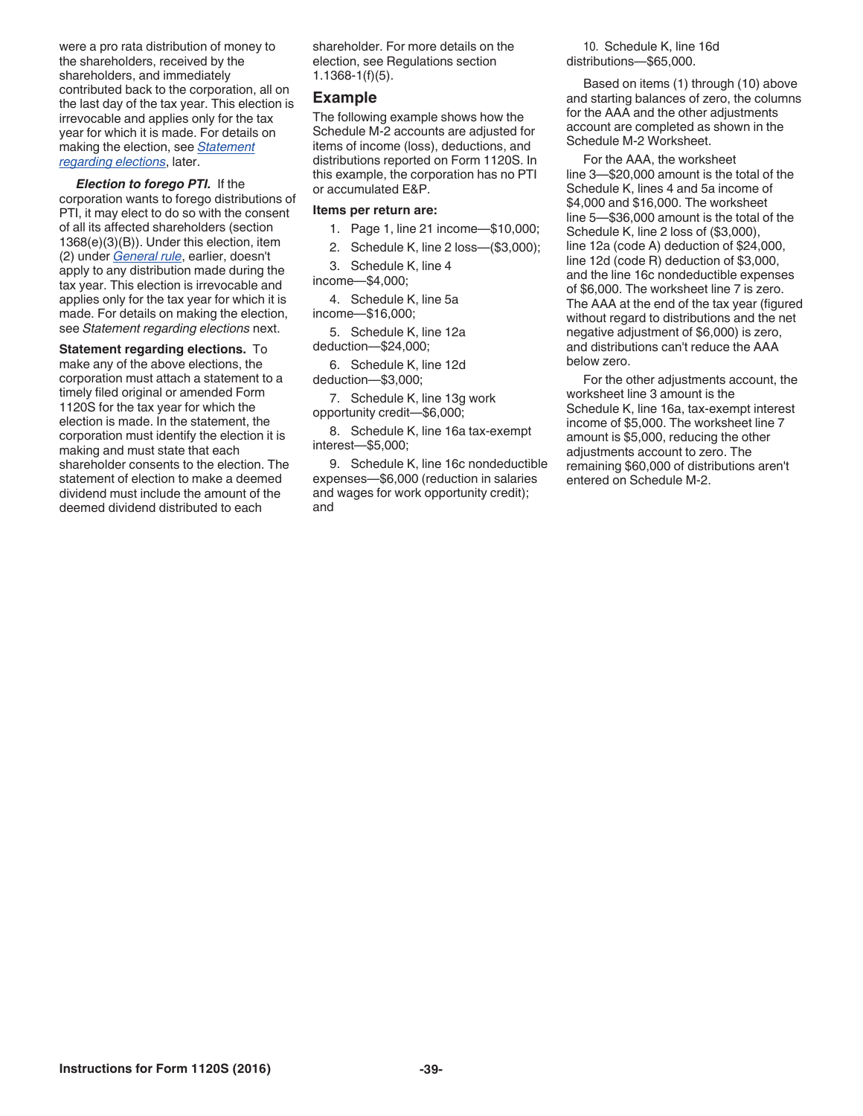<span id="page-38-0"></span>were a pro rata distribution of money to the shareholders, received by the shareholders, and immediately contributed back to the corporation, all on the last day of the tax year. This election is irrevocable and applies only for the tax year for which it is made. For details on making the election, see *Statement regarding elections*, later.

*Election to forego PTI.* If the

corporation wants to forego distributions of PTI, it may elect to do so with the consent of all its affected shareholders (section 1368(e)(3)(B)). Under this election, item (2) under *[General rule](#page-37-0)*, earlier, doesn't apply to any distribution made during the tax year. This election is irrevocable and applies only for the tax year for which it is made. For details on making the election, see *Statement regarding elections* next.

**Statement regarding elections.** To make any of the above elections, the corporation must attach a statement to a timely filed original or amended Form 1120S for the tax year for which the election is made. In the statement, the corporation must identify the election it is making and must state that each shareholder consents to the election. The statement of election to make a deemed dividend must include the amount of the deemed dividend distributed to each

shareholder. For more details on the election, see Regulations section 1.1368-1(f)(5).

### **Example**

The following example shows how the Schedule M-2 accounts are adjusted for items of income (loss), deductions, and distributions reported on Form 1120S. In this example, the corporation has no PTI or accumulated E&P.

#### **Items per return are:**

- 1. Page 1, line 21 income—\$10,000;
- 2. Schedule K, line 2 loss—(\$3,000);
- 3. Schedule K, line 4

income—\$4,000;

4. Schedule K, line 5a income—\$16,000;

5. Schedule K, line 12a deduction—\$24,000;

6. Schedule K, line 12d deduction—\$3,000;

7. Schedule K, line 13g work opportunity credit—\$6,000;

8. Schedule K, line 16a tax-exempt interest—\$5,000;

9. Schedule K, line 16c nondeductible expenses—\$6,000 (reduction in salaries and wages for work opportunity credit); and

10. Schedule K, line 16d distributions—\$65,000.

Based on items (1) through (10) above and starting balances of zero, the columns for the AAA and the other adjustments account are completed as shown in the Schedule M-2 Worksheet.

For the AAA, the worksheet line 3—\$20,000 amount is the total of the Schedule K, lines 4 and 5a income of \$4,000 and \$16,000. The worksheet line 5—\$36,000 amount is the total of the Schedule K, line 2 loss of (\$3,000), line 12a (code A) deduction of \$24,000, line 12d (code R) deduction of \$3,000, and the line 16c nondeductible expenses of \$6,000. The worksheet line 7 is zero. The AAA at the end of the tax year (figured without regard to distributions and the net negative adjustment of \$6,000) is zero, and distributions can't reduce the AAA below zero.

For the other adjustments account, the worksheet line 3 amount is the Schedule K, line 16a, tax-exempt interest income of \$5,000. The worksheet line 7 amount is \$5,000, reducing the other adjustments account to zero. The remaining \$60,000 of distributions aren't entered on Schedule M-2.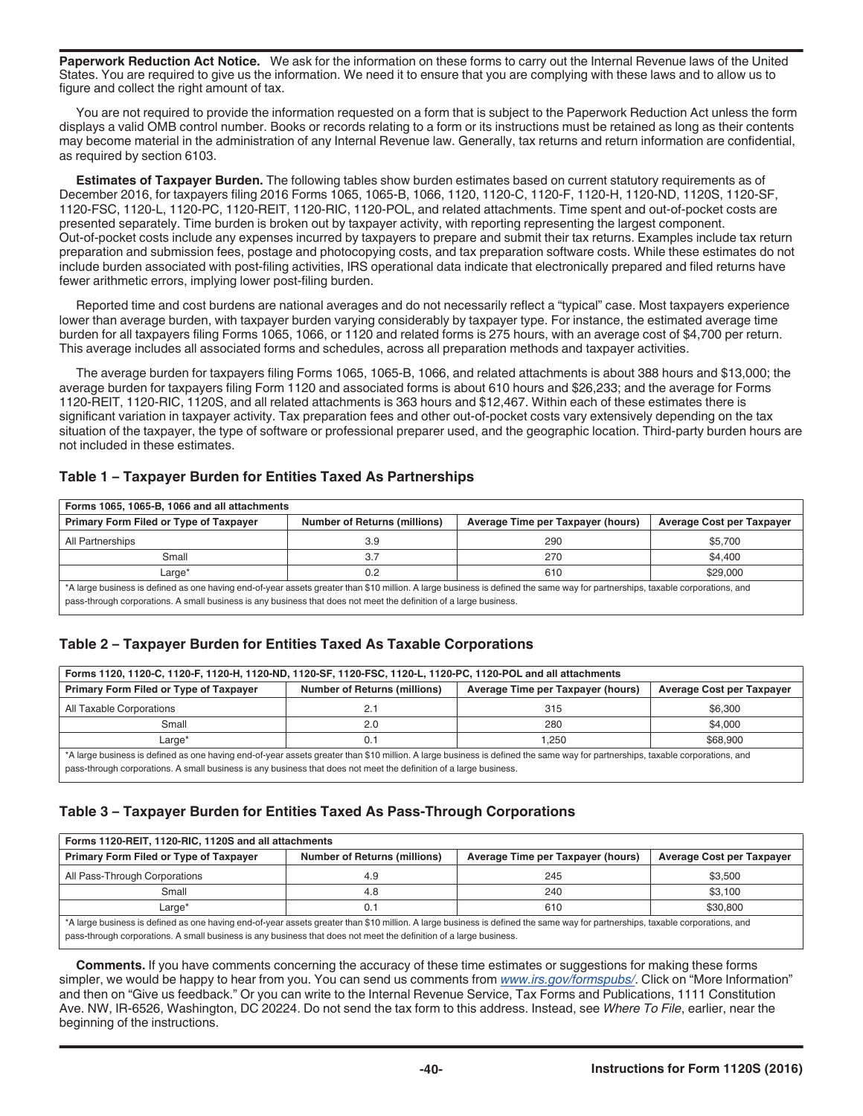**Paperwork Reduction Act Notice.** We ask for the information on these forms to carry out the Internal Revenue laws of the United States. You are required to give us the information. We need it to ensure that you are complying with these laws and to allow us to figure and collect the right amount of tax.

You are not required to provide the information requested on a form that is subject to the Paperwork Reduction Act unless the form displays a valid OMB control number. Books or records relating to a form or its instructions must be retained as long as their contents may become material in the administration of any Internal Revenue law. Generally, tax returns and return information are confidential, as required by section 6103.

**Estimates of Taxpayer Burden.** The following tables show burden estimates based on current statutory requirements as of December 2016, for taxpayers filing 2016 Forms 1065, 1065-B, 1066, 1120, 1120-C, 1120-F, 1120-H, 1120-ND, 1120S, 1120-SF, 1120-FSC, 1120-L, 1120-PC, 1120-REIT, 1120-RIC, 1120-POL, and related attachments. Time spent and out-of-pocket costs are presented separately. Time burden is broken out by taxpayer activity, with reporting representing the largest component. Out-of-pocket costs include any expenses incurred by taxpayers to prepare and submit their tax returns. Examples include tax return preparation and submission fees, postage and photocopying costs, and tax preparation software costs. While these estimates do not include burden associated with post-filing activities, IRS operational data indicate that electronically prepared and filed returns have fewer arithmetic errors, implying lower post-filing burden.

Reported time and cost burdens are national averages and do not necessarily reflect a "typical" case. Most taxpayers experience lower than average burden, with taxpayer burden varying considerably by taxpayer type. For instance, the estimated average time burden for all taxpayers filing Forms 1065, 1066, or 1120 and related forms is 275 hours, with an average cost of \$4,700 per return. This average includes all associated forms and schedules, across all preparation methods and taxpayer activities.

The average burden for taxpayers filing Forms 1065, 1065-B, 1066, and related attachments is about 388 hours and \$13,000; the average burden for taxpayers filing Form 1120 and associated forms is about 610 hours and \$26,233; and the average for Forms 1120-REIT, 1120-RIC, 1120S, and all related attachments is 363 hours and \$12,467. Within each of these estimates there is significant variation in taxpayer activity. Tax preparation fees and other out-of-pocket costs vary extensively depending on the tax situation of the taxpayer, the type of software or professional preparer used, and the geographic location. Third-party burden hours are not included in these estimates.

#### **Table 1 – Taxpayer Burden for Entities Taxed As Partnerships**

| Forms 1065, 1065-B, 1066 and all attachments                                                                                                                                  |                                     |                                   |                                  |  |
|-------------------------------------------------------------------------------------------------------------------------------------------------------------------------------|-------------------------------------|-----------------------------------|----------------------------------|--|
| <b>Primary Form Filed or Type of Taxpayer</b>                                                                                                                                 | <b>Number of Returns (millions)</b> | Average Time per Taxpayer (hours) | <b>Average Cost per Taxpayer</b> |  |
| All Partnerships                                                                                                                                                              | 3.9                                 | 290                               | \$5.700                          |  |
| Small                                                                                                                                                                         |                                     | 270                               | \$4,400                          |  |
| \$29,000<br>Large*<br>610<br>0.2                                                                                                                                              |                                     |                                   |                                  |  |
| *A large business is defined as one having end-of-year assets greater than \$10 million. A large business is defined the same way for partnerships, taxable corporations, and |                                     |                                   |                                  |  |

pass-through corporations. A small business is any business that does not meet the definition of a large business.

#### **Table 2 – Taxpayer Burden for Entities Taxed As Taxable Corporations**

| Forms 1120, 1120-C, 1120-F, 1120-H, 1120-ND, 1120-SF, 1120-FSC, 1120-L, 1120-PC, 1120-POL and all attachments                                                                                                                                                                                       |     |     |         |  |  |
|-----------------------------------------------------------------------------------------------------------------------------------------------------------------------------------------------------------------------------------------------------------------------------------------------------|-----|-----|---------|--|--|
| Primary Form Filed or Type of Taxpayer<br><b>Number of Returns (millions)</b><br>Average Time per Taxpayer (hours)<br><b>Average Cost per Taxpayer</b>                                                                                                                                              |     |     |         |  |  |
| All Taxable Corporations                                                                                                                                                                                                                                                                            | 2.1 | 315 | \$6,300 |  |  |
| Small                                                                                                                                                                                                                                                                                               | 2.0 | 280 | \$4.000 |  |  |
| \$68,900<br>Large*<br>1.250<br>0.1                                                                                                                                                                                                                                                                  |     |     |         |  |  |
| *A large business is defined as one having end-of-year assets greater than \$10 million. A large business is defined the same way for partnerships, taxable corporations, and<br>pass-through corporations. A small business is any business that does not meet the definition of a large business. |     |     |         |  |  |

### Table 3 - Taxpayer Burden for Entities Taxed As Pass-Through Corporations

| Forms 1120-REIT, 1120-RIC, 1120S and all attachments                                                                                                                                                                                                                                                |                                     |                                   |                                  |  |
|-----------------------------------------------------------------------------------------------------------------------------------------------------------------------------------------------------------------------------------------------------------------------------------------------------|-------------------------------------|-----------------------------------|----------------------------------|--|
| Primary Form Filed or Type of Taxpayer                                                                                                                                                                                                                                                              | <b>Number of Returns (millions)</b> | Average Time per Taxpayer (hours) | <b>Average Cost per Taxpayer</b> |  |
| All Pass-Through Corporations                                                                                                                                                                                                                                                                       | 4.9                                 | 245                               | \$3.500                          |  |
| Small                                                                                                                                                                                                                                                                                               | 4.8                                 | 240                               | \$3.100                          |  |
| Large*                                                                                                                                                                                                                                                                                              | 0.1                                 | 610                               | \$30,800                         |  |
| *A large business is defined as one having end-of-year assets greater than \$10 million. A large business is defined the same way for partnerships, taxable corporations, and<br>pass-through corporations. A small business is any business that does not meet the definition of a large business. |                                     |                                   |                                  |  |

**Comments.** If you have comments concerning the accuracy of these time estimates or suggestions for making these forms simpler, we would be happy to hear from you. You can send us comments from *[www.irs.gov/formspubs/](https://www.irs.gov/forms-pubs/)*. Click on "More Information" and then on "Give us feedback." Or you can write to the Internal Revenue Service, Tax Forms and Publications, 1111 Constitution Ave. NW, IR-6526, Washington, DC 20224. Do not send the tax form to this address. Instead, see *Where To File*, earlier, near the beginning of the instructions.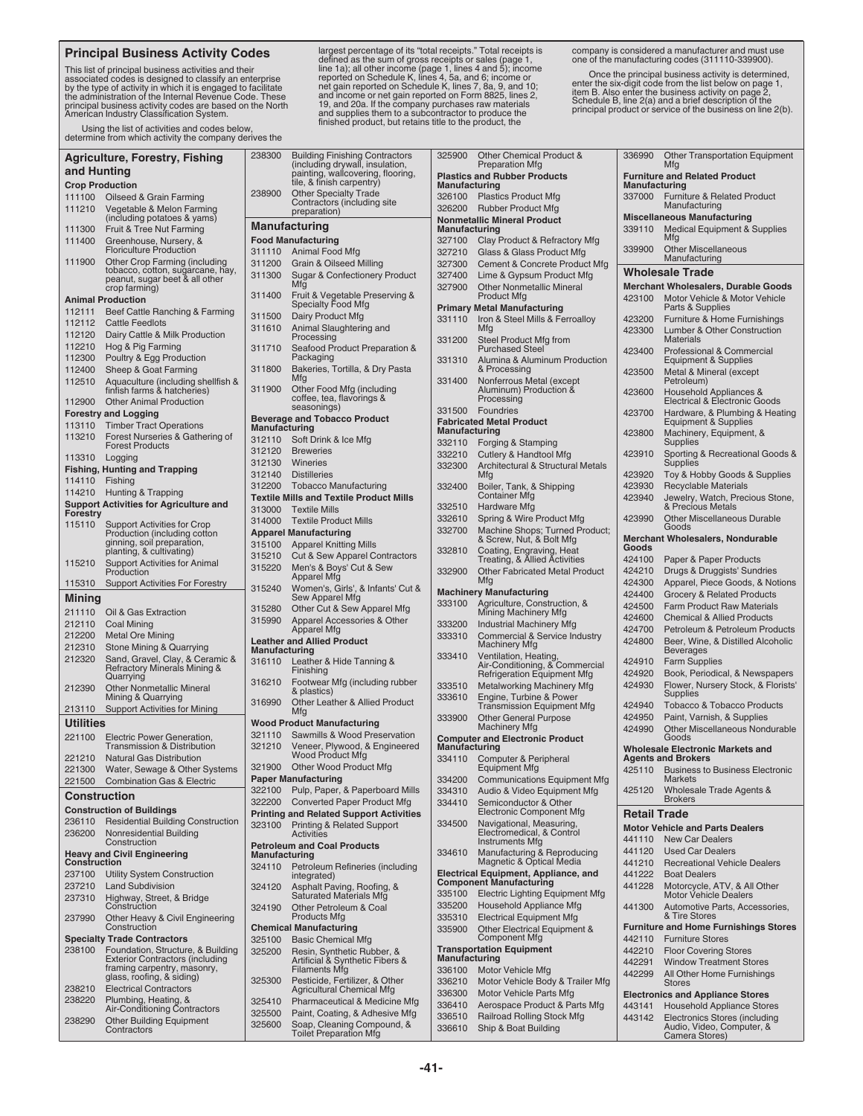#### <span id="page-40-0"></span>**Principal Business Activity Codes**

This list of principal business activities and their<br>associated codes is designed to classify an enterprise<br>by the type of activity in which it is engaged to facilitate<br>the administration of the Internal Revenue Code. Thes

Using the list of activities and codes below, determine from which activity the company derives the

largest percentage of its "total receipts." Total receipts is<br>defined as the sum of gross receipts or sales (page 1,<br>line 1a); all other income (page 1, lines 4 and 5); income<br>reported on Schedule K, lines 4, 5a, and 6; in

company is considered a manufacturer and must use one of the manufacturing codes (311110-339900).

Once the principal business activity is determined,<br>enter the six-digit code from the list below on page 1,<br>tiem B. Also enter the business activity on page 1,<br>Schedule B, line 2(a) and a brief description of the<br>principal

|                        | <b>Agriculture, Forestry, Fishing</b>                                   | 238300                  | Building Finishing Contractors<br>(including drywall, insulation,                      |
|------------------------|-------------------------------------------------------------------------|-------------------------|----------------------------------------------------------------------------------------|
| and Hunting            |                                                                         |                         | painting, wallcovering, flooring,                                                      |
| <b>Crop Production</b> |                                                                         | 238900                  | tile, & finish carpentry)                                                              |
| 111100                 | Oilseed & Grain Farming                                                 |                         | <b>Other Specialty Trade</b><br>Contractors (including site                            |
| 111210                 | Vegetable & Melon Farming<br>(including potatoes & yams)                |                         | preparation)                                                                           |
| 111300                 | Fruit & Tree Nut Farming                                                |                         | Manufacturing                                                                          |
| 111400                 | Greenhouse, Nursery, &                                                  |                         | <b>Food Manufacturing</b>                                                              |
|                        | <b>Floriculture Production</b>                                          | 311110                  | Animal Food Mfg                                                                        |
| 111900                 | Other Crop Farming (including<br>tobacco, cotton, sugarcane, hay,       | 311200                  | Grain & Oilseed Milling                                                                |
|                        | peanut, sugar beet & all other                                          | 311300                  | Sugar & Confectionery Product<br>Mfg                                                   |
|                        | crop farming)<br><b>Animal Production</b>                               | 311400                  | Fruit & Vegetable Preserving &                                                         |
| 112111                 | Beef Cattle Ranching & Farming                                          |                         | Specialty Food Mfg                                                                     |
| 112112                 | <b>Cattle Feedlots</b>                                                  | 311500                  | Dairy Product Mfg                                                                      |
| 112120                 | Dairy Cattle & Milk Production                                          | 311610                  | Animal Slaughtering and<br>Processing                                                  |
| 112210                 | Hog & Pig Farming                                                       | 311710                  | Seafood Product Preparation &<br>Packaging                                             |
| 112300                 | Poultry & Egg Production                                                |                         |                                                                                        |
| 112400<br>112510       | Sheep & Goat Farming                                                    | 311800                  | Bakeries, Tortilla, & Dry Pasta<br>Mtg                                                 |
|                        | Aquaculture (including shellfish &<br>finfish farms & hatcheries)       | 311900                  | Other Food Mfg (including                                                              |
| 112900                 | <b>Other Animal Production</b>                                          |                         | coffee, tea, flavorings &<br>seasonings)                                               |
|                        | <b>Forestry and Logging</b>                                             |                         | <b>Beverage and Tobacco Product</b>                                                    |
| 113110                 | <b>Timber Tract Operations</b>                                          | <b>Manufacturing</b>    |                                                                                        |
| 113210                 | Forest Nurseries & Gathering of<br><b>Forest Products</b>               | 312110                  | Soft Drink & Ice Mfg                                                                   |
| 113310                 | Logging                                                                 | 312120                  | <b>Breweries</b>                                                                       |
|                        | <b>Fishing, Hunting and Trapping</b>                                    | 312130<br>312140        | Wineries<br><b>Distilleries</b>                                                        |
| 114110                 | Fishing                                                                 | 312200                  | <b>Tobacco Manufacturing</b>                                                           |
| 114210                 | Hunting & Trapping                                                      |                         | <b>Textile Mills and Textile Product Mills</b>                                         |
| <b>Forestry</b>        | <b>Support Activities for Agriculture and</b>                           | 313000                  | <b>Textile Mills</b>                                                                   |
| 115110                 | Support Activities for Crop                                             | 314000                  | <b>Textile Product Mills</b>                                                           |
|                        | Production (including cotton                                            |                         | <b>Apparel Manufacturing</b>                                                           |
|                        | ginning, soil preparation,<br>planting, & cultivating)                  | 315100                  | <b>Apparel Knitting Mills</b>                                                          |
| 115210                 | Support Activities for Animal                                           | 315210                  | Cut & Sew Apparel Contractors                                                          |
|                        | Production                                                              | 315220                  | Men's & Boys' Cut & Sew<br>Apparel Mfg                                                 |
| 115310                 | <b>Support Activities For Forestry</b>                                  | 315240                  | Women's, Girls', & Infants' Cut δ                                                      |
| Mining                 |                                                                         |                         | Sew Apparel Mfg                                                                        |
| 211110                 | Oil & Gas Extraction                                                    | 315280<br>315990        | Other Cut & Sew Apparel Mfg<br>Apparel Accessories & Other                             |
| 212110                 | Coal Mining                                                             |                         | <b>Apparel Mfg</b>                                                                     |
| 212200<br>212310       | <b>Metal Ore Mining</b><br>Stone Mining & Quarrying                     |                         | <b>Leather and Allied Product</b>                                                      |
| 212320                 | Sand, Gravel, Clay, & Ceramic &                                         | Manufacturing<br>316110 | Leather & Hide Tanning &                                                               |
|                        | Refractory Minerals Mining &                                            |                         | Finishing                                                                              |
| 212390                 | Quarrying<br><b>Other Nonmetallic Mineral</b>                           | 316210                  | Footwear Mfg (including rubber                                                         |
|                        | Mining & Quarrying                                                      |                         | & plastics)                                                                            |
| 213110                 | <b>Support Activities for Mining</b>                                    | 316990                  | Other Leather & Allied Product<br>Mfg                                                  |
| Utilities              |                                                                         |                         |                                                                                        |
| 221100                 |                                                                         |                         | <b>Wood Product Manufacturing</b>                                                      |
|                        | Electric Power Generation,                                              | 321110                  | Sawmills & Wood Preservation                                                           |
|                        | <b>Transmission &amp; Distribution</b>                                  | 321210                  | Veneer, Plywood, & Engineered                                                          |
| 221210                 | <b>Natural Gas Distribution</b>                                         |                         | Wood Product Mfg                                                                       |
| 221300                 | Water, Sewage & Other Systems                                           | 321900                  | Other Wood Product Mfg                                                                 |
| 221500                 | <b>Combination Gas &amp; Electric</b>                                   | 322100                  | <b>Paper Manufacturing</b><br>Pulp, Paper, & Paperboard Mills                          |
| <b>Construction</b>    |                                                                         | 322200                  | <b>Converted Paper Product Mfg</b>                                                     |
|                        | <b>Construction of Buildings</b>                                        |                         | <b>Printing and Related Support Activities</b>                                         |
| 236110                 | <b>Residential Building Construction</b>                                | 323100                  | <b>Printing &amp; Related Support</b>                                                  |
| 236200                 | Nonresidential Building<br>Construction                                 |                         | <b>Activities</b><br><b>Petroleum and Coal Products</b>                                |
|                        | <b>Heavy and Civil Engineering</b>                                      | Manufacturing           |                                                                                        |
| Construction           |                                                                         | 324110                  | Petroleum Refineries (including                                                        |
| 237100<br>237210       | Utility System Construction<br><b>Land Subdivision</b>                  |                         | integrated)                                                                            |
| 237310                 | Highway, Street, & Bridge                                               | 324120                  | Asphalt Paving, Roofing, &<br>Saturated Materials Mfg                                  |
|                        | Construction                                                            | 324190                  | Other Petroleum & Coal                                                                 |
| 237990                 | Other Heavy & Civil Engineering                                         |                         | Products Mfg                                                                           |
|                        | Construction                                                            | 325100                  | <b>Chemical Manufacturing</b>                                                          |
| 238100                 | <b>Specialty Trade Contractors</b><br>Foundation, Structure, & Building | 325200                  | <b>Basic Chemical Mfg</b><br>Resin, Synthetic Rubber, &                                |
|                        | <b>Exterior Contractors (including</b>                                  |                         | Artificial & Synthetic Fibers &                                                        |
|                        | framing carpentry, masonry,<br>glass, roofing, & siding)                |                         | <b>Filaments Mfg</b>                                                                   |
| 238210                 | <b>Electrical Contractors</b>                                           | 325300                  | Pesticide, Fertilizer, & Other<br>Agricultural Chemical Mfg                            |
| 238220                 | Plumbing, Heating, &                                                    | 325410                  | Pharmaceutical & Medicine Mfg                                                          |
| 238290                 | Air-Conditioning Contractors<br><b>Other Building Equipment</b>         | 325500<br>325600        | Paint, Coating, & Adhesive Mfg<br>Soap, Cleaning Compound, &<br>Toilet Preparation Mfg |

|                  | painting, wallcovering, flooring,<br>tile, & finish carpentry)                 | F<br>N |
|------------------|--------------------------------------------------------------------------------|--------|
| 238900           | <b>Other Specialty Trade</b>                                                   | 3      |
|                  | Contractors (including site<br>preparation)                                    | 3      |
|                  | Manufacturing                                                                  | N<br>V |
|                  | <b>Food Manufacturing</b>                                                      | 3      |
| 311110           | Animal Food Mfg                                                                | 3      |
| 311200           | Grain & Oilseed Milling                                                        | 3      |
| 311300           | <b>Sugar &amp; Confectionery Product</b><br>Mfg                                | 3<br>3 |
| 311400           | Fruit & Vegetable Preserving &<br>Specialty Food Mfg                           | F      |
| 311500           | Dairy Product Mfg                                                              | 3      |
| 311610           | Animal Slaughtering and<br>Processing                                          | 3      |
| 311710           | Seafood Product Preparation &<br>Packaging                                     | 3      |
| 311800           | Bakeries, Tortilla, & Dry Pasta<br>Mfg                                         | 3      |
| 311900           | Other Food Mfg (including<br>coffee, tea, flavorings &<br>seasonings)          | 3      |
| Manufacturing    | <b>Beverage and Tobacco Product</b>                                            | F      |
| 312110           | Soft Drink & Ice Mfg                                                           | N      |
| 312120           | <b>Breweries</b>                                                               | 3      |
| 312130           | Wineries                                                                       | 3<br>3 |
| 312140           | <b>Distilleries</b>                                                            |        |
| 312200           | <b>Tobacco Manufacturing</b>                                                   | 3      |
|                  | <b>Textile Mills and Textile Product Mills</b>                                 |        |
| 313000           | <b>Textile Mills</b>                                                           | 3      |
| 314000           | <b>Textile Product Mills</b>                                                   | 3<br>3 |
|                  | <b>Apparel Manufacturing</b>                                                   |        |
| 315100<br>315210 | <b>Apparel Knitting Mills</b><br><b>Cut &amp; Sew Apparel Contractors</b>      | 3      |
| 315220           | Men's & Boys' Cut & Sew<br><b>Apparel Mfg</b>                                  | 3      |
| 315240           | Women's, Girls', & Infants' Cut &<br>Sew Apparel Mfg                           | N      |
| 315280           | Other Cut & Sew Apparel Mfg                                                    | 3      |
| 315990           | Apparel Accessories & Other<br>Apparel Mfg                                     | 3      |
| Manufacturing    | <b>Leather and Allied Product</b>                                              | 3      |
| 316110           | Leather & Hide Tanning &<br>Finishing                                          | 3      |
| 316210           | Footwear Mfg (including rubber<br>& plastics)                                  | 3<br>3 |
| 316990           | Other Leather & Allied Product<br>Mfg                                          | 3      |
|                  | <b>Wood Product Manufacturing</b>                                              |        |
| 321110           | <b>Sawmills &amp; Wood Preservation</b>                                        | C      |
| 321210           | Veneer, Plywood, & Engineered<br>Wood Product Mfg                              | N<br>3 |
| 321900           | Other Wood Product Mfg<br><b>Paper Manufacturing</b>                           | 3      |
| 322100           | Pulp, Paper, & Paperboard Mills                                                | 3      |
| 322200           | <b>Converted Paper Product Mfg</b>                                             | 3      |
|                  | Printing and Related Support Activities                                        |        |
| 323100           | <b>Printing &amp; Related Support</b><br>Activities                            | 3      |
| Manufacturing    | <b>Petroleum and Coal Products</b>                                             | 3      |
| 324110           | Petroleum Refineries (including<br>integrated)                                 | Е      |
| 324120           | Asphalt Paving, Roofing, &<br>Saturated Materials Mfg                          | C<br>3 |
| 324190           | Other Petroleum & Coal<br>Products Mfg                                         | 3<br>3 |
|                  | <b>Chemical Manufacturing</b>                                                  | 3      |
| 325100           | <b>Basic Chemical Mfg</b>                                                      |        |
| 325200           | Resin, Synthetic Rubber, &<br>Artificial & Synthetic Fibers &<br>Filaments Mfg | T<br>V |
| 325300           | Pesticide, Fertilizer, & Other<br><b>Agricultural Chemical Mfg</b>             | 3<br>3 |
| 325410           | Pharmaceutical & Medicine Mfg                                                  | 3      |
| 325500           | Paint, Coating, & Adhesive Mfg                                                 | 3<br>3 |

| 325900                  | Other Chemical Product &<br><b>Preparation Mfg</b>                     | 336990                         | <b>Other Transportation Equipment</b><br>Mfg                                        |
|-------------------------|------------------------------------------------------------------------|--------------------------------|-------------------------------------------------------------------------------------|
|                         | <b>Plastics and Rubber Products</b>                                    |                                | <b>Furniture and Related Product</b>                                                |
| Manufacturing<br>326100 |                                                                        | <b>Manufacturing</b><br>337000 |                                                                                     |
| 326200                  | <b>Plastics Product Mfg</b><br><b>Rubber Product Mfg</b>               |                                | <b>Furniture &amp; Related Product</b><br>Manufacturing                             |
|                         | <b>Nonmetallic Mineral Product</b>                                     |                                | <b>Miscellaneous Manufacturing</b>                                                  |
| Manufacturing           |                                                                        | 339110                         | Medical Equipment & Supplies<br>Mfg                                                 |
| 327100<br>327210        | Clay Product & Refractory Mfg<br>Glass & Glass Product Mfg             | 339900                         | <b>Other Miscellaneous</b>                                                          |
| 327300                  | Cement & Concrete Product Mfg                                          |                                | Manufacturing                                                                       |
| 327400                  | Lime & Gypsum Product Mfg                                              |                                | <b>Wholesale Trade</b>                                                              |
| 327900                  | <b>Other Nonmetallic Mineral</b><br>Product Mfg                        |                                | <b>Merchant Wholesalers, Durable Goods</b>                                          |
|                         | <b>Primary Metal Manufacturing</b>                                     | 423100                         | Motor Vehicle & Motor Vehicle<br>Parts & Supplies                                   |
| 331110                  | Iron & Steel Mills & Ferroalloy                                        | 423200                         | Furniture & Home Furnishings                                                        |
| 331200                  | Mfg<br>Steel Product Mfg from                                          | 423300                         | Lumber & Other Construction<br><b>Materials</b>                                     |
| 331310                  | <b>Purchased Steel</b><br>Alumina & Aluminum Production                | 423400                         | Professional & Commercial<br>Equipment & Supplies                                   |
|                         | & Processing                                                           | 423500                         | Metal & Mineral (except                                                             |
| 331400                  | Nonferrous Metal (except<br>Aluminum) Production &<br>Processing       | 423600                         | Petroleum)<br>Household Appliances &<br>Electrical & Electronic Goods               |
| 331500                  | Foundries                                                              | 423700                         | Hardware, & Plumbing & Heating                                                      |
| <b>Manufacturing</b>    | <b>Fabricated Metal Product</b>                                        | 423800                         | Equipment & Supplies<br>Machinery, Equipment, &                                     |
| 332110                  | Forging & Stamping                                                     |                                | Supplies                                                                            |
| 332210                  | Cutlery & Handtool Mfg                                                 | 423910                         | Sporting & Recreational Goods &<br>Supplies                                         |
| 332300                  | <b>Architectural &amp; Structural Metals</b><br>Mfg                    | 423920                         | Toy & Hobby Goods & Supplies                                                        |
| 332400                  | Boiler, Tank, & Shipping                                               | 423930                         | <b>Recyclable Materials</b>                                                         |
| 332510                  | <b>Container Mfg</b><br>Hardware Mfg                                   | 423940                         | Jewelry, Watch, Precious Stone,<br>& Precious Metals                                |
| 332610                  | Spring & Wire Product Mfg                                              | 423990                         | <b>Other Miscellaneous Durable</b>                                                  |
| 332700                  | Machine Shops; Turned Product;                                         |                                | Goods                                                                               |
| 332810                  | & Screw, Nut, & Bolt Mfg<br>Coating, Engraving, Heat                   | Goods                          | <b>Merchant Wholesalers, Nondurable</b>                                             |
|                         | Treating, & Allied Activities                                          | 424100                         | Paper & Paper Products                                                              |
| 332900                  | <b>Other Fabricated Metal Product</b><br>Mfg                           | 424210                         | Drugs & Druggists' Sundries                                                         |
|                         | <b>Machinery Manufacturing</b>                                         | 424300<br>424400               | Apparel, Piece Goods, & Notions<br>Grocery & Related Products                       |
| 333100                  | Agriculture, Construction, &                                           | 424500                         | <b>Farm Product Raw Materials</b>                                                   |
| 333200                  | Mining Machinery Mfg<br>Industrial Machinery Mfg                       | 424600                         | <b>Chemical &amp; Allied Products</b>                                               |
| 333310                  | Commercial & Service Industry                                          | 424700<br>424800               | Petroleum & Petroleum Products<br>Beer, Wine, & Distilled Alcoholic                 |
| 333410                  | Machinery Mfg<br>Ventilation, Heating,                                 |                                | <b>Beverages</b>                                                                    |
|                         | Air-Conditioning, & Commercial                                         | 424910<br>424920               | <b>Farm Supplies</b><br>Book, Periodical, & Newspapers                              |
| 333510                  | Refrigeration Equipment Mfg<br>Metalworking Machinery Mfg              | 424930                         | Flower, Nursery Stock, & Florists'                                                  |
| 333610                  | Engine, Turbine & Power                                                |                                | <b>Supplies</b>                                                                     |
| 333900                  | Transmission Equipment Mfg<br><b>Other General Purpose</b>             | 424940<br>424950               | <b>Tobacco &amp; Tobacco Products</b><br>Paint, Varnish, & Supplies                 |
|                         | Machinery Mfg                                                          | 424990                         | <b>Other Miscellaneous Nondurable</b>                                               |
| Manufacturing           | <b>Computer and Electronic Product</b>                                 |                                | Goods                                                                               |
| 334110                  | Computer & Peripheral                                                  |                                | <b>Wholesale Electronic Markets and</b><br><b>Agents and Brokers</b>                |
|                         | Equipment Mfg                                                          | 425110                         | <b>Business to Business Electronic</b>                                              |
| 334200<br>334310        | <b>Communications Equipment Mfg</b><br>Audio & Video Equipment Mfg     | 425120                         | <b>Markets</b><br>Wholesale Trade Agents &                                          |
| 334410                  | Semiconductor & Other                                                  |                                | <b>Brokers</b>                                                                      |
|                         | Electronic Component Mfg                                               | <b>Retail Trade</b>            |                                                                                     |
| 334500                  | Navigational, Measuring,<br>Electromedical, & Control                  | 441110                         | <b>Motor Vehicle and Parts Dealers</b>                                              |
| 334610                  | Instruments Mfg<br>Manufacturing & Reproducing                         | 441120                         | <b>New Car Dealers</b><br><b>Used Car Dealers</b>                                   |
|                         | Magnetic & Optical Media                                               | 441210                         | <b>Recreational Vehicle Dealers</b>                                                 |
|                         | Electrical Equipment, Appliance, and<br><b>Component Manufacturing</b> | 441222                         | <b>Boat Dealers</b>                                                                 |
| 335100                  | Electric Lighting Equipment Mfg                                        | 441228                         | Motorcycle, ATV, & All Other<br><b>Motor Vehicle Dealers</b>                        |
| 335200                  | Household Appliance Mfg                                                | 441300                         | Automotive Parts, Accessories,                                                      |
| 335310                  | Electrical Equipment Mfg                                               |                                | & Tire Stores                                                                       |
| 335900                  | Other Electrical Equipment &<br>Component Mfg                          | 442110                         | <b>Furniture and Home Furnishings Stores</b><br><b>Furniture Stores</b>             |
|                         | <b>Transportation Equipment</b>                                        | 442210                         | <b>Floor Covering Stores</b>                                                        |
| Manufacturing<br>336100 | Motor Vehicle Mfg                                                      | 442291                         | <b>Window Treatment Stores</b>                                                      |
| 336210                  | Motor Vehicle Body & Trailer Mfg                                       | 442299                         | All Other Home Furnishings<br><b>Stores</b>                                         |
| 336300                  | Motor Vehicle Parts Mfg                                                |                                | <b>Electronics and Appliance Stores</b>                                             |
| 336410                  | Aerospace Product & Parts Mfg                                          | 443141                         | <b>Household Appliance Stores</b>                                                   |
| 336510<br>336610        | Railroad Rolling Stock Mfg<br>Ship & Boat Building                     | 443142                         | <b>Electronics Stores (including</b><br>Audio, Video, Computer, &<br>Camera Stores) |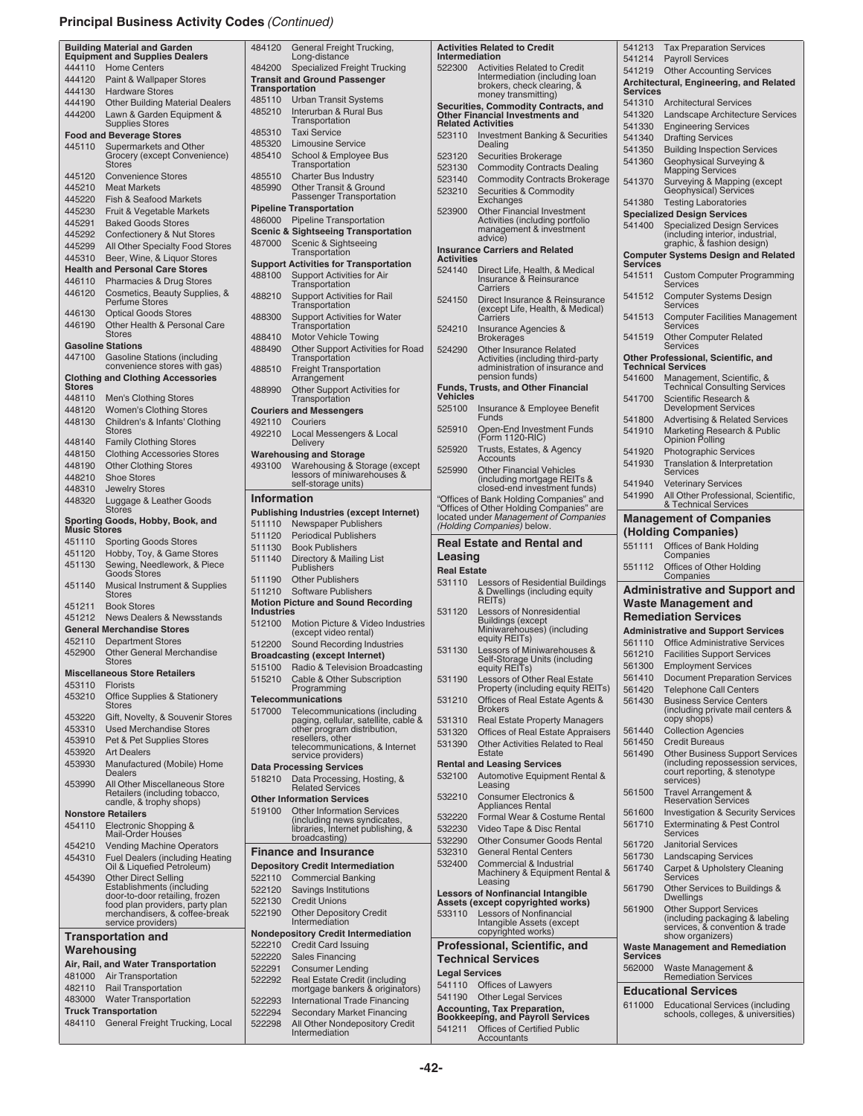#### **Principal Business Activity Codes** *(Continued)*

|                  | <b>Building Material and Garden</b>                                                    | 48412                 |
|------------------|----------------------------------------------------------------------------------------|-----------------------|
| 444110           | <b>Equipment and Supplies Dealers</b><br><b>Home Centers</b>                           | 48420                 |
| 444120           | Paint & Wallpaper Stores                                                               | <b>Trans</b>          |
| 444130           | <b>Hardware Stores</b>                                                                 | <b>Trans</b>          |
| 444190           | <b>Other Building Material Dealers</b>                                                 | 48511                 |
| 444200           | Lawn & Garden Equipment &                                                              | 48521                 |
|                  | <b>Supplies Stores</b>                                                                 | 48531                 |
|                  | <b>Food and Beverage Stores</b>                                                        | 48532                 |
| 445110           | Supermarkets and Other<br>Grocery (except Convenience)                                 | 48541                 |
|                  | Stores                                                                                 |                       |
| 445120           | <b>Convenience Stores</b>                                                              | 48551                 |
| 445210           | <b>Meat Markets</b>                                                                    | 48599                 |
| 445220           | Fish & Seafood Markets                                                                 |                       |
| 445230           | Fruit & Vegetable Markets                                                              | Pipeli<br>48600       |
| 445291           | <b>Baked Goods Stores</b>                                                              | Sceni                 |
| 445292           | Confectionery & Nut Stores                                                             | 48700                 |
| 445299<br>445310 | All Other Specialty Food Stores<br>Beer, Wine, & Liquor Stores                         |                       |
|                  | <b>Health and Personal Care Stores</b>                                                 | Suppo                 |
| 446110           | <b>Pharmacies &amp; Drug Stores</b>                                                    | 48810                 |
| 446120           |                                                                                        | 48821                 |
|                  | Cosmetics, Beauty Supplies, &<br>Perfume Stores                                        |                       |
| 446130           | <b>Optical Goods Stores</b>                                                            | 48830                 |
| 446190           | Other Health & Personal Care                                                           |                       |
|                  | <b>Stores</b><br><b>Gasoline Stations</b>                                              | 48841                 |
| 447100           |                                                                                        | 48849                 |
|                  | Gasoline Stations (including<br>convenience stores with gas)                           | 48851                 |
|                  | <b>Clothing and Clothing Accessories</b>                                               |                       |
| <b>Stores</b>    |                                                                                        | 48899                 |
| 448110           | Men's Clothing Stores                                                                  |                       |
| 448120           | <b>Women's Clothing Stores</b>                                                         | Courie                |
| 448130           | Children's & Infants' Clothing<br><b>Stores</b>                                        | 49211                 |
| 448140           | <b>Family Clothing Stores</b>                                                          | 49221                 |
| 448150           | <b>Clothing Accessories Stores</b>                                                     | Wareh                 |
| 448190           | <b>Other Clothing Stores</b>                                                           | 49310                 |
| 448210           | <b>Shoe Stores</b>                                                                     |                       |
| 448310           | <b>Jewelry Stores</b>                                                                  |                       |
| 448320           | Luggage & Leather Goods                                                                | <b>Infor</b>          |
|                  | <b>Stores</b>                                                                          | <b>Publis</b>         |
|                  | Sporting Goods, Hobby, Book, and<br>Music Stores                                       | 51111                 |
| 451110           | <b>Sporting Goods Stores</b>                                                           | 51112                 |
| 451120           | Hobby, Toy, & Game Stores                                                              | 51113                 |
| 451130           |                                                                                        | 51114                 |
|                  | Sewing, Needlework, & Piece<br>Goods Stores                                            | 51119                 |
| 451140           | <b>Musical Instrument &amp; Supplies</b><br><b>Stores</b>                              | 51121                 |
| 451211           | <b>Book Stores</b>                                                                     | <b>Motio</b>          |
| 451212           | <b>News Dealers &amp; Newsstands</b>                                                   | Indust                |
|                  | <b>General Merchandise Stores</b>                                                      | 51210                 |
| 452110           | <b>Department Stores</b>                                                               |                       |
| 452900           | <b>Other General Merchandise</b>                                                       | 51220<br><b>Broad</b> |
|                  | <b>Stores</b>                                                                          | 51510                 |
|                  | <b>Miscellaneous Store Retailers</b>                                                   | 51521                 |
| 453110           | <b>Florists</b>                                                                        |                       |
| 453210           | <b>Office Supplies &amp; Stationery</b>                                                | Teleco                |
| 453220           | Stores<br>Gift, Novelty, & Souvenir Stores                                             | 51700                 |
| 453310           | <b>Used Merchandise Stores</b>                                                         |                       |
| 453910           | Pet & Pet Supplies Stores                                                              |                       |
| 453920           | <b>Art Dealers</b>                                                                     |                       |
| 453930           | Manufactured (Mobile) Home                                                             | Data F                |
|                  | <b>Dealers</b>                                                                         | 51821                 |
| 453990           | All Other Miscellaneous Store                                                          |                       |
|                  | Retailers (including tobacco,<br>candle, & trophy shops)                               | Other                 |
|                  | <b>Nonstore Retailers</b>                                                              | 51910                 |
| 454110           |                                                                                        |                       |
|                  | Electronic Shopping &<br>Mail-Order Houses                                             |                       |
| 454210           | <b>Vending Machine Operators</b>                                                       | Finar                 |
| 454310           |                                                                                        |                       |
|                  | <b>Fuel Dealers (including Heating</b>                                                 |                       |
|                  | Oil & Liquefied Petroleum)                                                             | <b>Depos</b>          |
| 454390           | <b>Other Direct Selling</b><br>Establishments (including                               | 52211                 |
|                  | door-to-door retailing, frozen                                                         | 52212                 |
|                  |                                                                                        | 52213                 |
|                  | food plan providers, party plan<br>merchandisers, & coffee-break<br>service providers) | 52219                 |
|                  |                                                                                        | Nonde                 |
|                  | <b>Transportation and</b>                                                              | 52221                 |
| Warehousing      |                                                                                        | 52222                 |
|                  | Air, Rail, and Water Transportation                                                    | 52229                 |
| 481000           | Air Transportation                                                                     | 52229                 |
| 482110           | <b>Rail Transportation</b>                                                             |                       |
| 483000           | <b>Water Transportation</b><br><b>Truck Transportation</b>                             | 52229<br>52229        |

| 484120                | General Freight Trucking,                                                      | Activ          |
|-----------------------|--------------------------------------------------------------------------------|----------------|
|                       | Long-distance                                                                  | Inter          |
| 484200                | <b>Specialized Freight Trucking</b><br><b>Transit and Ground Passenger</b>     | 5223           |
| <b>Transportation</b> |                                                                                |                |
| 485110                | <b>Urban Transit Systems</b>                                                   | Secu           |
| 485210                | Interurban & Rural Bus<br>Transportation                                       | Othe<br>Relat  |
| 485310                | <b>Taxi Service</b>                                                            | 5231           |
| 485320                | <b>Limousine Service</b>                                                       |                |
| 485410                | School & Employee Bus<br>Transportation                                        | 5231<br>5231   |
| 485510                | <b>Charter Bus Industry</b>                                                    | 5231           |
| 485990                | Other Transit & Ground                                                         | 5232           |
|                       | <b>Passenger Transportation</b><br><b>Pipeline Transportation</b>              |                |
| 486000                | <b>Pipeline Transportation</b>                                                 | 5239           |
|                       | <b>Scenic &amp; Sightseeing Transportation</b>                                 |                |
| 487000                | Scenic & Sightseeing<br>Transportation                                         | Insuı          |
|                       | <b>Support Activities for Transportation</b>                                   | Activ          |
| 488100                | <b>Support Activities for Air</b>                                              | 5241           |
| 488210                | Transportation<br><b>Support Activities for Rail</b>                           |                |
|                       | Transportation                                                                 | 5241           |
| 488300                | <b>Support Activities for Water</b><br>Transportation                          |                |
| 488410                | <b>Motor Vehicle Towing</b>                                                    | 5242           |
| 488490                | Other Support Activities for Road                                              | 5242           |
| 488510                | Transportation<br><b>Freight Transportation</b>                                |                |
|                       | Arrangement                                                                    |                |
| 488990                | Other Support Activities for<br>Transportation                                 | Fund<br>Vehi   |
|                       | <b>Couriers and Messengers</b>                                                 | 5251           |
| 492110                | Couriers                                                                       |                |
| 492210                | Local Messengers & Local                                                       | 5259           |
|                       | Delivery<br><b>Warehousing and Storage</b>                                     | 5259           |
| 493100                | Warehousing & Storage (except                                                  | 5259           |
|                       | lessors of miniwarehouses &<br>self-storage units)                             |                |
| Information           |                                                                                | "Offic         |
|                       | Publishing Industries (except Internet)                                        | "Offic         |
| 511110                | <b>Newspaper Publishers</b>                                                    | locat<br>(Holc |
| 511120                | <b>Periodical Publishers</b>                                                   | Rea            |
|                       |                                                                                |                |
| 511130<br>511140      | <b>Book Publishers</b>                                                         | Lea            |
|                       | Directory & Mailing List<br>Publishers                                         | Real           |
| 511190                | <b>Other Publishers</b>                                                        | 5311           |
| 511210                | <b>Software Publishers</b><br><b>Motion Picture and Sound Recording</b>        |                |
| <b>Industries</b>     |                                                                                | 5311           |
| 512100                | Motion Picture & Video Industries                                              |                |
| 512200                | (except video rental)<br>Sound Recording Industries                            |                |
|                       | <b>Broadcasting (except Internet)</b>                                          | 5311           |
| 515100                | Radio & Television Broadcasting                                                |                |
| 515210                | Cable & Other Subscription<br>Programming                                      | 5311           |
|                       | <b>Telecommunications</b>                                                      | 5312           |
| 517000                | Telecommunications (including                                                  |                |
|                       | paging, cellular, satellite, cable &<br>other program distribution,            | 5313<br>5313   |
|                       | resellers, other<br>telecommunications, & Internet                             | 5313           |
|                       | service providers)                                                             |                |
|                       | <b>Data Processing Services</b>                                                | Rent<br>5321   |
| 518210                | Data Processing, Hosting, &<br><b>Related Services</b>                         |                |
|                       | <b>Other Information Services</b>                                              | 5322           |
| 519100                | <b>Other Information Services</b>                                              | 5322           |
|                       | (including news syndicates,<br>libraries, Internet publishing, &               | 5322           |
|                       | broadcasting)                                                                  | 5322           |
|                       | <b>Finance and Insurance</b>                                                   | 5323<br>5324   |
| 522110                | <b>Depository Credit Intermediation</b><br><b>Commercial Banking</b>           |                |
| 522120                | Savings Institutions                                                           | Less           |
| 522130                | <b>Credit Unions</b>                                                           | Asse           |
| 522190                | <b>Other Depository Credit</b><br>Intermediation                               | 5331           |
|                       | <b>Nondepository Credit Intermediation</b>                                     |                |
| 522210                | <b>Credit Card Issuing</b>                                                     | Prot           |
| 522220<br>522291      | <b>Sales Financing</b>                                                         | Tecl           |
| 522292                | Consumer Lending<br>Real Estate Credit (including                              | Lega           |
|                       | mortgage bankers & originators)                                                | 5411<br>5411   |
| 522293                | <b>International Trade Financing</b>                                           | Accc           |
| 522294<br>522298      | Secondary Market Financing<br>All Other Nondepository Credit<br>Intermediation | Book<br>5412   |

| Intermediation               | <b>Activities Related to Credit</b>                                               | 541213                    | <b>Tax Preparation Services</b>                                              |
|------------------------------|-----------------------------------------------------------------------------------|---------------------------|------------------------------------------------------------------------------|
| 522300                       | <b>Activities Related to Credit</b>                                               | 541214<br>541219          | <b>Payroll Services</b>                                                      |
|                              | Intermediation (including loan<br>brokers, check clearing, &                      | <b>Services</b>           | <b>Other Accounting Services</b><br>Architectural, Engineering, and Related  |
|                              | money transmitting)<br>Securities, Commodity Contracts, and                       | 541310                    | <b>Architectural Services</b>                                                |
|                              | Other Financial Investments and                                                   | 541320                    | Landscape Architecture Services                                              |
|                              | <b>Related Activities</b>                                                         | 541330                    | <b>Engineering Services</b>                                                  |
| 523110                       | <b>Investment Banking &amp; Securities</b><br>Dealing                             | 541340                    | <b>Drafting Services</b>                                                     |
| 523120                       | Securities Brokerage                                                              | 541350                    | <b>Building Inspection Services</b>                                          |
| 523130                       | <b>Commodity Contracts Dealing</b>                                                | 541360                    | Geophysical Surveying &                                                      |
| 523140                       | <b>Commodity Contracts Brokerage</b>                                              | 541370                    | <b>Mapping Services</b><br>Surveying & Mapping (except                       |
| 523210                       | Securities & Commodity                                                            |                           | Geophysical) Services                                                        |
|                              | Exchanges                                                                         | 541380                    | <b>Testing Laboratories</b>                                                  |
| 523900                       | <b>Other Financial Investment</b>                                                 |                           | <b>Specialized Design Services</b>                                           |
|                              | Activities (including portfolio<br>management & investment<br>advice)             | 541400                    | Specialized Design Services<br>(including interior, industrial,              |
|                              | <b>Insurance Carriers and Related</b>                                             |                           | graphic, & fashion design)                                                   |
| Activities                   |                                                                                   | <b>Services</b>           | <b>Computer Systems Design and Related</b>                                   |
| 524140                       | Direct Life, Health, & Medical<br>Insurance & Reinsurance<br>Carriers             | 541511                    | <b>Custom Computer Programming</b><br>Services                               |
| 524150                       | Direct Insurance & Reinsurance<br>(except Life, Health, & Medical)                | 541512                    | Computer Systems Design<br>Services                                          |
| 524210                       | Carriers<br>Insurance Agencies &                                                  | 541513                    | Computer Facilities Management<br>Services                                   |
|                              | <b>Brokerages</b>                                                                 | 541519                    | <b>Other Computer Related</b><br><b>Services</b>                             |
| 524290                       | <b>Other Insurance Related</b><br>Activities (including third-party               |                           | Other Professional, Scientific, and                                          |
|                              | administration of insurance and<br>pension funds)                                 |                           | <b>Technical Services</b>                                                    |
|                              | <b>Funds, Trusts, and Other Financial</b>                                         | 541600                    | Management, Scientific, &<br><b>Technical Consulting Services</b>            |
| Vehicles                     |                                                                                   | 541700                    | Scientific Research &                                                        |
| 525100                       | Insurance & Employee Benefit                                                      |                           | <b>Development Services</b>                                                  |
|                              | Funds                                                                             | 541800                    | <b>Advertising &amp; Related Services</b>                                    |
| 525910                       | Open-End Investment Funds<br>(Form 1120-RIC)                                      | 541910                    | Marketing Research & Public<br><b>Opinion Polling</b>                        |
| 525920                       | Trusts, Estates, & Agency                                                         | 541920                    | <b>Photographic Services</b>                                                 |
|                              | Accounts                                                                          | 541930                    | Translation & Interpretation                                                 |
| 525990                       | <b>Other Financial Vehicles</b><br>(including mortgage REITs &                    |                           | Services                                                                     |
|                              | closed-end investment funds)                                                      | 541940                    | <b>Veterinary Services</b>                                                   |
|                              | "Offices of Bank Holding Companies" and                                           | 541990                    | All Other Professional, Scientific,<br>& Technical Services                  |
|                              | "Offices of Other Holding Companies" are<br>located under Management of Companies |                           |                                                                              |
|                              | (Holding Companies) below.                                                        |                           | <b>Management of Companies</b>                                               |
|                              | <b>Real Estate and Rental and</b>                                                 |                           | (Holding Companies)                                                          |
|                              |                                                                                   |                           |                                                                              |
|                              |                                                                                   | 551111                    | Offices of Bank Holding                                                      |
| Leasing                      |                                                                                   | 551112                    | Companies<br>Offices of Other Holding                                        |
| <b>Real Estate</b><br>531110 |                                                                                   |                           | Companies                                                                    |
|                              | Lessors of Residential Buildings<br>& Dwellings (including equity                 |                           | Administrative and Support and                                               |
|                              | REIT <sub>s</sub> )                                                               |                           | Waste Management and                                                         |
| 531120                       | Lessors of Nonresidential<br><b>Buildings (except</b>                             |                           | <b>Remediation Services</b>                                                  |
|                              | Miniwarehouses) (including                                                        |                           | <b>Administrative and Support Services</b>                                   |
|                              | equity REITs)                                                                     | 561110                    | <b>Office Administrative Services</b>                                        |
| 531130                       | Lessors of Miniwarehouses &                                                       | 561210                    | <b>Facilities Support Services</b>                                           |
|                              | Self-Storage Units (including<br>equity REITs)                                    | 561300                    | <b>Employment Services</b>                                                   |
| 531190                       | <b>Lessors of Other Real Estate</b>                                               | 561410                    | <b>Document Preparation Services</b>                                         |
|                              | Property (including equity REITs)                                                 | 561420                    | <b>Telephone Call Centers</b>                                                |
| 531210                       | Offices of Real Estate Agents &<br><b>Brokers</b>                                 | 561430                    | <b>Business Service Centers</b><br>(including private mail centers &         |
| 531310                       | <b>Real Estate Property Managers</b>                                              |                           | copy shops)                                                                  |
| 531320                       | Offices of Real Estate Appraisers                                                 | 561440                    | <b>Collection Agencies</b>                                                   |
| 531390                       | Other Activities Related to Real                                                  | 561450                    | <b>Credit Bureaus</b>                                                        |
|                              | <b>Estate</b>                                                                     | 561490                    | <b>Other Business Support Services</b>                                       |
|                              | <b>Rental and Leasing Services</b>                                                |                           | (including repossession services,<br>court reporting, & stenotype            |
| 532100                       | Automotive Equipment Rental &<br>Leasing                                          |                           | services)                                                                    |
| 532210                       | Consumer Electronics &                                                            | 561500                    | Travel Arrangement &                                                         |
|                              | Appliances Rental                                                                 | 561600                    | <b>Reservation Services</b><br><b>Investigation &amp; Security Services</b>  |
| 532220                       | Formal Wear & Costume Rental                                                      | 561710                    | <b>Exterminating &amp; Pest Control</b>                                      |
| 532230                       | Video Tape & Disc Rental                                                          |                           | Services                                                                     |
| 532290                       | <b>Other Consumer Goods Rental</b>                                                | 561720                    | <b>Janitorial Services</b>                                                   |
| 532310<br>532400             | <b>General Rental Centers</b><br>Commercial & Industrial                          | 561730                    | <b>Landscaping Services</b>                                                  |
|                              | Machinery & Equipment Rental &                                                    | 561740                    | Carpet & Upholstery Cleaning<br>Services                                     |
|                              | Leasing                                                                           | 561790                    | Other Services to Buildings &                                                |
|                              | Lessors of Nonfinancial Intangible                                                |                           | <b>Dwellings</b>                                                             |
| 533110                       | Assets (except copyrighted works)<br>Lessors of Nonfinancial                      | 561900                    | Other Support Services                                                       |
|                              | Intangible Assets (except                                                         |                           | (including packaging & labeling<br>services, & convention & trade            |
|                              | copyrighted works)                                                                |                           | show organizers)                                                             |
|                              | Professional, Scientific, and                                                     |                           | Waste Management and Remediation                                             |
|                              | <b>Technical Services</b>                                                         | <b>Services</b><br>562000 | Waste Management &                                                           |
| <b>Legal Services</b>        |                                                                                   |                           | <b>Remediation Services</b>                                                  |
|                              | Offices of Lawyers                                                                |                           | <b>Educational Services</b>                                                  |
| 541110<br>541190             | <b>Other Legal Services</b><br><b>Accounting, Tax Preparation,</b>                | 611000                    | <b>Educational Services (including</b><br>schools, colleges, & universities) |

| 541310   | <b>Architectural Services</b>                                     |
|----------|-------------------------------------------------------------------|
| 541320   | Landscape Architecture Services                                   |
| 541330   | <b>Engineering Services</b>                                       |
| 541340   | <b>Drafting Services</b>                                          |
| 541350   | <b>Building Inspection Services</b>                               |
| 541360   |                                                                   |
|          | Geophysical Surveying &<br><b>Mapping Services</b>                |
|          |                                                                   |
| 541370   | Surveying & Mapping (except<br>Geophysical) Services              |
| 541380   | <b>Testing Laboratories</b>                                       |
|          |                                                                   |
|          | Specialized Design Services                                       |
| 541400   | <b>Specialized Design Services</b>                                |
|          | (including interior, industrial,<br>graphic, & fashion design)    |
|          |                                                                   |
|          | Computer Systems Design and Related<br>Services                   |
| 541511   |                                                                   |
|          | <b>Custom Computer Programming</b><br><b>Services</b>             |
| 541512   |                                                                   |
|          | Computer Systems Design<br>Services                               |
| 541513   |                                                                   |
|          | Computer Facilities Management<br>Services                        |
| 541519   | <b>Other Computer Related</b>                                     |
|          | Services                                                          |
|          |                                                                   |
|          | Other Professional, Scientific, and<br><b>Technical Services</b>  |
| 541600   |                                                                   |
|          | Management, Scientific, &<br>Technical Consulting Services        |
| 541700   | Scientific Research &                                             |
|          | <b>Development Services</b>                                       |
| 541800   | <b>Advertising &amp; Related Services</b>                         |
|          |                                                                   |
| 541910   | Marketing Research & Public<br>Opinion Polling                    |
|          |                                                                   |
| 541920   | <b>Photographic Services</b>                                      |
| 541930   | Translation & Interpretation                                      |
|          | Services                                                          |
| 541940   | <b>Veterinary Services</b>                                        |
| 541990   | All Other Professional, Scientific,                               |
|          | & Technical Services                                              |
|          | <b>Management of Companies</b>                                    |
|          | (Holding Companies)                                               |
|          |                                                                   |
| 551111   | Offices of Bank Holding                                           |
|          | Companies                                                         |
| 551112   | Offices of Other Holding                                          |
|          | Companies                                                         |
|          |                                                                   |
|          | <b>Administrative and Support and</b>                             |
|          | Waste Management and                                              |
|          |                                                                   |
|          | <b>Remediation Services</b>                                       |
|          | <b>Administrative and Support Services</b>                        |
| 561110   | <b>Office Administrative Services</b>                             |
| 561210   | <b>Facilities Support Services</b>                                |
| 561300   | <b>Employment Services</b>                                        |
| 561410   | <b>Document Preparation Services</b>                              |
|          |                                                                   |
| 561420   | <b>Telephone Call Centers</b>                                     |
| 561430   | <b>Business Service Centers</b>                                   |
|          | (including private mail centers &                                 |
| 561440   | copy shops)                                                       |
|          | <b>Collection Agencies</b>                                        |
| 561450   | <b>Credit Bureaus</b>                                             |
| 561490   | <b>Other Business Support Services</b>                            |
|          | (including repossession services,<br>court reporting, & stenotype |
|          | services)                                                         |
| 561500   |                                                                   |
|          | Travel Arrangement &<br><b>Reservation Services</b>               |
| 561600   | <b>Investigation &amp; Security Services</b>                      |
| 561710   | <b>Exterminating &amp; Pest Control</b>                           |
|          | <b>Services</b>                                                   |
| 561720   | <b>Janitorial Services</b>                                        |
| 561730   | <b>Landscaping Services</b>                                       |
|          |                                                                   |
| 561740   | Carpet & Upholstery Cleaning<br>Services                          |
|          |                                                                   |
| 561790   | Other Services to Buildings &                                     |
|          | <b>Dwellings</b>                                                  |
| 561900   | <b>Other Support Services</b>                                     |
|          | (including packaging & labeling<br>services, & convention & trade |
|          | show organizers)                                                  |
|          | Waste Management and Remediation                                  |
| Services |                                                                   |
| 562000   | Waste Management &                                                |
|          | <b>Remediation Services</b>                                       |
|          |                                                                   |
|          | <b>Educational Services</b>                                       |
| 611000   | <b>Educational Services (including</b>                            |
|          | schools, colleges, & universities)                                |
|          |                                                                   |
|          |                                                                   |

541211 Offices of Certified Public Accountants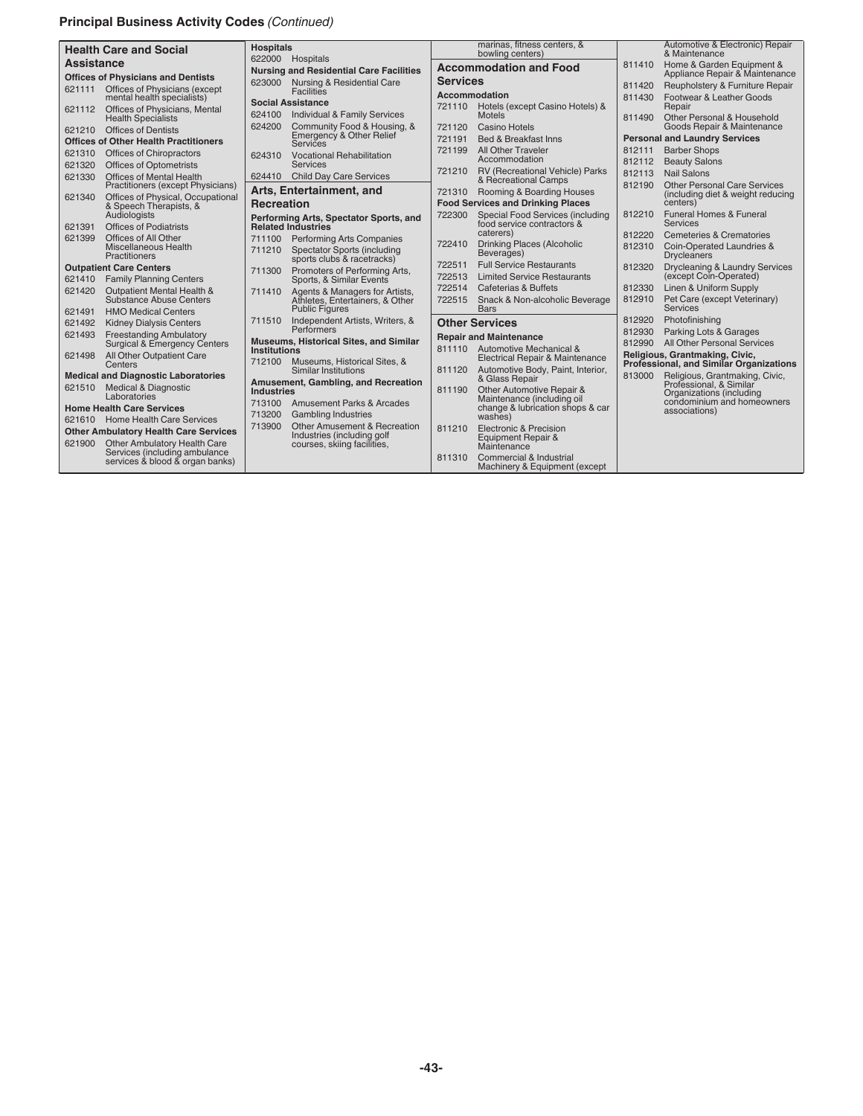## **Principal Business Activity Codes** *(Continued)*

| <b>Health Care and Social</b>                |                                                                | <b>Hospitals</b>                               |                                                                     |                               | marinas, fitness centers, &                             |        | Automotive & Electronic) Repair<br>& Maintenance                         |
|----------------------------------------------|----------------------------------------------------------------|------------------------------------------------|---------------------------------------------------------------------|-------------------------------|---------------------------------------------------------|--------|--------------------------------------------------------------------------|
|                                              | <b>Assistance</b>                                              |                                                | 622000 Hospitals                                                    |                               | bowling centers)                                        |        | Home & Garden Equipment &                                                |
|                                              |                                                                | <b>Nursing and Residential Care Facilities</b> |                                                                     | <b>Accommodation and Food</b> |                                                         | 811410 | Appliance Repair & Maintenance                                           |
|                                              | <b>Offices of Physicians and Dentists</b>                      | 623000                                         | Nursing & Residential Care                                          | <b>Services</b>               |                                                         | 811420 | Reupholstery & Furniture Repair                                          |
| 621111                                       | Offices of Physicians (except<br>mental health specialists)    |                                                | <b>Facilities</b>                                                   |                               | <b>Accommodation</b>                                    | 811430 | Footwear & Leather Goods                                                 |
| 621112                                       | Offices of Physicians, Mental                                  |                                                | <b>Social Assistance</b>                                            | 721110                        | Hotels (except Casino Hotels) &                         |        | Repair                                                                   |
|                                              | <b>Health Specialists</b>                                      | 624100                                         | Individual & Family Services                                        |                               | <b>Motels</b>                                           | 811490 | Other Personal & Household                                               |
| 621210                                       | <b>Offices of Dentists</b>                                     | 624200                                         | Community Food & Housing, &                                         | 721120                        | <b>Casino Hotels</b>                                    |        | Goods Repair & Maintenance                                               |
|                                              | <b>Offices of Other Health Practitioners</b>                   |                                                | Emergency & Other Relief<br>Services                                | 721191                        | Bed & Breakfast Inns                                    |        | <b>Personal and Laundry Services</b>                                     |
| 621310                                       | Offices of Chiropractors                                       | 624310                                         | <b>Vocational Rehabilitation</b>                                    | 721199                        | All Other Traveler                                      | 812111 | <b>Barber Shops</b>                                                      |
| 621320                                       | <b>Offices of Optometrists</b>                                 |                                                | Services                                                            |                               | Accommodation                                           | 812112 | <b>Beauty Salons</b>                                                     |
| 621330                                       | <b>Offices of Mental Health</b>                                | 624410                                         | <b>Child Day Care Services</b>                                      | 721210                        | RV (Recreational Vehicle) Parks<br>& Recreational Camps | 812113 | Nail Salons                                                              |
|                                              | Practitioners (except Physicians)                              |                                                | Arts, Entertainment, and                                            | 721310                        | Rooming & Boarding Houses                               | 812190 | <b>Other Personal Care Services</b><br>(including diet & weight reducing |
| 621340                                       | Offices of Physical, Occupational                              | <b>Recreation</b>                              |                                                                     |                               | <b>Food Services and Drinking Places</b>                |        | centers)                                                                 |
|                                              | & Speech Therapists, &<br>Audiologists                         |                                                |                                                                     | 722300                        | Special Food Services (including                        | 812210 | Funeral Homes & Funeral                                                  |
| 621391                                       | <b>Offices of Podiatrists</b>                                  |                                                | Performing Arts, Spectator Sports, and<br><b>Related Industries</b> |                               | food service contractors &                              |        | <b>Services</b>                                                          |
| 621399                                       | Offices of All Other                                           | 711100                                         | <b>Performing Arts Companies</b>                                    |                               | caterers)                                               | 812220 | <b>Cemeteries &amp; Crematories</b>                                      |
|                                              | <b>Miscellaneous Health</b>                                    | 711210                                         | <b>Spectator Sports (including</b>                                  | 722410                        | <b>Drinking Places (Alcoholic</b><br>Beverages)         | 812310 | Coin-Operated Laundries &                                                |
|                                              | <b>Practitioners</b>                                           |                                                | sports clubs & racetracks)                                          | 722511                        | <b>Full Service Restaurants</b>                         |        | <b>Drycleaners</b>                                                       |
|                                              | <b>Outpatient Care Centers</b>                                 | 711300                                         | Promoters of Performing Arts,                                       |                               |                                                         | 812320 | Drycleaning & Laundry Services<br>(except Coin-Operated)                 |
| 621410                                       | <b>Family Planning Centers</b>                                 |                                                | Sports, & Similar Events                                            | 722513                        | <b>Limited Service Restaurants</b>                      | 812330 |                                                                          |
| 621420                                       | Outpatient Mental Health &                                     | 711410                                         | Agents & Managers for Artists,                                      | 722514                        | Cafeterias & Buffets                                    |        | Linen & Uniform Supply                                                   |
|                                              | Substance Abuse Centers                                        |                                                | Athletes, Entertainers, & Other<br><b>Public Figures</b>            | 722515                        | Snack & Non-alcoholic Beverage<br><b>Bars</b>           | 812910 | Pet Care (except Veterinary)<br><b>Services</b>                          |
| 621491                                       | <b>HMO Medical Centers</b>                                     | 711510                                         | Independent Artists, Writers, &                                     |                               |                                                         | 812920 | Photofinishing                                                           |
| 621492                                       | <b>Kidney Dialysis Centers</b>                                 |                                                | Performers                                                          |                               | <b>Other Services</b>                                   | 812930 | Parking Lots & Garages                                                   |
| 621493                                       | <b>Freestanding Ambulatory</b><br>Surgical & Emergency Centers |                                                | Museums, Historical Sites, and Similar                              |                               | <b>Repair and Maintenance</b>                           | 812990 | All Other Personal Services                                              |
| 621498                                       | All Other Outpatient Care                                      | <b>Institutions</b>                            |                                                                     | 811110                        | Automotive Mechanical &                                 |        | Religious, Grantmaking, Civic,                                           |
|                                              | Centers                                                        | 712100                                         | Museums, Historical Sites, &                                        |                               | Electrical Repair & Maintenance                         |        | Professional, and Similar Organizations                                  |
|                                              | <b>Medical and Diagnostic Laboratories</b>                     |                                                | <b>Similar Institutions</b>                                         | 811120                        | Automotive Body, Paint, Interior,<br>& Glass Repair     | 813000 | Religious, Grantmaking, Civic,                                           |
| 621510                                       | <b>Medical &amp; Diagnostic</b>                                |                                                | Amusement, Gambling, and Recreation                                 |                               |                                                         |        | Professional, & Similar                                                  |
|                                              | Laboratories                                                   | <b>Industries</b>                              |                                                                     | 811190                        | Other Automotive Repair &<br>Maintenance (including oil |        | Organizations (including<br>condominium and homeowners                   |
| <b>Home Health Care Services</b>             |                                                                | 713100                                         | Amusement Parks & Arcades                                           |                               | change & lubrication shops & car                        |        | associations)                                                            |
| 621610                                       | Home Health Care Services                                      | 713200                                         | <b>Gambling Industries</b>                                          |                               | washes)                                                 |        |                                                                          |
| <b>Other Ambulatory Health Care Services</b> |                                                                | 713900                                         | Other Amusement & Recreation<br>Industries (including golf          | 811210                        | Electronic & Precision                                  |        |                                                                          |
| 621900                                       | Other Ambulatory Health Care                                   |                                                | courses, skiing facilities,                                         |                               | Equipment Repair &<br>Maintenance                       |        |                                                                          |
|                                              | Services (including ambulance                                  |                                                |                                                                     | 811310                        | Commercial & Industrial                                 |        |                                                                          |
|                                              | services & blood & organ banks)                                |                                                |                                                                     |                               | Machinery & Equipment (except                           |        |                                                                          |